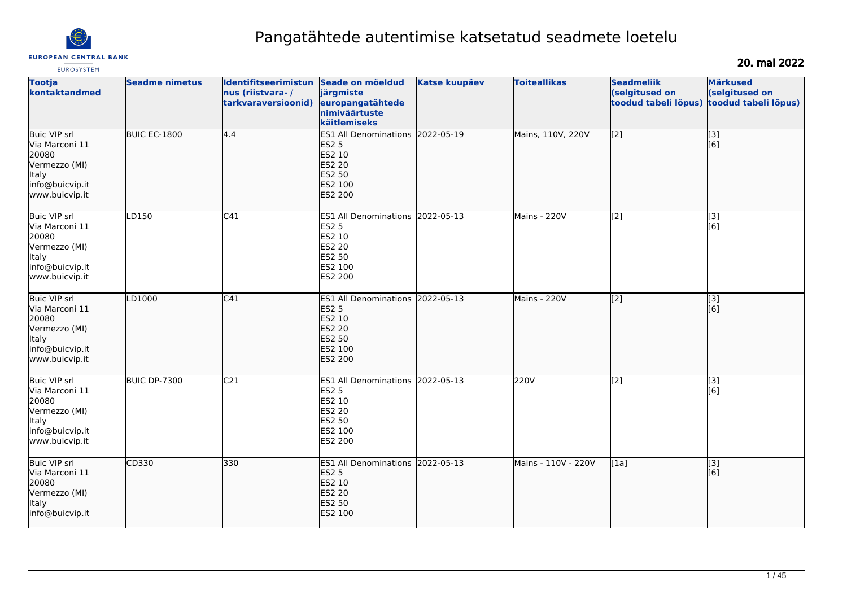

# Pangatähtede autentimise katsetatud seadmete loetelu

## 20. mai 2022

| <b>Tootja</b><br>kontaktandmed                                                                                | <b>Seadme nimetus</b> | Identifitseerimistun<br>nus (riistvara-/<br>tarkvaraversioonid) | Seade on mõeldud<br>järgmiste<br>europangatähtede<br>nimiväärtuste<br>käitlemiseks                                        | <b>Katse kuupäev</b> | <b>Toiteallikas</b> | <b>Seadmeliik</b><br>(selgitused on<br>toodud tabeli lõpus) | <b>Märkused</b><br>(selgitused on<br>toodud tabeli lõpus) |
|---------------------------------------------------------------------------------------------------------------|-----------------------|-----------------------------------------------------------------|---------------------------------------------------------------------------------------------------------------------------|----------------------|---------------------|-------------------------------------------------------------|-----------------------------------------------------------|
| Buic VIP srl<br>Via Marconi 11<br>20080<br>Vermezzo (MI)<br>Italy<br>info@buicvip.it<br>www.buicvip.it        | <b>BUIC EC-1800</b>   | 4.4                                                             | ES1 All Denominations 2022-05-19<br><b>ES2 5</b><br>ES2 10<br><b>ES2 20</b><br><b>ES2 50</b><br>ES2 100<br><b>ES2 200</b> |                      | Mains, 110V, 220V   | $\overline{[2]}$                                            | $\overline{[3]}$<br>[6]                                   |
| <b>Buic VIP srl</b><br>Via Marconi 11<br>20080<br>Vermezzo (MI)<br>Italy<br>info@buicvip.it<br>www.buicvip.it | LD150                 | C41                                                             | ES1 All Denominations 2022-05-13<br><b>ES2 5</b><br>ES2 10<br><b>ES2 20</b><br>ES2 50<br>ES2 100<br><b>ES2 200</b>        |                      | Mains - 220V        | $\overline{[2]}$                                            | $\overline{[}3]$<br>[6]                                   |
| <b>Buic VIP srl</b><br>Via Marconi 11<br>20080<br>Vermezzo (MI)<br>Italy<br>info@buicvip.it<br>www.buicvip.it | LD1000                | C41                                                             | ES1 All Denominations 2022-05-13<br><b>ES2 5</b><br>ES2 10<br><b>ES2 20</b><br><b>ES2 50</b><br>ES2 100<br><b>ES2 200</b> |                      | Mains - 220V        | $\sqrt{2}$                                                  | $\overline{[}3]$<br>[6]                                   |
| Buic VIP srl<br>Via Marconi 11<br>20080<br>Vermezzo (MI)<br>Italy<br>info@buicvip.it<br>www.buicvip.it        | <b>BUIC DP-7300</b>   | C <sub>21</sub>                                                 | ES1 All Denominations 2022-05-13<br><b>ES2 5</b><br>ES2 10<br>ES2 20<br>ES2 50<br>ES2 100<br>ES2 200                      |                      | 220V                | $\overline{[2]}$                                            | $\vert$ [3]<br>[6]                                        |
| <b>Buic VIP srl</b><br>Via Marconi 11<br>20080<br>Vermezzo (MI)<br>lltaly<br>info@buicvip.it                  | CD330                 | 330                                                             | ES1 All Denominations 2022-05-13<br><b>ES2 5</b><br><b>ES2 10</b><br><b>ES2 20</b><br>ES2 50<br>ES2 100                   |                      | Mains - 110V - 220V | [1a]                                                        | $\overline{[}3]$<br>[6]                                   |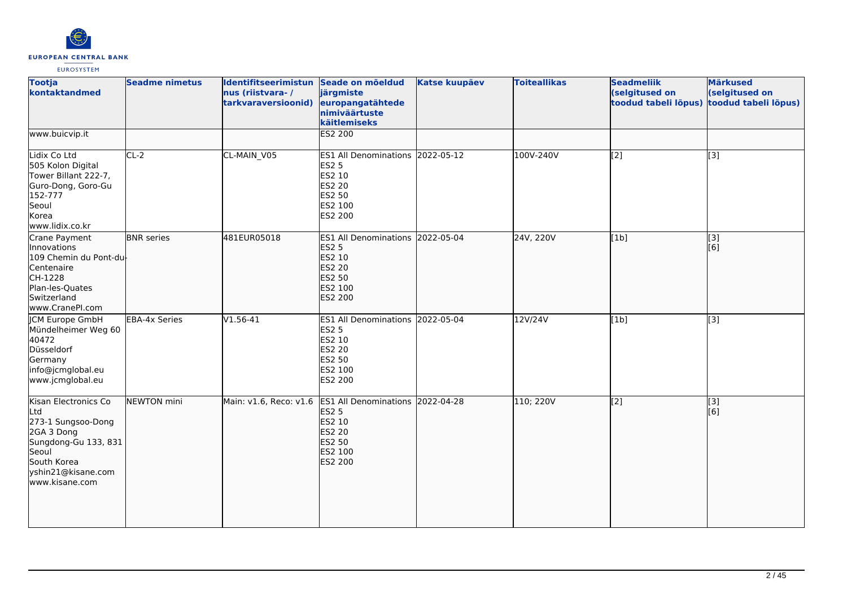

| <b>Tootja</b><br>kontaktandmed                                                                                                                          | <b>Seadme nimetus</b> | Identifitseerimistun Seade on mõeldud<br>nus (riistvara-/<br>tarkvaraversioonid) | järgmiste<br>europangatähtede<br>nimiväärtuste<br>käitlemiseks                                                     | <b>Katse kuupäev</b> | <b>Toiteallikas</b> | <b>Seadmeliik</b><br>(selgitused on<br>toodud tabeli lõpus) | <b>Märkused</b><br>(selgitused on<br>toodud tabeli lõpus) |
|---------------------------------------------------------------------------------------------------------------------------------------------------------|-----------------------|----------------------------------------------------------------------------------|--------------------------------------------------------------------------------------------------------------------|----------------------|---------------------|-------------------------------------------------------------|-----------------------------------------------------------|
| www.buicvip.it                                                                                                                                          |                       |                                                                                  | <b>ES2 200</b>                                                                                                     |                      |                     |                                                             |                                                           |
| Lidix Co Ltd<br>505 Kolon Digital<br>Tower Billant 222-7,<br>Guro-Dong, Goro-Gu<br>152-777<br>Seoul<br>Korea<br>www.lidix.co.kr                         | $CL-2$                | CL-MAIN_V05                                                                      | ES1 All Denominations 2022-05-12<br><b>ES2 5</b><br>ES2 10<br><b>ES2 20</b><br><b>ES2 50</b><br>ES2 100<br>ES2 200 |                      | 100V-240V           | $\overline{[2]}$                                            | $\overline{[3]}$                                          |
| Crane Payment<br>Innovations<br>109 Chemin du Pont-du-<br>Centenaire<br>CH-1228<br>Plan-les-Quates<br>Switzerland<br>www.CranePI.com                    | <b>BNR</b> series     | 481EUR05018                                                                      | ES1 All Denominations 2022-05-04<br><b>ES2 5</b><br>ES2 10<br><b>ES2 20</b><br>ES2 50<br>ES2 100<br>ES2 200        |                      | 24V, 220V           | [1b]                                                        | $\sqrt{3}$<br>[6]                                         |
| JCM Europe GmbH<br>Mündelheimer Weg 60<br>40472<br>Düsseldorf<br>Germany<br>info@jcmglobal.eu<br>www.jcmglobal.eu                                       | EBA-4x Series         | $V1.56 - 41$                                                                     | ES1 All Denominations 2022-05-04<br><b>ES2 5</b><br>ES2 10<br><b>ES2 20</b><br>ES2 50<br>ES2 100<br>ES2 200        |                      | 12V/24V             | [1b]                                                        | [3]                                                       |
| Kisan Electronics Co<br>Ltd<br>273-1 Sungsoo-Dong<br>2GA 3 Dong<br>Sungdong-Gu 133, 831<br>Seoul<br>South Korea<br>yshin21@kisane.com<br>www.kisane.com | NEWTON mini           | Main: v1.6, Reco: v1.6                                                           | ES1 All Denominations 2022-04-28<br><b>ES2 5</b><br>ES2 10<br>ES2 20<br>ES2 50<br>ES2 100<br><b>ES2 200</b>        |                      | 110; 220V           | $\overline{[2]}$                                            | $\overline{[}3]$<br>[6]                                   |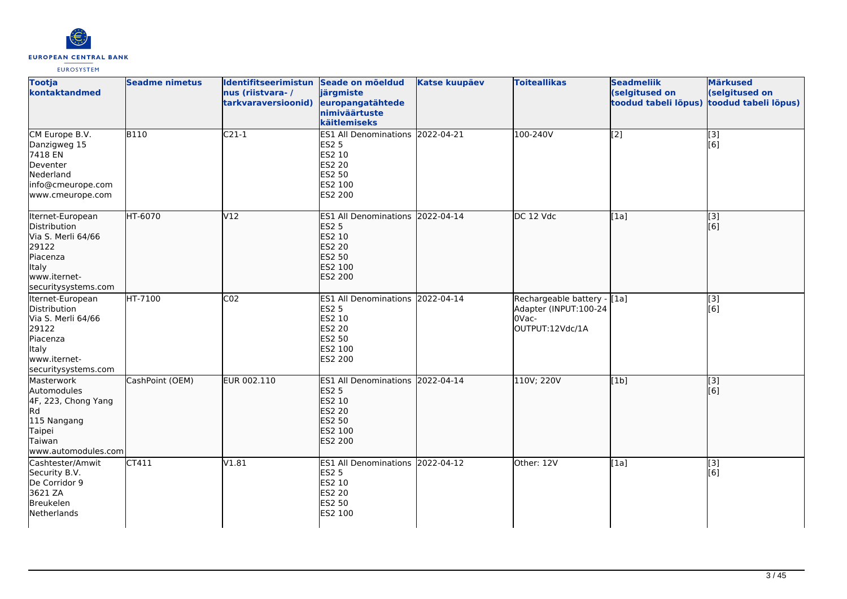

| <b>Tootja</b><br>kontaktandmed                                                                                              | <b>Seadme nimetus</b> | Identifitseerimistun Seade on mõeldud<br>nus (riistvara-/<br>tarkvaraversioonid) | järgmiste<br>europangatähtede<br>nimiväärtuste<br>käitlemiseks                                                            | <b>Katse kuupäev</b> | <b>Toiteallikas</b>                                                              | <b>Seadmeliik</b><br>(selgitused on<br>toodud tabeli lõpus) | <b>Märkused</b><br>(selgitused on<br>toodud tabeli lõpus) |
|-----------------------------------------------------------------------------------------------------------------------------|-----------------------|----------------------------------------------------------------------------------|---------------------------------------------------------------------------------------------------------------------------|----------------------|----------------------------------------------------------------------------------|-------------------------------------------------------------|-----------------------------------------------------------|
| CM Europe B.V.<br>Danzigweg 15<br>7418 EN<br>Deventer<br>Nederland<br>info@cmeurope.com<br>www.cmeurope.com                 | <b>B110</b>           | $C21-1$                                                                          | ES1 All Denominations 2022-04-21<br><b>ES2 5</b><br>ES2 10<br>ES2 20<br>ES2 50<br>ES2 100<br>ES2 200                      |                      | 100-240V                                                                         | $\left[2\right]$                                            | $\vert$ [3]<br>[6]                                        |
| Iternet-European<br>Distribution<br>Via S. Merli 64/66<br>29122<br>Piacenza<br>ltaly<br>www.iternet-<br>securitysystems.com | HT-6070               | V12                                                                              | ES1 All Denominations 2022-04-14<br><b>ES2 5</b><br>ES2 10<br><b>ES2 20</b><br><b>ES2 50</b><br>ES2 100<br><b>ES2 200</b> |                      | DC 12 Vdc                                                                        | [1a]                                                        | $\vert$ [3]<br>[6]                                        |
| Iternet-European<br>Distribution<br>Via S. Merli 64/66<br>29122<br>Piacenza<br>Italy<br>www.iternet-<br>securitysystems.com | HT-7100               | CO <sub>2</sub>                                                                  | ES1 All Denominations 2022-04-14<br><b>ES2 5</b><br>ES2 10<br>ES2 20<br>ES2 50<br>ES2 100<br>ES2 200                      |                      | Rechargeable battery - [1a]<br>Adapter (INPUT:100-24<br>OVac-<br>OUTPUT:12Vdc/1A |                                                             | $\overline{[}3]$<br>[6]                                   |
| Masterwork<br>Automodules<br>4F, 223, Chong Yang<br>lRd.<br>115 Nangang<br>Taipei<br>Taiwan<br>www.automodules.com          | CashPoint (OEM)       | EUR 002.110                                                                      | ES1 All Denominations 2022-04-14<br><b>ES2 5</b><br>ES2 10<br>ES2 20<br>ES2 50<br>ES2 100<br>ES2 200                      |                      | 110V; 220V                                                                       | [1b]                                                        | [3]<br>[6]                                                |
| Cashtester/Amwit<br>Security B.V.<br>De Corridor 9<br>3621 ZA<br>Breukelen<br>Netherlands                                   | CT411                 | V1.81                                                                            | ES1 All Denominations 2022-04-12<br><b>ES2 5</b><br>ES2 10<br>ES2 20<br>ES2 50<br>ES2 100                                 |                      | Other: 12V                                                                       | [1a]                                                        | $[3]$<br>[6]                                              |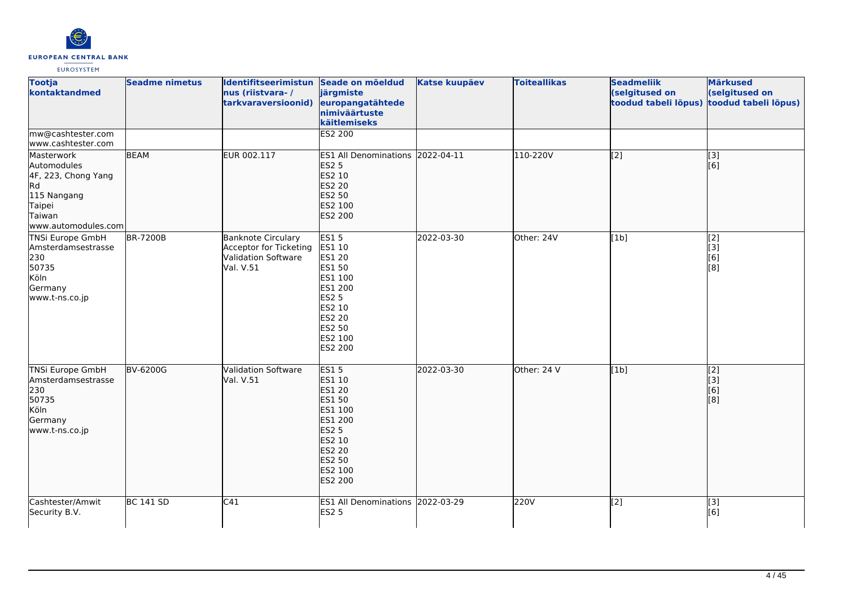

| <b>Tootja</b><br>kontaktandmed                                                                                     | <b>Seadme nimetus</b> | Identifitseerimistun Seade on mõeldud<br>nus (riistvara-/<br>tarkvaraversioonid)        | järgmiste<br>europangatähtede<br>nimiväärtuste<br>käitlemiseks                                                                                    | <b>Katse kuupäev</b> | <b>Toiteallikas</b> | <b>Seadmeliik</b><br>(selgitused on<br>toodud tabeli lõpus) | <b>Märkused</b><br>(selgitused on<br>toodud tabeli lõpus) |
|--------------------------------------------------------------------------------------------------------------------|-----------------------|-----------------------------------------------------------------------------------------|---------------------------------------------------------------------------------------------------------------------------------------------------|----------------------|---------------------|-------------------------------------------------------------|-----------------------------------------------------------|
| mw@cashtester.com<br>www.cashtester.com                                                                            |                       |                                                                                         | ES2 200                                                                                                                                           |                      |                     |                                                             |                                                           |
| Masterwork<br>Automodules<br>4F, 223, Chong Yang<br>lRd.<br>115 Nangang<br>Taipei<br>Taiwan<br>www.automodules.com | <b>BEAM</b>           | EUR 002.117                                                                             | ES1 All Denominations 2022-04-11<br><b>ES2 5</b><br>ES2 10<br><b>ES2 20</b><br>ES2 50<br>ES2 100<br>ES2 200                                       |                      | 110-220V            | $\overline{[2]}$                                            | [3]<br>[6]                                                |
| TNSi Europe GmbH<br>Amsterdamsestrasse<br>230<br>50735<br>Köln<br>Germany<br>www.t-ns.co.jp                        | <b>BR-7200B</b>       | <b>Banknote Circulary</b><br>Acceptor for Ticketing<br>Validation Software<br>Val. V.51 | <b>ES15</b><br>ES1 10<br>ES1 20<br>ES1 50<br>ES1 100<br>ES1 200<br><b>ES2 5</b><br>ES2 10<br>ES2 20<br>ES2 50<br>ES2 100<br>ES2 200               | 2022-03-30           | Other: 24V          | [1b]                                                        | [2]<br>[3]<br>[6]<br>[8]                                  |
| TNSi Europe GmbH<br>Amsterdamsestrasse<br>230<br>50735<br>Köln<br>Germany<br>www.t-ns.co.jp                        | <b>BV-6200G</b>       | <b>Validation Software</b><br>Val. V.51                                                 | <b>ES15</b><br>ES1 10<br><b>ES1 20</b><br>ES1 50<br>ES1 100<br>ES1 200<br><b>ES2 5</b><br>ES2 10<br><b>ES2 20</b><br>ES2 50<br>ES2 100<br>ES2 200 | 2022-03-30           | Other: 24 V         | [1b]                                                        | $\left[2\right]$<br> 3]<br>[6]<br>[8]                     |
| Cashtester/Amwit<br>Security B.V.                                                                                  | <b>BC 141 SD</b>      | C41                                                                                     | ES1 All Denominations 2022-03-29<br><b>ES2 5</b>                                                                                                  |                      | 220V                | [2]                                                         | [3]<br>[6]                                                |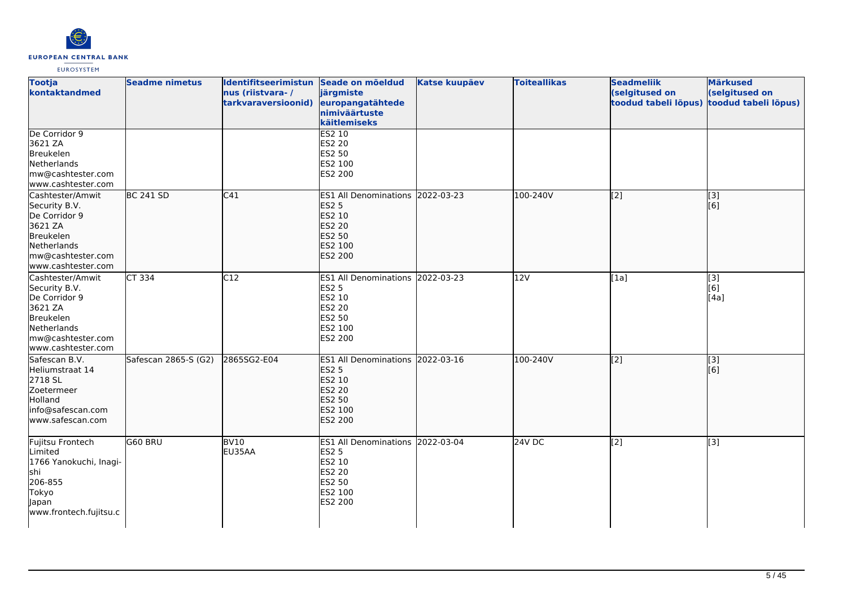

| <b>Tootja</b><br>kontaktandmed                                                                                                              | <b>Seadme nimetus</b> | Identifitseerimistun Seade on mõeldud<br>nus (riistvara-/<br>tarkvaraversioonid) | järgmiste<br>europangatähtede<br>nimiväärtuste<br>käitlemiseks                                                     | <b>Katse kuupäev</b> | <b>Toiteallikas</b> | <b>Seadmeliik</b><br>(selgitused on<br>toodud tabeli lõpus) | <b>Märkused</b><br>(selgitused on<br>toodud tabeli lõpus) |
|---------------------------------------------------------------------------------------------------------------------------------------------|-----------------------|----------------------------------------------------------------------------------|--------------------------------------------------------------------------------------------------------------------|----------------------|---------------------|-------------------------------------------------------------|-----------------------------------------------------------|
| De Corridor 9<br>3621 ZA<br>Breukelen<br>Netherlands<br>mw@cashtester.com<br>www.cashtester.com                                             |                       |                                                                                  | ES2 10<br><b>ES2 20</b><br>ES2 50<br>ES2 100<br>ES2 200                                                            |                      |                     |                                                             |                                                           |
| Cashtester/Amwit<br>Security B.V.<br>De Corridor 9<br>3621 ZA<br><b>Breukelen</b><br>Netherlands<br>mw@cashtester.com<br>www.cashtester.com | <b>BC 241 SD</b>      | C41                                                                              | ES1 All Denominations 2022-03-23<br><b>ES2 5</b><br>ES2 10<br><b>ES2 20</b><br>ES2 50<br>ES2 100<br><b>ES2 200</b> |                      | 100-240V            | $\overline{[2]}$                                            | $\overline{[3]}$<br>[6]                                   |
| Cashtester/Amwit<br>Security B.V.<br>De Corridor 9<br>3621 ZA<br>Breukelen<br>Netherlands<br>mw@cashtester.com<br>www.cashtester.com        | CT 334                | C12                                                                              | ES1 All Denominations 2022-03-23<br><b>ES2 5</b><br>ES2 10<br>ES2 20<br>ES2 50<br>ES2 100<br>ES2 200               |                      | 12V                 | [1a]                                                        | [3]<br>[6]<br>[4a]                                        |
| Safescan B.V.<br>Heliumstraat 14<br>2718 SL<br>Zoetermeer<br>Holland<br>info@safescan.com<br>www.safescan.com                               | Safescan 2865-S (G2)  | 2865SG2-E04                                                                      | ES1 All Denominations 2022-03-16<br><b>ES2 5</b><br>ES2 10<br><b>ES2 20</b><br><b>ES2 50</b><br>ES2 100<br>ES2 200 |                      | 100-240V            | $\overline{[2]}$                                            | $\overline{[}3]$<br>[6]                                   |
| Fujitsu Frontech<br>Limited<br>1766 Yanokuchi, Inagi-<br>lshi<br>206-855<br>Tokyo<br>Japan<br>www.frontech.fujitsu.c                        | G60 BRU               | <b>BV10</b><br>EU35AA                                                            | ES1 All Denominations 2022-03-04<br><b>ES2 5</b><br>ES2 10<br>ES2 20<br>ES2 50<br>ES2 100<br>ES2 200               |                      | 24V DC              | [2]                                                         | [3]                                                       |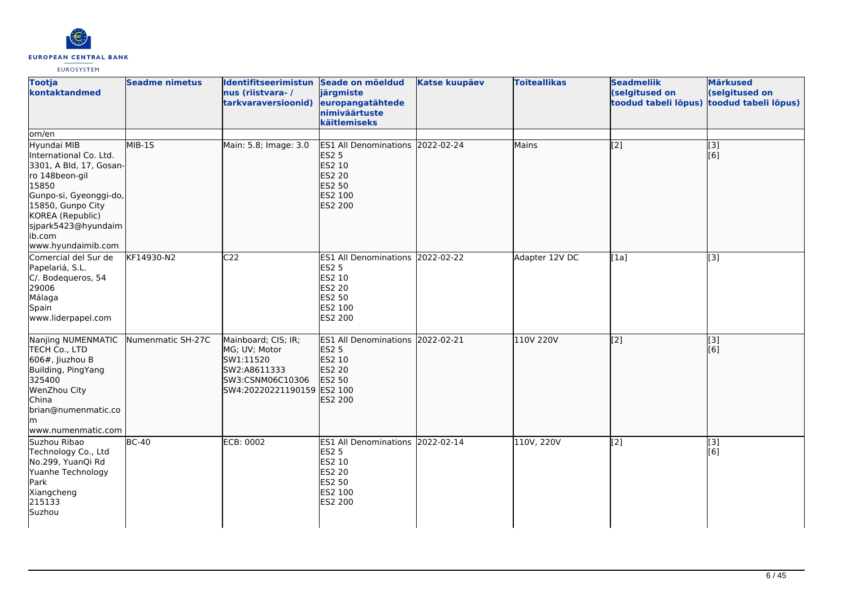

| <b>Tootja</b><br>kontaktandmed                                                                                                                                                                                         | <b>Seadme nimetus</b> | Identifitseerimistun Seade on mõeldud<br>nus (riistvara-/<br>tarkvaraversioonid)                                    | järgmiste<br>europangatähtede<br>nimiväärtuste<br>käitlemiseks                                              | <b>Katse kuupäev</b> | <b>Toiteallikas</b> | <b>Seadmeliik</b><br>(selgitused on<br>toodud tabeli lõpus) | <b>Märkused</b><br>(selgitused on<br>toodud tabeli lõpus) |
|------------------------------------------------------------------------------------------------------------------------------------------------------------------------------------------------------------------------|-----------------------|---------------------------------------------------------------------------------------------------------------------|-------------------------------------------------------------------------------------------------------------|----------------------|---------------------|-------------------------------------------------------------|-----------------------------------------------------------|
| om/en                                                                                                                                                                                                                  |                       |                                                                                                                     |                                                                                                             |                      |                     |                                                             |                                                           |
| Hyundai MIB<br>International Co. Ltd.<br>3301, A Bld, 17, Gosan-<br>ro 148beon-gil<br>15850<br>Gunpo-si, Gyeonggi-do,<br>15850, Gunpo City<br>KOREA (Republic)<br>sjpark5423@hyundaim<br>lib.com<br>www.hyundaimib.com | MIB-1S                | Main: 5.8; Image: 3.0                                                                                               | ES1 All Denominations 2022-02-24<br><b>ES2 5</b><br>ES2 10<br>ES2 20<br>ES2 50<br>ES2 100<br>ES2 200        |                      | Mains               | $\overline{[2]}$                                            | $\left[ \begin{matrix} 3 \end{matrix} \right]$<br>[6]     |
| Comercial del Sur de<br>Papelariá, S.L.<br>C/. Bodequeros, 54<br>29006<br>Málaga<br>Spain<br>www.liderpapel.com                                                                                                        | KF14930-N2            | C <sub>22</sub>                                                                                                     | ES1 All Denominations 2022-02-22<br><b>ES2 5</b><br>ES2 10<br>ES2 20<br>ES2 50<br>ES2 100<br>ES2 200        |                      | Adapter 12V DC      | [1a]                                                        | [3]                                                       |
| Nanjing NUMENMATIC<br>TECH Co., LTD<br>$606$ #, Jiuzhou B<br>Building, PingYang<br>325400<br>WenZhou City<br>China<br>brian@numenmatic.co<br>lm<br>www.numenmatic.com                                                  | Numenmatic SH-27C     | Mainboard; CIS; IR;<br>MG; UV; Motor<br>SW1:11520<br>SW2:A8611333<br>SW3:CSNM06C10306<br>SW4:20220221190159 ES2 100 | ES1 All Denominations 2022-02-21<br><b>ES2 5</b><br>ES2 10<br><b>ES2 20</b><br>ES2 50<br>ES2 200            |                      | 110V 220V           | $\overline{[2]}$                                            | [3]<br>[6]                                                |
| Suzhou Ribao<br>Technology Co., Ltd<br>No.299, YuanQi Rd<br>Yuanhe Technology<br>Park<br>Xiangcheng<br>215133<br>Suzhou                                                                                                | $BC-40$               | <b>ECB: 0002</b>                                                                                                    | ES1 All Denominations 2022-02-14<br><b>ES2 5</b><br>ES2 10<br><b>ES2 20</b><br>ES2 50<br>ES2 100<br>ES2 200 |                      | 110V, 220V          | $\overline{[2]}$                                            | [3]<br>[6]                                                |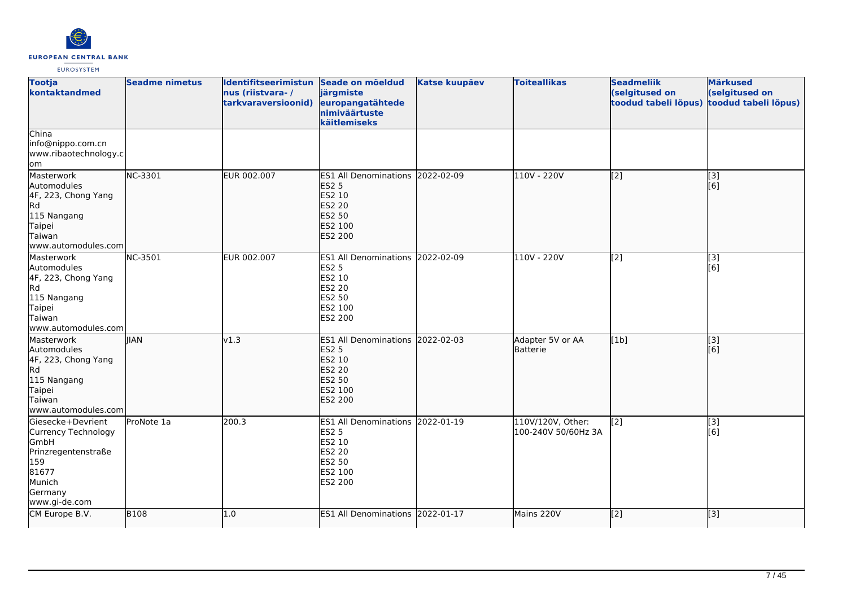

| <b>Tootja</b><br>kontaktandmed                                                                                                | <b>Seadme nimetus</b> | Identifitseerimistun Seade on mõeldud<br>nus (riistvara-/<br>tarkvaraversioonid) | järgmiste<br>europangatähtede<br>nimiväärtuste<br>käitlemiseks                                                        | <b>Katse kuupäev</b> | <b>Toiteallikas</b>                      | <b>Seadmeliik</b><br>(selgitused on<br>toodud tabeli lõpus) | <b>Märkused</b><br>(selgitused on<br>toodud tabeli lõpus) |
|-------------------------------------------------------------------------------------------------------------------------------|-----------------------|----------------------------------------------------------------------------------|-----------------------------------------------------------------------------------------------------------------------|----------------------|------------------------------------------|-------------------------------------------------------------|-----------------------------------------------------------|
| China<br>info@nippo.com.cn<br>www.ribaotechnology.c<br>lom                                                                    |                       |                                                                                  |                                                                                                                       |                      |                                          |                                                             |                                                           |
| Masterwork<br>Automodules<br>4F, 223, Chong Yang<br>Rd<br>115 Nangang<br>Taipei<br>Taiwan<br>lwww.automodules.com             | NC-3301               | EUR 002.007                                                                      | <b>ES1 All Denominations</b><br><b>ES2 5</b><br>ES2 10<br><b>ES2 20</b><br><b>ES2 50</b><br>ES2 100<br><b>ES2 200</b> | 2022-02-09           | 110V - 220V                              | [[2]                                                        | [[3]<br>[[6]                                              |
| Masterwork<br>Automodules<br>4F, 223, Chong Yang<br>Rd<br>115 Nangang<br>Taipei<br>Taiwan<br>www.automodules.com              | NC-3501               | EUR 002.007                                                                      | ES1 All Denominations 2022-02-09<br><b>ES2 5</b><br>ES2 10<br><b>ES2 20</b><br><b>ES2 50</b><br>ES2 100<br>ES2 200    |                      | 110V - 220V                              | [2]                                                         | [3]<br>[6]                                                |
| Masterwork<br>Automodules<br>4F, 223, Chong Yang<br>Rd<br>115 Nangang<br>Taipei<br>Taiwan<br>www.automodules.com              | <b>IIAN</b>           | v1.3                                                                             | <b>ES1</b> All Denominations<br><b>ES2 5</b><br>ES2 10<br><b>ES2 20</b><br><b>ES2 50</b><br>ES2 100<br><b>ES2 200</b> | 2022-02-03           | Adapter 5V or AA<br>Batterie             | [1b]                                                        | $\overline{[3]}$<br>[6]                                   |
| Giesecke+Devrient<br>Currency Technology<br>GmbH<br>Prinzregentenstraße<br>159<br>81677<br>Munich<br>Germany<br>www.gi-de.com | ProNote 1a            | 200.3                                                                            | <b>ES1 All Denominations</b><br><b>ES2 5</b><br>ES2 10<br><b>ES2 20</b><br>ES2 50<br>ES2 100<br>ES2 200               | 2022-01-19           | 110V/120V, Other:<br>100-240V 50/60Hz 3A | [2]                                                         | [3]<br>[6]                                                |
| CM Europe B.V.                                                                                                                | <b>B108</b>           | 1.0                                                                              | <b>ES1 All Denominations</b>                                                                                          | 2022-01-17           | Mains 220V                               | [2]                                                         | $\overline{[}$ [3]                                        |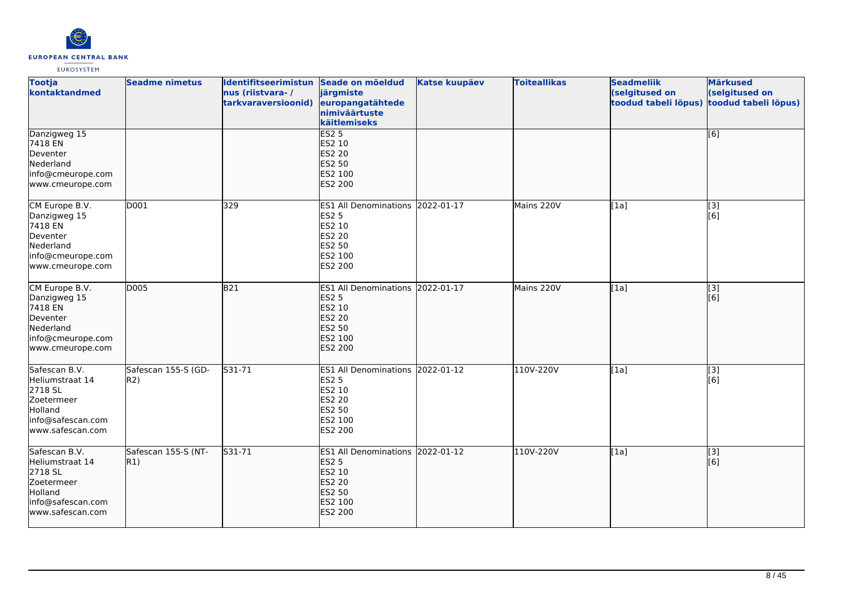

| <b>Tootja</b><br>kontaktandmed                                                                                | <b>Seadme nimetus</b>      | Identifitseerimistun Seade on mõeldud<br>nus (riistvara-/<br>tarkvaraversioonid) | järgmiste<br>europangatähtede<br>nimiväärtuste<br>käitlemiseks                                              | <b>Katse kuupäev</b> | <b>Toiteallikas</b> | <b>Seadmeliik</b><br>(selgitused on<br>toodud tabeli lõpus) | <b>Märkused</b><br>(selgitused on<br>toodud tabeli lõpus) |
|---------------------------------------------------------------------------------------------------------------|----------------------------|----------------------------------------------------------------------------------|-------------------------------------------------------------------------------------------------------------|----------------------|---------------------|-------------------------------------------------------------|-----------------------------------------------------------|
| Danzigweg 15<br>7418 EN<br>Deventer<br>Nederland<br>info@cmeurope.com<br>www.cmeurope.com                     |                            |                                                                                  | ES2 <sub>5</sub><br>ES2 10<br>ES2 20<br>ES2 50<br>ES2 100<br>ES2 200                                        |                      |                     |                                                             | [6]                                                       |
| CM Europe B.V.<br>Danzigweg 15<br>7418 EN<br>Deventer<br>Nederland<br>info@cmeurope.com<br>www.cmeurope.com   | D001                       | 329                                                                              | ES1 All Denominations 2022-01-17<br><b>ES2 5</b><br>ES2 10<br><b>ES2 20</b><br>ES2 50<br>ES2 100<br>ES2 200 |                      | Mains 220V          | [1a]                                                        | [3]<br>[6]                                                |
| CM Europe B.V.<br>Danzigweg 15<br>7418 EN<br>Deventer<br>Nederland<br>info@cmeurope.com<br>www.cmeurope.com   | D005                       | B21                                                                              | ES1 All Denominations 2022-01-17<br><b>ES2 5</b><br>ES2 10<br>ES2 20<br>ES2 50<br>ES2 100<br>ES2 200        |                      | Mains 220V          | [1a]                                                        | $\sqrt{3}$<br>[6]                                         |
| Safescan B.V.<br>Heliumstraat 14<br>2718 SL<br>Zoetermeer<br>Holland<br>info@safescan.com<br>www.safescan.com | Safescan 155-S (GD-<br>R2) | $531 - 71$                                                                       | ES1 All Denominations 2022-01-12<br><b>ES2 5</b><br>ES2 10<br><b>ES2 20</b><br>ES2 50<br>ES2 100<br>ES2 200 |                      | 110V-220V           | [1a]                                                        | [3]<br>[6]                                                |
| Safescan B.V.<br>Heliumstraat 14<br>2718 SL<br>Zoetermeer<br>Holland<br>info@safescan.com<br>www.safescan.com | Safescan 155-S (NT-<br>R1) | S31-71                                                                           | ES1 All Denominations 2022-01-12<br><b>ES2 5</b><br>ES2 10<br><b>ES2 20</b><br>ES2 50<br>ES2 100<br>ES2 200 |                      | 110V-220V           | [1a]                                                        | [3]<br>[6]                                                |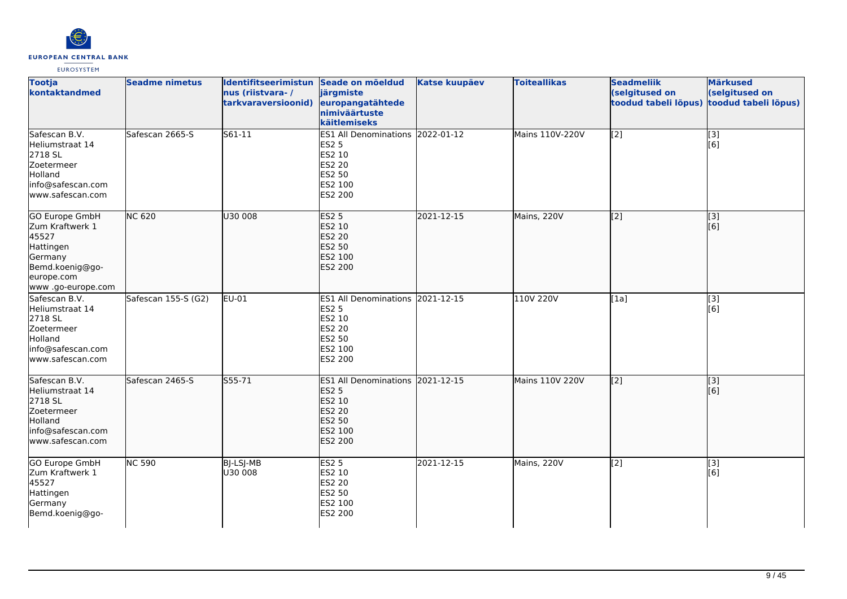

| <b>Tootja</b><br>kontaktandmed                                                                                                   | <b>Seadme nimetus</b> | Identifitseerimistun Seade on mõeldud<br>nus (riistvara-/<br>tarkvaraversioonid) | järgmiste<br>europangatähtede<br>nimiväärtuste<br>käitlemiseks                                              | <b>Katse kuupäev</b> | <b>Toiteallikas</b> | <b>Seadmeliik</b><br>(selgitused on<br>toodud tabeli lõpus) | <b>Märkused</b><br>(selgitused on<br>toodud tabeli lõpus) |
|----------------------------------------------------------------------------------------------------------------------------------|-----------------------|----------------------------------------------------------------------------------|-------------------------------------------------------------------------------------------------------------|----------------------|---------------------|-------------------------------------------------------------|-----------------------------------------------------------|
| Safescan B.V.<br>Heliumstraat 14<br>2718 SL<br>Zoetermeer<br>Holland<br>info@safescan.com<br>www.safescan.com                    | Safescan 2665-S       | S61-11                                                                           | ES1 All Denominations 2022-01-12<br><b>ES2 5</b><br>ES2 10<br>ES2 20<br>ES2 50<br>ES2 100<br>ES2 200        |                      | Mains 110V-220V     | [2]                                                         | $\begin{bmatrix} 3 \\ 6 \end{bmatrix}$                    |
| <b>GO Europe GmbH</b><br>Zum Kraftwerk 1<br>45527<br>Hattingen<br>Germany<br>Bemd.koenig@go-<br>europe.com<br>www .go-europe.com | <b>NC 620</b>         | U30 008                                                                          | <b>ES2 5</b><br>ES2 10<br>ES2 20<br>ES2 50<br>ES2 100<br>ES2 200                                            | 2021-12-15           | Mains, 220V         | $\overline{[2]}$                                            | [3]<br>[6]                                                |
| Safescan B.V.<br>Heliumstraat 14<br>2718 SL<br>Zoetermeer<br>Holland<br>info@safescan.com<br>www.safescan.com                    | Safescan 155-S (G2)   | <b>EU-01</b>                                                                     | ES1 All Denominations 2021-12-15<br><b>ES2 5</b><br>ES2 10<br><b>ES2 20</b><br>ES2 50<br>ES2 100<br>ES2 200 |                      | 110V 220V           | [1a]                                                        | $\overline{[}3]$<br>[6]                                   |
| Safescan B.V.<br>Heliumstraat 14<br>2718 SL<br>Zoetermeer<br>Holland<br>info@safescan.com<br>www.safescan.com                    | Safescan 2465-S       | S55-71                                                                           | ES1 All Denominations 2021-12-15<br><b>ES2 5</b><br>ES2 10<br><b>ES2 20</b><br>ES2 50<br>ES2 100<br>ES2 200 |                      | Mains 110V 220V     | $\left[2\right]$                                            | [3]<br>[6]                                                |
| <b>GO Europe GmbH</b><br>Zum Kraftwerk 1<br>45527<br>Hattingen<br>Germany<br>Bemd.koenig@go-                                     | <b>NC 590</b>         | BJ-LSJ-MB<br>U30 008                                                             | <b>ES2 5</b><br>ES2 10<br>ES2 20<br>ES2 50<br>ES2 100<br>ES2 200                                            | 2021-12-15           | Mains, 220V         | $\overline{[2]}$                                            | [3]<br>[6]                                                |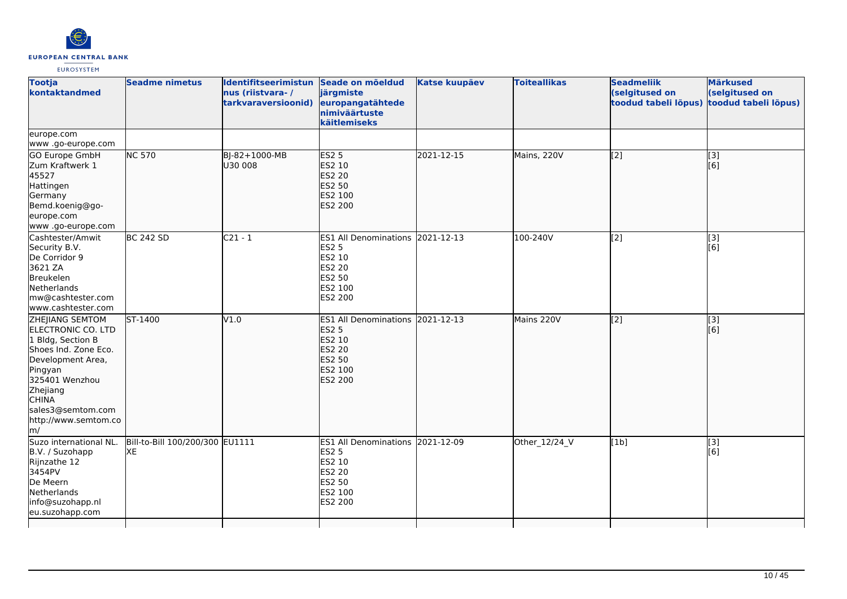

| <b>Tootja</b><br>kontaktandmed                                                                                                                                                                                                                   | <b>Seadme nimetus</b>                 | Identifitseerimistun Seade on mõeldud<br>nus (riistvara-/<br>tarkvaraversioonid) | järgmiste<br>europangatähtede<br>nimiväärtuste<br>käitlemiseks                                                     | <b>Katse kuupäev</b> | <b>Toiteallikas</b> | <b>Seadmeliik</b><br>(selgitused on<br>toodud tabeli lõpus) | <b>Märkused</b><br>(selgitused on<br>toodud tabeli lõpus) |
|--------------------------------------------------------------------------------------------------------------------------------------------------------------------------------------------------------------------------------------------------|---------------------------------------|----------------------------------------------------------------------------------|--------------------------------------------------------------------------------------------------------------------|----------------------|---------------------|-------------------------------------------------------------|-----------------------------------------------------------|
| europe.com<br>www.go-europe.com                                                                                                                                                                                                                  |                                       |                                                                                  |                                                                                                                    |                      |                     |                                                             |                                                           |
| GO Europe GmbH<br>Zum Kraftwerk 1<br>45527<br>Hattingen<br>Germany<br>Bemd.koenig@go-<br>europe.com<br>www.go-europe.com                                                                                                                         | <b>NC 570</b>                         | BJ-82+1000-MB<br>U30 008                                                         | <b>ES2 5</b><br>ES2 10<br><b>ES2 20</b><br><b>ES2 50</b><br>ES2 100<br><b>ES2 200</b>                              | 2021-12-15           | Mains, 220V         | $\overline{[2]}$                                            | $\overline{[}3]$<br>[6]                                   |
| Cashtester/Amwit<br>Security B.V.<br>De Corridor 9<br>3621 ZA<br>Breukelen<br>Netherlands<br>mw@cashtester.com<br>www.cashtester.com                                                                                                             | <b>BC 242 SD</b>                      | $C21 - 1$                                                                        | ES1 All Denominations 2021-12-13<br><b>ES2 5</b><br>ES2 10<br><b>ES2 20</b><br><b>ES2 50</b><br>ES2 100<br>ES2 200 |                      | 100-240V            | [2]                                                         | [3]<br>[6]                                                |
| <b>ZHEJIANG SEMTOM</b><br>ELECTRONIC CO. LTD<br>1 Bldg, Section B<br>Shoes Ind. Zone Eco.<br>Development Area,<br>Pingyan<br>325401 Wenzhou<br>Zhejiang<br><b>CHINA</b><br>sales3@semtom.com<br>http://www.semtom.co<br>$\mathsf{Im}/\mathsf{I}$ | $5T-1400$                             | V1.0                                                                             | <b>ES1 All Denominations</b><br><b>ES2 5</b><br>ES2 10<br><b>ES2 20</b><br><b>ES2 50</b><br>ES2 100<br>ES2 200     | 2021-12-13           | Mains 220V          | [2]                                                         | [3]<br>[6]                                                |
| Suzo international NL.<br>B.V. / Suzohapp<br>Rijnzathe 12<br>3454PV<br>De Meern<br>Netherlands<br>info@suzohapp.nl<br>eu.suzohapp.com                                                                                                            | Bill-to-Bill 100/200/300 EU1111<br>XE |                                                                                  | ES1 All Denominations 2021-12-09<br><b>ES2 5</b><br>ES2 10<br><b>ES2 20</b><br>ES2 50<br>ES2 100<br>ES2 200        |                      | Other_12/24_V       | [1b]                                                        | $[3]$<br>[6]                                              |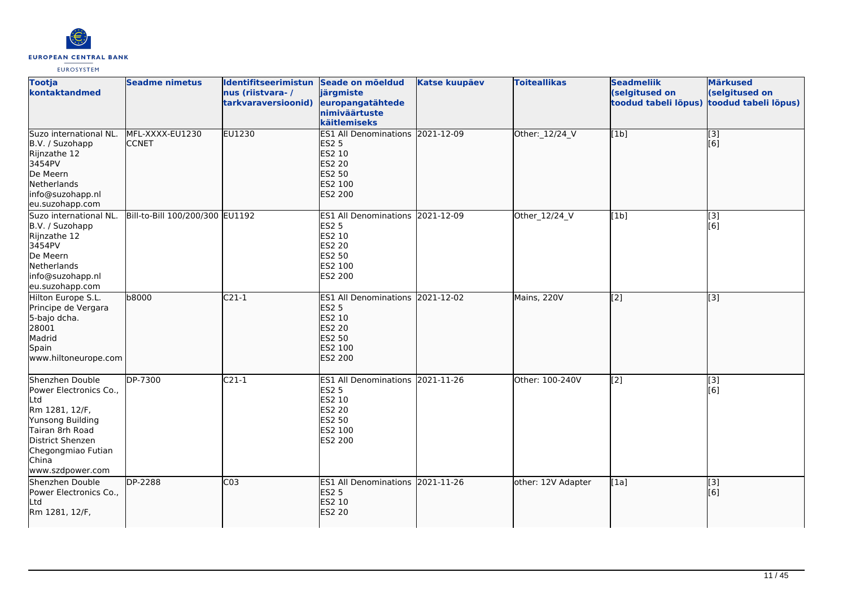

| <b>Tootja</b><br>kontaktandmed                                                                                                                                                   | <b>Seadme nimetus</b>           | Identifitseerimistun Seade on mõeldud<br>nus (riistvara-/<br>tarkvaraversioonid) | järgmiste<br>europangatähtede<br>nimiväärtuste<br>käitlemiseks                                                     | <b>Katse kuupäev</b> | <b>Toiteallikas</b> | <b>Seadmeliik</b><br>(selgitused on<br>toodud tabeli lõpus) | <b>Märkused</b><br>(selgitused on<br>toodud tabeli lõpus) |
|----------------------------------------------------------------------------------------------------------------------------------------------------------------------------------|---------------------------------|----------------------------------------------------------------------------------|--------------------------------------------------------------------------------------------------------------------|----------------------|---------------------|-------------------------------------------------------------|-----------------------------------------------------------|
| Suzo international NL.<br>B.V. / Suzohapp<br>Rijnzathe 12<br>3454PV<br>De Meern<br>Netherlands<br>info@suzohapp.nl<br>eu.suzohapp.com                                            | MFL-XXXX-EU1230<br><b>CCNET</b> | EU1230                                                                           | ES1 All Denominations 2021-12-09<br><b>ES2 5</b><br>ES2 10<br><b>ES2 20</b><br><b>ES2 50</b><br>ES2 100<br>ES2 200 |                      | Other: 12/24_V      | [1b]                                                        | $\begin{bmatrix} 3 \\ 6 \end{bmatrix}$                    |
| Suzo international NL.<br>B.V. / Suzohapp<br>Rijnzathe 12<br>3454PV<br>De Meern<br>Netherlands<br>info@suzohapp.nl<br>eu.suzohapp.com                                            | Bill-to-Bill 100/200/300 EU1192 |                                                                                  | ES1 All Denominations 2021-12-09<br><b>ES2 5</b><br><b>ES2 10</b><br><b>ES2 20</b><br>ES2 50<br>ES2 100<br>ES2 200 |                      | Other_12/24_V       | [1b]                                                        | $\overline{[3]}$<br>[6]                                   |
| Hilton Europe S.L.<br>Principe de Vergara<br>5-bajo dcha.<br>28001<br>Madrid<br>Spain<br>www.hiltoneurope.com                                                                    | b8000                           | $C21-1$                                                                          | ES1 All Denominations 2021-12-02<br><b>ES2 5</b><br>ES2 10<br><b>ES2 20</b><br>ES2 50<br>ES2 100<br>ES2 200        |                      | Mains, 220V         | [2]                                                         | [3]                                                       |
| Shenzhen Double<br>Power Electronics Co.,<br>Ltd<br>Rm 1281, 12/F,<br>Yunsong Building<br>Tairan 8rh Road<br>District Shenzen<br>Chegongmiao Futian<br>China<br>www.szdpower.com | DP-7300                         | $C21-1$                                                                          | ES1 All Denominations 2021-11-26<br><b>ES2 5</b><br>ES2 10<br><b>ES2 20</b><br><b>ES2 50</b><br>ES2 100<br>ES2 200 |                      | Other: 100-240V     | [2]                                                         | [3]<br>[6]                                                |
| Shenzhen Double<br>Power Electronics Co.,<br>Ltd<br>Rm 1281, 12/F,                                                                                                               | <b>DP-2288</b>                  | CO <sub>3</sub>                                                                  | ES1 All Denominations 2021-11-26<br><b>ES2 5</b><br>ES2 10<br><b>ES2 20</b>                                        |                      | other: 12V Adapter  | [1a]                                                        | $\vert$ [3]<br>[6]                                        |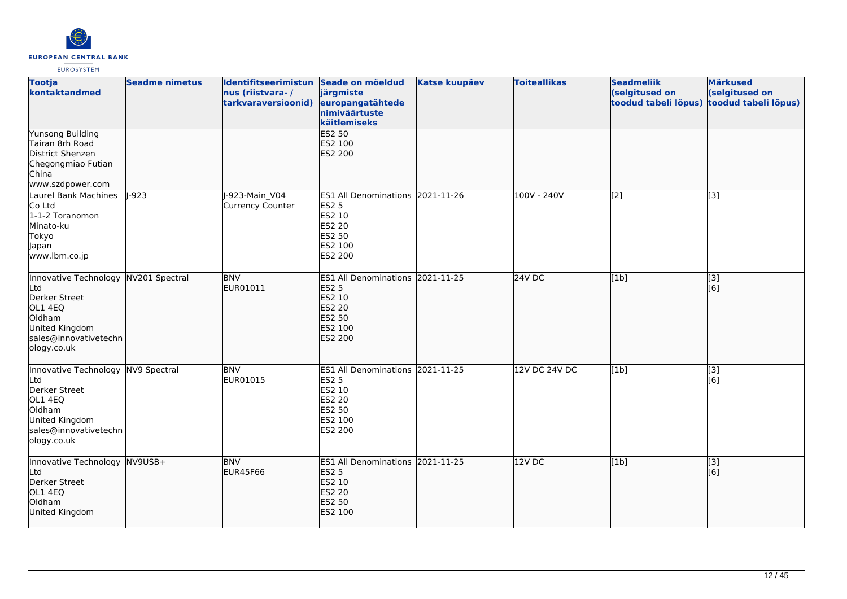

| <b>Tootja</b><br>kontaktandmed                                                                                                            | <b>Seadme nimetus</b> | Identifitseerimistun Seade on mõeldud<br>nus (riistvara-/<br>tarkvaraversioonid) | järgmiste<br>europangatähtede<br>nimiväärtuste<br>käitlemiseks                                              | <b>Katse kuupäev</b> | <b>Toiteallikas</b> | <b>Seadmeliik</b><br>(selgitused on<br>toodud tabeli lõpus) | <b>Märkused</b><br>(selgitused on<br>toodud tabeli lõpus) |
|-------------------------------------------------------------------------------------------------------------------------------------------|-----------------------|----------------------------------------------------------------------------------|-------------------------------------------------------------------------------------------------------------|----------------------|---------------------|-------------------------------------------------------------|-----------------------------------------------------------|
| <b>Yunsong Building</b><br>Tairan 8rh Road<br>District Shenzen<br>Chegongmiao Futian<br>China<br>www.szdpower.com                         |                       |                                                                                  | <b>ES2 50</b><br>ES2 100<br><b>ES2 200</b>                                                                  |                      |                     |                                                             |                                                           |
| Laurel Bank Machines<br>Co Ltd<br>1-1-2 Toranomon<br>Minato-ku<br>Tokyo<br>Japan<br>www.lbm.co.jp                                         | $-923$                | J-923-Main_V04<br><b>Currency Counter</b>                                        | ES1 All Denominations 2021-11-26<br><b>ES2 5</b><br>ES2 10<br>ES2 20<br>ES2 50<br>ES2 100<br>ES2 200        |                      | 100V - 240V         | [2]                                                         | $\overline{[3]}$                                          |
| Innovative Technology<br>Ltd<br>Derker Street<br>OL1 4EQ<br>Oldham<br>United Kingdom<br>sales@innovativetechn<br>ology.co.uk              | NV201 Spectral        | <b>BNV</b><br>EUR01011                                                           | ES1 All Denominations 2021-11-25<br><b>ES2 5</b><br>ES2 10<br><b>ES2 20</b><br>ES2 50<br>ES2 100<br>ES2 200 |                      | 24V DC              | [1b]                                                        | [3]<br>[6]                                                |
| Innovative Technology NV9 Spectral<br>Ltd<br>Derker Street<br>OL1 4EQ<br>Oldham<br>United Kingdom<br>sales@innovativetechn<br>ology.co.uk |                       | <b>BNV</b><br>EUR01015                                                           | ES1 All Denominations 2021-11-25<br><b>ES2 5</b><br>ES2 10<br><b>ES2 20</b><br>ES2 50<br>ES2 100<br>ES2 200 |                      | 12V DC 24V DC       | [1b]                                                        | [3]<br>[6]                                                |
| Innovative Technology<br>Ltd<br>Derker Street<br>OL1 4EQ<br>Oldham<br>United Kingdom                                                      | $NV9USB+$             | <b>BNV</b><br><b>EUR45F66</b>                                                    | <b>ES1 All Denominations</b><br><b>ES2 5</b><br>ES2 10<br><b>ES2 20</b><br><b>ES2 50</b><br>ES2 100         | 2021-11-25           | 12VDC               | [1b]                                                        | $\overline{[}3]$<br>[6]                                   |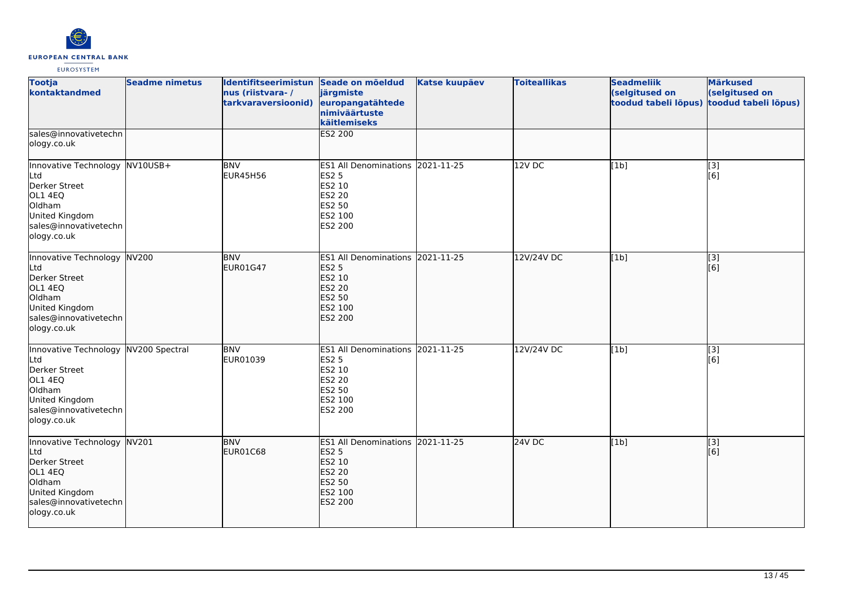

| <b>Tootja</b><br>kontaktandmed                                                                                                              | <b>Seadme nimetus</b> | Identifitseerimistun Seade on mõeldud<br>nus (riistvara-/<br>tarkvaraversioonid) | järgmiste<br>europangatähtede<br>nimiväärtuste<br>käitlemiseks                                              | <b>Katse kuupäev</b> | <b>Toiteallikas</b> | <b>Seadmeliik</b><br>(selgitused on<br>toodud tabeli lõpus) | <b>Märkused</b><br>(selgitused on<br>toodud tabeli lõpus) |
|---------------------------------------------------------------------------------------------------------------------------------------------|-----------------------|----------------------------------------------------------------------------------|-------------------------------------------------------------------------------------------------------------|----------------------|---------------------|-------------------------------------------------------------|-----------------------------------------------------------|
| sales@innovativetechn<br>ology.co.uk                                                                                                        |                       |                                                                                  | ES2 200                                                                                                     |                      |                     |                                                             |                                                           |
| Innovative Technology NV10USB+<br>Ltd<br>Derker Street<br>OL1 4EQ<br>Oldham<br>United Kingdom<br>sales@innovativetechn<br>ology.co.uk       |                       | <b>BNV</b><br><b>EUR45H56</b>                                                    | ES1 All Denominations 2021-11-25<br><b>ES2 5</b><br>ES2 10<br>ES2 20<br>ES2 50<br>ES2 100<br>ES2 200        |                      | 12V DC              | [1b]                                                        | [3]<br>[6]                                                |
| Innovative Technology NV200<br>Ltd<br>Derker Street<br>OL1 4EQ<br>Oldham<br>United Kingdom<br>sales@innovativetechn<br>ology.co.uk          |                       | <b>BNV</b><br><b>EUR01G47</b>                                                    | ES1 All Denominations 2021-11-25<br><b>ES2 5</b><br>ES2 10<br>ES2 20<br>ES2 50<br>ES2 100<br>ES2 200        |                      | 12V/24V DC          | [1b]                                                        | $\overline{[3]}$<br>[6]                                   |
| Innovative Technology NV200 Spectral<br>Ltd<br>Derker Street<br>OL1 4EQ<br>Oldham<br>United Kingdom<br>sales@innovativetechn<br>ology.co.uk |                       | <b>BNV</b><br>EUR01039                                                           | ES1 All Denominations 2021-11-25<br><b>ES2 5</b><br>ES2 10<br><b>ES2 20</b><br>ES2 50<br>ES2 100<br>ES2 200 |                      | 12V/24V DC          | [1b]                                                        | $\begin{bmatrix} 3 \\ 6 \end{bmatrix}$                    |
| Innovative Technology NV201<br>Ltd<br>Derker Street<br>OL1 4EQ<br>Oldham<br>United Kingdom<br>sales@innovativetechn<br>ology.co.uk          |                       | <b>BNV</b><br>EUR01C68                                                           | ES1 All Denominations 2021-11-25<br><b>ES2 5</b><br>ES2 10<br><b>ES2 20</b><br>ES2 50<br>ES2 100<br>ES2 200 |                      | $24V$ DC            | [1b]                                                        | $\overline{[}3]$<br>[6]                                   |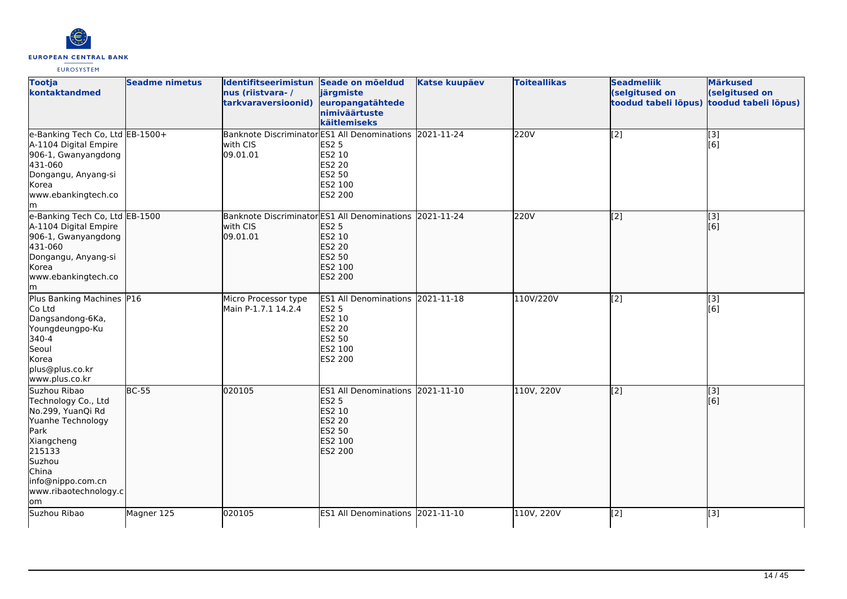

| <b>Tootja</b><br>kontaktandmed                                                                                                                                                        | <b>Seadme nimetus</b> | Identifitseerimistun Seade on mõeldud<br>nus (riistvara-/<br>tarkvaraversioonid) | järgmiste<br>europangatähtede<br>nimiväärtuste<br>käitlemiseks                                                     | <b>Katse kuupäev</b> | <b>Toiteallikas</b> | <b>Seadmeliik</b><br>(selgitused on<br>toodud tabeli lõpus) | <b>Märkused</b><br>(selgitused on<br>toodud tabeli lõpus) |
|---------------------------------------------------------------------------------------------------------------------------------------------------------------------------------------|-----------------------|----------------------------------------------------------------------------------|--------------------------------------------------------------------------------------------------------------------|----------------------|---------------------|-------------------------------------------------------------|-----------------------------------------------------------|
| e-Banking Tech Co, Ltd EB-1500+<br>A-1104 Digital Empire<br>906-1, Gwanyangdong<br>431-060<br>Dongangu, Anyang-si<br>Korea<br>www.ebankingtech.co<br>lm.                              |                       | <b>Banknote Discriminator</b><br>with CIS<br>09.01.01                            | ES1 All Denominations 2021-11-24<br><b>ES2 5</b><br>ES2 10<br>ES2 20<br>ES2 50<br>ES2 100<br>ES2 200               |                      | 220V                | $\overline{[2]}$                                            | [3]<br>[6]                                                |
| e-Banking Tech Co, Ltd EB-1500<br>A-1104 Digital Empire<br>906-1, Gwanyangdong<br>431-060<br>Dongangu, Anyang-si<br>lKorea<br>www.ebankingtech.co<br>Im                               |                       | Banknote Discriminator ES1 All Denominations 2021-11-24<br>with CIS<br>09.01.01  | <b>ES2 5</b><br>ES2 10<br><b>ES2 20</b><br>ES2 50<br>ES2 100<br><b>ES2 200</b>                                     |                      | 220V                | $\overline{[2]}$                                            | [3]<br>[6]                                                |
| Plus Banking Machines P16<br>Co Ltd<br>Dangsandong-6Ka,<br>Youngdeungpo-Ku<br>340-4<br>Seoul<br>Korea<br>plus@plus.co.kr<br>www.plus.co.kr                                            |                       | Micro Processor type<br>Main P-1.7.1 14.2.4                                      | ES1 All Denominations 2021-11-18<br><b>ES2 5</b><br>ES2 10<br><b>ES2 20</b><br>ES2 50<br>ES2 100<br>ES2 200        |                      | 110V/220V           | $\overline{[2]}$                                            | $\overline{[}3]$<br>[6]                                   |
| Suzhou Ribao<br>Technology Co., Ltd<br>No.299, YuanQi Rd<br>Yuanhe Technology<br>Park<br>Xiangcheng<br>215133<br>Suzhou<br>China<br>info@nippo.com.cn<br>www.ribaotechnology.c<br>lom | <b>BC-55</b>          | 020105                                                                           | ES1 All Denominations 2021-11-10<br><b>ES2 5</b><br>ES2 10<br><b>ES2 20</b><br>ES2 50<br>ES2 100<br><b>ES2 200</b> |                      | 110V, 220V          | $\overline{[2]}$                                            | [3]<br>[6]                                                |
| Suzhou Ribao                                                                                                                                                                          | Magner 125            | 020105                                                                           | ES1 All Denominations 2021-11-10                                                                                   |                      | 110V, 220V          | [2]                                                         | $[3]$                                                     |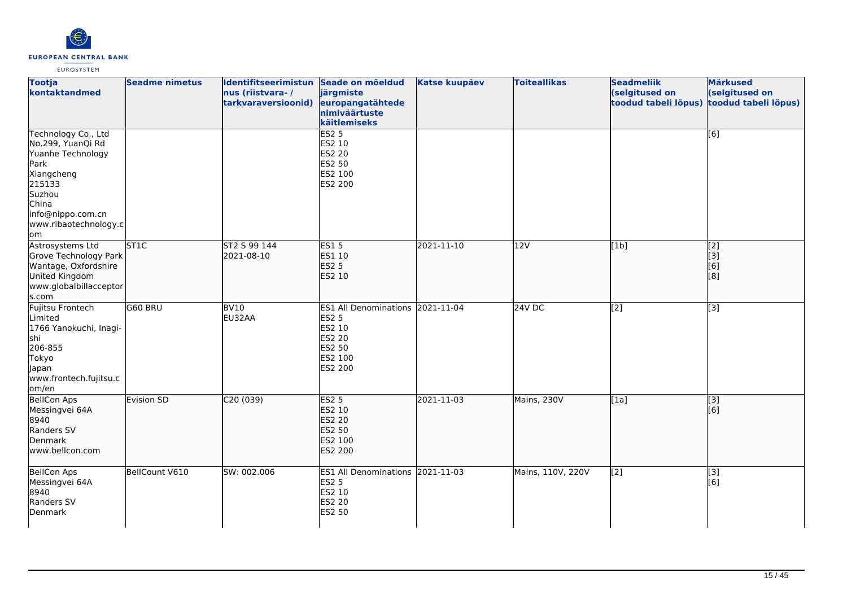

| <b>Tootja</b><br>kontaktandmed                                                                                                                                        | <b>Seadme nimetus</b> | Identifitseerimistun Seade on mõeldud<br>nus (riistvara-/<br>tarkvaraversioonid) | järgmiste<br>europangatähtede<br>nimiväärtuste<br>käitlemiseks                                              | <b>Katse kuupäev</b> | <b>Toiteallikas</b> | <b>Seadmeliik</b><br>(selgitused on<br>toodud tabeli lõpus) | <b>Märkused</b><br>(selgitused on<br>toodud tabeli lõpus) |
|-----------------------------------------------------------------------------------------------------------------------------------------------------------------------|-----------------------|----------------------------------------------------------------------------------|-------------------------------------------------------------------------------------------------------------|----------------------|---------------------|-------------------------------------------------------------|-----------------------------------------------------------|
| Technology Co., Ltd<br>No.299, YuanQi Rd<br>Yuanhe Technology<br>Park<br>Xiangcheng<br>215133<br>Suzhou<br>China<br>info@nippo.com.cn<br>www.ribaotechnology.c<br>lom |                       |                                                                                  | <b>ES2 5</b><br>ES2 10<br><b>ES2 20</b><br>ES2 50<br>ES2 100<br>ES2 200                                     |                      |                     |                                                             | [6]                                                       |
| Astrosystems Ltd<br>Grove Technology Park<br>Wantage, Oxfordshire<br>United Kingdom<br>www.globalbillacceptor<br>s.com                                                | ST <sub>1C</sub>      | ST2 S 99 144<br>2021-08-10                                                       | <b>ES15</b><br>ES1 10<br><b>ES2 5</b><br>ES2 10                                                             | 2021-11-10           | 12V                 | [1b]                                                        | $\left[$ [2]<br>$\vert$ [3]<br>[6]<br>[8]                 |
| Fujitsu Frontech<br>Limited<br>1766 Yanokuchi, Inagi-<br>lshi<br>206-855<br>Tokyo<br>Japan<br>www.frontech.fujitsu.c<br>om/en                                         | G60 BRU               | BV <sub>10</sub><br>EU32AA                                                       | ES1 All Denominations 2021-11-04<br><b>ES2 5</b><br>ES2 10<br><b>ES2 20</b><br>ES2 50<br>ES2 100<br>ES2 200 |                      | 24V DC              | $\overline{[2]}$                                            | $\overline{[3]}$                                          |
| <b>BellCon Aps</b><br>Messingvei 64A<br>8940<br>Randers SV<br>Denmark<br>www.bellcon.com                                                                              | Evision SD            | C20 (039)                                                                        | <b>ES2 5</b><br>ES2 10<br>ES2 20<br>ES2 50<br>ES2 100<br>ES2 200                                            | 2021-11-03           | Mains, 230V         | [1a]                                                        | [3]<br>[6]                                                |
| <b>BellCon Aps</b><br>Messingvei 64A<br>8940<br>Randers SV<br>Denmark                                                                                                 | BellCount V610        | SW: 002.006                                                                      | ES1 All Denominations 2021-11-03<br><b>ES2 5</b><br>ES2 10<br><b>ES2 20</b><br>ES2 50                       |                      | Mains, 110V, 220V   | [2]                                                         | $\overline{[3]}$<br>[6]                                   |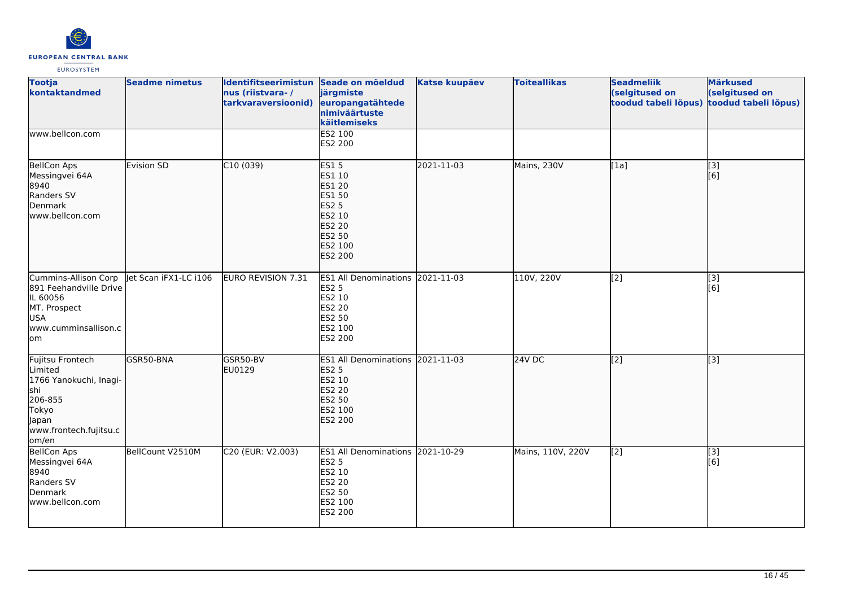

| <b>Tootja</b><br>kontaktandmed                                                                                                        | <b>Seadme nimetus</b> | Identifitseerimistun Seade on mõeldud<br>nus (riistvara-/<br>tarkvaraversioonid) | järgmiste<br>europangatähtede<br>nimiväärtuste<br>käitlemiseks                                                              | <b>Katse kuupäev</b> | <b>Toiteallikas</b> | <b>Seadmeliik</b><br>(selgitused on<br>toodud tabeli lõpus) | <b>Märkused</b><br>(selgitused on<br>toodud tabeli lõpus) |
|---------------------------------------------------------------------------------------------------------------------------------------|-----------------------|----------------------------------------------------------------------------------|-----------------------------------------------------------------------------------------------------------------------------|----------------------|---------------------|-------------------------------------------------------------|-----------------------------------------------------------|
| www.bellcon.com                                                                                                                       |                       |                                                                                  | <b>ES2 100</b><br>ES2 200                                                                                                   |                      |                     |                                                             |                                                           |
| BellCon Aps<br>Messingvei 64A<br>8940<br>Randers SV<br>Denmark<br>www.bellcon.com                                                     | Evision SD            | C10(039)                                                                         | <b>ES15</b><br>ES1 10<br>ES1 20<br><b>ES1 50</b><br><b>ES2 5</b><br>ES2 10<br><b>ES2 20</b><br>ES2 50<br>ES2 100<br>ES2 200 | 2021-11-03           | Mains, 230V         | [1a]                                                        | [3]<br>[6]                                                |
| Cummins-Allison Corp<br>891 Feehandville Drive<br>IL 60056<br>MT. Prospect<br><b>USA</b><br>www.cumminsallison.c<br>lom               | Jet Scan iFX1-LC i106 | EURO REVISION 7.31                                                               | ES1 All Denominations 2021-11-03<br><b>ES2 5</b><br>ES2 10<br>ES2 20<br>ES2 50<br>ES2 100<br>ES2 200                        |                      | 110V, 220V          | $\overline{[2]}$                                            | $\begin{bmatrix} 13 \\ 6 \end{bmatrix}$                   |
| Fujitsu Frontech<br>Limited<br>1766 Yanokuchi, Inagi-<br><b>s</b> hi<br>206-855<br>Tokyo<br>Japan<br>www.frontech.fujitsu.c<br>lom/en | GSR50-BNA             | GSR50-BV<br>EU0129                                                               | ES1 All Denominations 2021-11-03<br><b>ES2 5</b><br>ES2 10<br><b>ES2 20</b><br><b>ES2 50</b><br>ES2 100<br>ES2 200          |                      | 24V DC              | $\overline{[2]}$                                            | $\overline{[3]}$                                          |
| <b>BellCon Aps</b><br>Messingvei 64A<br>8940<br>Randers SV<br>Denmark<br>www.bellcon.com                                              | BellCount V2510M      | C20 (EUR: V2.003)                                                                | ES1 All Denominations 2021-10-29<br><b>ES2 5</b><br>ES2 10<br>ES2 20<br>ES2 50<br>ES2 100<br>ES2 200                        |                      | Mains, 110V, 220V   | $\left[2\right]$                                            | [3]<br>[6]                                                |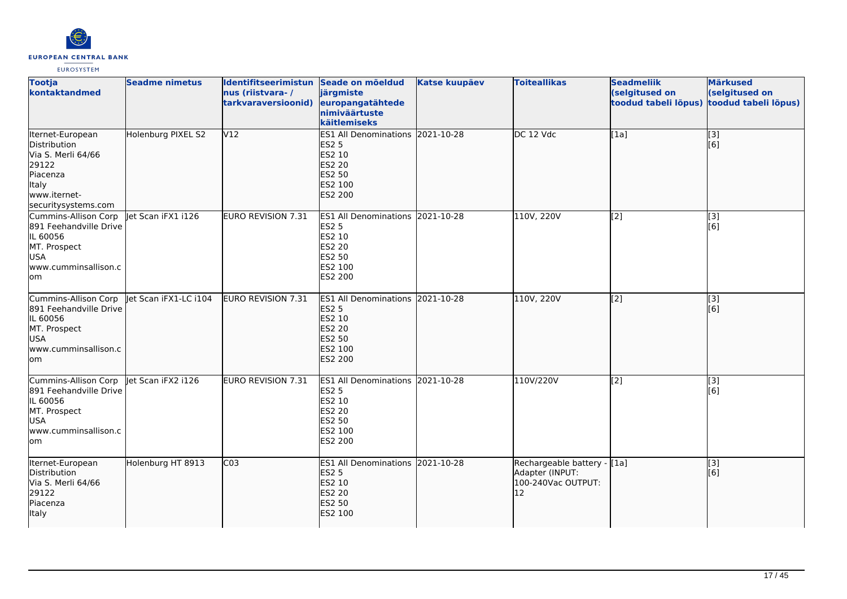

| <b>Tootja</b><br>kontaktandmed                                                                                              | <b>Seadme nimetus</b> | Identifitseerimistun Seade on mõeldud<br>nus (riistvara-/<br>tarkvaraversioonid) | järgmiste<br>europangatähtede<br>nimiväärtuste<br>käitlemiseks                                                     | <b>Katse kuupäev</b> | <b>Toiteallikas</b>                                                        | <b>Seadmeliik</b><br>(selgitused on<br>toodud tabeli lõpus) | <b>Märkused</b><br>(selgitused on<br>toodud tabeli lõpus) |
|-----------------------------------------------------------------------------------------------------------------------------|-----------------------|----------------------------------------------------------------------------------|--------------------------------------------------------------------------------------------------------------------|----------------------|----------------------------------------------------------------------------|-------------------------------------------------------------|-----------------------------------------------------------|
| Iternet-European<br>Distribution<br>Via S. Merli 64/66<br>29122<br>Piacenza<br>Italy<br>www.iternet-<br>securitysystems.com | Holenburg PIXEL S2    | V12                                                                              | ES1 All Denominations 2021-10-28<br><b>ES2 5</b><br>ES2 10<br><b>ES2 20</b><br>ES2 50<br>ES2 100<br><b>ES2 200</b> |                      | DC 12 Vdc                                                                  | [1a]                                                        | [3]<br>[6]                                                |
| Cummins-Allison Corp<br>891 Feehandville Drive<br>IL 60056<br>MT. Prospect<br><b>USA</b><br>www.cumminsallison.c<br>lom     | let Scan iFX1 i126    | <b>EURO REVISION 7.31</b>                                                        | ES1 All Denominations 2021-10-28<br><b>ES2 5</b><br>ES2 10<br>ES2 20<br><b>ES2 50</b><br>ES2 100<br>ES2 200        |                      | 110V, 220V                                                                 | [2]                                                         | [3]<br>[6]                                                |
| Cummins-Allison Corp<br>891 Feehandville Drive<br>IL 60056<br>MT. Prospect<br><b>USA</b><br>www.cumminsallison.c<br>lom     | let Scan iFX1-LC i104 | <b>EURO REVISION 7.31</b>                                                        | ES1 All Denominations 2021-10-28<br><b>ES2 5</b><br>ES2 10<br><b>ES2 20</b><br>ES2 50<br>ES2 100<br><b>ES2 200</b> |                      | 110V, 220V                                                                 | $\overline{[2]}$                                            | $\sqrt{3}$<br>[6]                                         |
| Cummins-Allison Corp<br>891 Feehandville Drive<br>IL 60056<br>MT. Prospect<br><b>USA</b><br>www.cumminsallison.c<br>lom     | let Scan iFX2 i126    | <b>EURO REVISION 7.31</b>                                                        | ES1 All Denominations 2021-10-28<br><b>ES2 5</b><br>ES2 10<br><b>ES2 20</b><br>ES2 50<br>ES2 100<br>ES2 200        |                      | 110V/220V                                                                  | $\sqrt{2}$                                                  | $\left[ \begin{matrix} 3 \end{matrix} \right]$<br>[6]     |
| Iternet-European<br>Distribution<br>Via S. Merli 64/66<br>29122<br>Piacenza<br>Italy                                        | Holenburg HT 8913     | CO <sub>3</sub>                                                                  | ES1 All Denominations 2021-10-28<br><b>ES2 5</b><br>ES2 10<br><b>ES2 20</b><br>ES2 50<br>ES2 100                   |                      | Rechargeable battery - [1a]<br>Adapter (INPUT:<br>100-240Vac OUTPUT:<br>12 |                                                             | $\left[ \begin{matrix} 3 \end{matrix} \right]$<br>[6]     |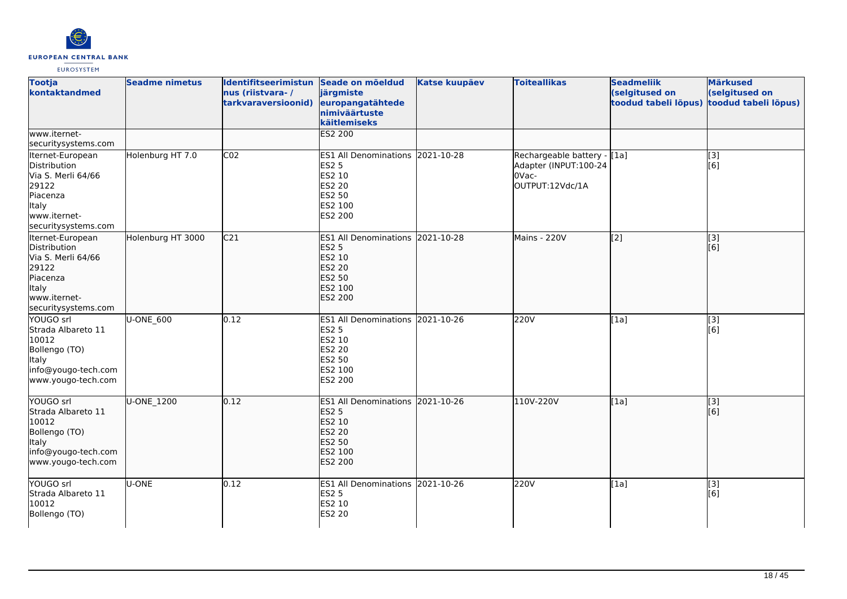

| <b>Tootja</b><br>kontaktandmed                                                                                              | <b>Seadme nimetus</b> | Identifitseerimistun Seade on mõeldud<br>nus (riistvara-/<br>tarkvaraversioonid) | järgmiste<br>europangatähtede<br>nimiväärtuste<br>käitlemiseks                                                     | <b>Katse kuupäev</b> | <b>Toiteallikas</b>                                                              | <b>Seadmeliik</b><br>(selgitused on<br>toodud tabeli lõpus) | <b>Märkused</b><br>(selgitused on<br>toodud tabeli lõpus) |
|-----------------------------------------------------------------------------------------------------------------------------|-----------------------|----------------------------------------------------------------------------------|--------------------------------------------------------------------------------------------------------------------|----------------------|----------------------------------------------------------------------------------|-------------------------------------------------------------|-----------------------------------------------------------|
| www.iternet-<br>securitysystems.com                                                                                         |                       |                                                                                  | ES2 200                                                                                                            |                      |                                                                                  |                                                             |                                                           |
| Iternet-European<br>Distribution<br>Via S. Merli 64/66<br>29122<br>Piacenza<br>Italy<br>www.iternet-<br>securitysystems.com | Holenburg HT 7.0      | CO <sub>2</sub>                                                                  | ES1 All Denominations 2021-10-28<br><b>ES2 5</b><br>ES2 10<br>ES2 20<br><b>ES2 50</b><br>ES2 100<br>ES2 200        |                      | Rechargeable battery - [1a]<br>Adapter (INPUT:100-24<br>OVac-<br>OUTPUT:12Vdc/1A |                                                             | [3]<br>[6]                                                |
| Iternet-European<br>Distribution<br>Via S. Merli 64/66<br>29122<br>Piacenza<br>Italy<br>www.iternet-<br>securitysystems.com | Holenburg HT 3000     | C <sub>21</sub>                                                                  | ES1 All Denominations 2021-10-28<br><b>ES2 5</b><br>ES2 10<br><b>ES2 20</b><br><b>ES2 50</b><br>ES2 100<br>ES2 200 |                      | Mains - 220V                                                                     | $\overline{[2]}$                                            | [3]<br>[6]                                                |
| YOUGO srl<br>Strada Albareto 11<br>10012<br>Bollengo (TO)<br>Italy<br>info@yougo-tech.com<br>www.yougo-tech.com             | U-ONE 600             | 0.12                                                                             | ES1 All Denominations 2021-10-26<br><b>ES2 5</b><br>ES2 10<br>ES2 20<br><b>ES2 50</b><br>ES2 100<br>ES2 200        |                      | 220V                                                                             | [1a]                                                        | $\left[ \begin{matrix} 3 \end{matrix} \right]$<br>[6]     |
| YOUGO srl<br>Strada Albareto 11<br>10012<br>Bollengo (TO)<br><b>Italy</b><br>info@yougo-tech.com<br>www.yougo-tech.com      | U-ONE_1200            | 0.12                                                                             | ES1 All Denominations 2021-10-26<br><b>ES2 5</b><br>ES2 10<br><b>ES2 20</b><br>ES2 50<br>ES2 100<br><b>ES2 200</b> |                      | 110V-220V                                                                        | [1a]                                                        | $\sqrt{3}$<br>[6]                                         |
| YOUGO srl<br>Strada Albareto 11<br>10012<br>Bollengo (TO)                                                                   | U-ONE                 | 0.12                                                                             | ES1 All Denominations 2021-10-26<br><b>ES2 5</b><br>ES2 10<br><b>ES2 20</b>                                        |                      | 220V                                                                             | [1a]                                                        | [3]<br>[6]                                                |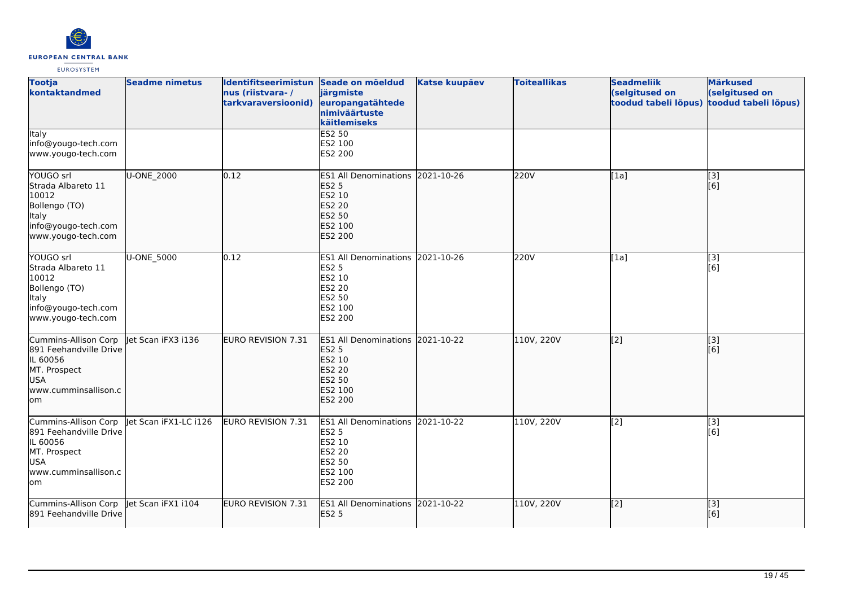

| <b>Tootja</b><br>kontaktandmed                                                                                          | <b>Seadme nimetus</b> | Identifitseerimistun Seade on mõeldud<br>nus (riistvara-/<br>tarkvaraversioonid) | järgmiste<br>europangatähtede<br>nimiväärtuste<br>käitlemiseks                                                        | <b>Katse kuupäev</b> | <b>Toiteallikas</b> | <b>Seadmeliik</b><br>(selgitused on<br>toodud tabeli lõpus) | <b>Märkused</b><br>(selgitused on<br>toodud tabeli lõpus) |
|-------------------------------------------------------------------------------------------------------------------------|-----------------------|----------------------------------------------------------------------------------|-----------------------------------------------------------------------------------------------------------------------|----------------------|---------------------|-------------------------------------------------------------|-----------------------------------------------------------|
| <b>Italy</b><br>info@yougo-tech.com<br>www.yougo-tech.com                                                               |                       |                                                                                  | ES2 50<br>ES2 100<br><b>ES2 200</b>                                                                                   |                      |                     |                                                             |                                                           |
| YOUGO srl<br>Strada Albareto 11<br>10012<br>Bollengo (TO)<br>Italy<br>info@yougo-tech.com<br>www.yougo-tech.com         | U-ONE_2000            | 0.12                                                                             | <b>ES1 All Denominations</b><br><b>ES2 5</b><br>ES2 10<br><b>ES2 20</b><br>ES2 50<br>ES2 100<br><b>ES2 200</b>        | 2021-10-26           | 220V                | [1a]                                                        | [3]<br>[6]                                                |
| YOUGO srl<br>Strada Albareto 11<br>10012<br>Bollengo (TO)<br>Italy<br>info@yougo-tech.com<br>www.yougo-tech.com         | U-ONE_5000            | 0.12                                                                             | ES1 All Denominations 2021-10-26<br><b>ES2 5</b><br>ES2 10<br><b>ES2 20</b><br><b>ES2 50</b><br>ES2 100<br>ES2 200    |                      | 220V                | [1a]                                                        | $\overline{[}3]$<br>[6]                                   |
| Cummins-Allison Corp<br>891 Feehandville Drive<br>IL 60056<br>MT. Prospect<br><b>USA</b><br>www.cumminsallison.c<br>lom | let Scan iFX3 i136    | <b>EURO REVISION 7.31</b>                                                        | <b>ES1 All Denominations</b><br><b>ES2 5</b><br>ES2 10<br><b>ES2 20</b><br><b>ES2 50</b><br>ES2 100<br><b>ES2 200</b> | 2021-10-22           | 110V, 220V          | $\overline{[2]}$                                            | $\overline{[}$ [3]<br>[6]                                 |
| Cummins-Allison Corp<br>891 Feehandville Drive<br>IL 60056<br>MT. Prospect<br><b>USA</b><br>www.cumminsallison.c<br>lom | let Scan iFX1-LC i126 | EURO REVISION 7.31                                                               | <b>ES1 All Denominations</b><br><b>ES2 5</b><br>ES2 10<br><b>ES2 20</b><br><b>ES2 50</b><br>ES2 100<br>ES2 200        | 2021-10-22           | 110V, 220V          | [2]                                                         | [3]<br>[6]                                                |
| Cummins-Allison Corp<br>891 Feehandville Drive                                                                          | Jet Scan iFX1 i104    | <b>EURO REVISION 7.31</b>                                                        | ES1 All Denominations 2021-10-22<br><b>ES2 5</b>                                                                      |                      | 110V, 220V          | [2]                                                         | [3]<br>[6]                                                |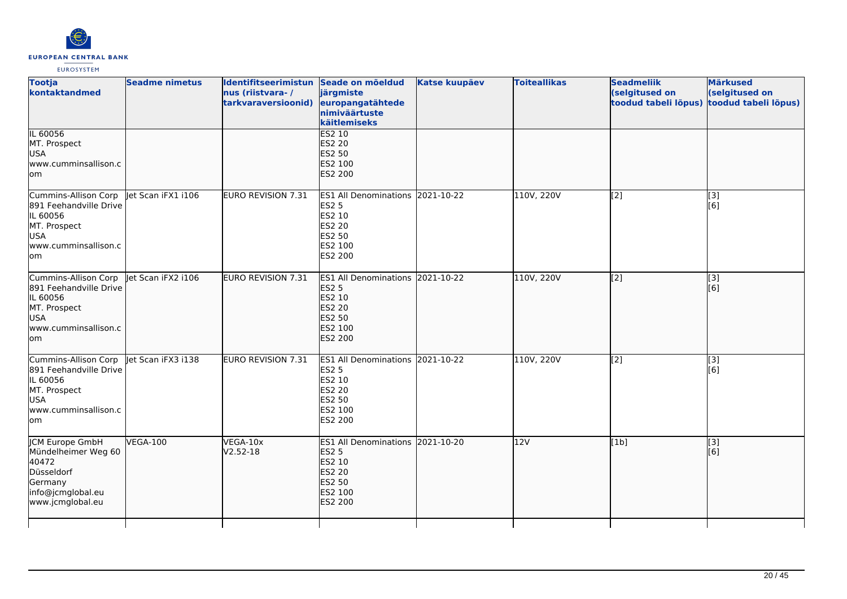

| <b>Seadme nimetus</b>                                                | nus (riistvara-/<br>tarkvaraversioonid) | järgmiste<br>nimiväärtuste<br>käitlemiseks                                     | <b>Katse kuupäev</b>                                                       | <b>Toiteallikas</b>                                                                                                                          | <b>Seadmeliik</b><br>(selgitused on<br>toodud tabeli lõpus) | <b>Märkused</b><br>(selgitused on<br>toodud tabeli lõpus) |
|----------------------------------------------------------------------|-----------------------------------------|--------------------------------------------------------------------------------|----------------------------------------------------------------------------|----------------------------------------------------------------------------------------------------------------------------------------------|-------------------------------------------------------------|-----------------------------------------------------------|
| www.cumminsallison.c                                                 |                                         | ES2 20<br>ES2 50<br>ES2 100<br><b>ES2 200</b>                                  |                                                                            |                                                                                                                                              |                                                             |                                                           |
| let Scan iFX1 1106<br>891 Feehandville Drive<br>www.cumminsallison.c | EURO REVISION 7.31                      | <b>ES2 5</b><br>ES2 10<br>ES2 20<br>ES2 50<br>ES2 100<br><b>ES2 200</b>        |                                                                            | 110V, 220V                                                                                                                                   | $\overline{[2]}$                                            | [3]<br>[6]                                                |
| let Scan iFX2 i106<br>891 Feehandville Drive<br>www.cumminsallison.c | EURO REVISION 7.31                      | <b>ES2 5</b><br>ES2 10<br><b>ES2 20</b><br><b>ES2 50</b><br>ES2 100<br>ES2 200 |                                                                            | 110V, 220V                                                                                                                                   | [2]                                                         | $\vert$ [3]<br>[6]                                        |
| let Scan iFX3 i138<br>891 Feehandville Drive<br>www.cumminsallison.c | <b>EURO REVISION 7.31</b>               | <b>ES2 5</b><br>ES2 10<br>ES2 20<br>ES2 50<br>ES2 100<br>ES2 200               |                                                                            | 110V, 220V                                                                                                                                   | $\overline{[2]}$                                            | [3]<br>[6]                                                |
| <b>VEGA-100</b>                                                      | VEGA-10x<br>$V2.52 - 18$                | <b>ES2 5</b><br><b>ES2 10</b><br>ES2 20<br>ES2 50<br>ES2 100<br><b>ES2 200</b> |                                                                            | 12V                                                                                                                                          | [1b]                                                        | $\vert$ [3]<br>[6]                                        |
|                                                                      |                                         |                                                                                | Identifitseerimistun Seade on mõeldud<br>europangatähtede<br><b>ES2 10</b> | ES1 All Denominations 2021-10-22<br>ES1 All Denominations 2021-10-22<br>ES1 All Denominations 2021-10-22<br>ES1 All Denominations 2021-10-20 |                                                             |                                                           |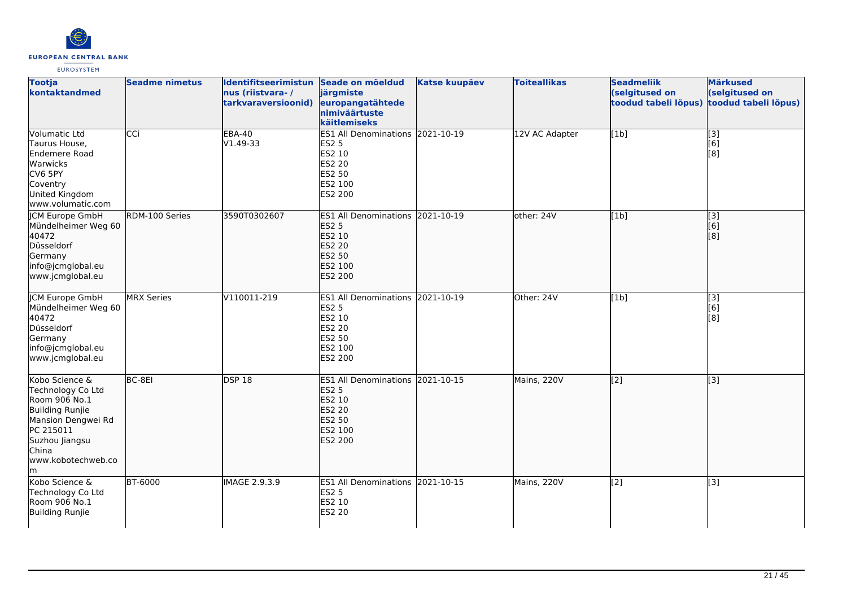

| <b>Tootja</b><br>kontaktandmed                                                                                                                                           | <b>Seadme nimetus</b> | <b>Identifitseerimistun</b><br>nus (riistvara-/<br>tarkvaraversioonid) | Seade on mõeldud<br>järgmiste<br>europangatähtede<br>nimiväärtuste<br>käitlemiseks                                 | <b>Katse kuupäev</b> | <b>Toiteallikas</b> | <b>Seadmeliik</b><br>(selgitused on<br>toodud tabeli lõpus) | <b>Märkused</b><br>(selgitused on<br>toodud tabeli lõpus) |
|--------------------------------------------------------------------------------------------------------------------------------------------------------------------------|-----------------------|------------------------------------------------------------------------|--------------------------------------------------------------------------------------------------------------------|----------------------|---------------------|-------------------------------------------------------------|-----------------------------------------------------------|
| Volumatic Ltd<br>Taurus House,<br><b>Endemere Road</b><br>Warwicks<br>CV6 5PY<br>Coventry<br>United Kingdom<br>www.volumatic.com                                         | CCi                   | <b>EBA-40</b><br>V1.49-33                                              | ES1 All Denominations 2021-10-19<br><b>ES2 5</b><br>ES2 10<br>ES2 20<br>ES2 50<br>ES2 100<br>ES2 200               |                      | 12V AC Adapter      | [1b]                                                        | $\overline{[3]}$<br>[6]<br>[8]                            |
| <b>ICM Europe GmbH</b><br>Mündelheimer Weg 60<br>40472<br>Düsseldorf<br>Germany<br>info@jcmglobal.eu<br>www.jcmglobal.eu                                                 | RDM-100 Series        | 3590T0302607                                                           | ES1 All Denominations 2021-10-19<br><b>ES2 5</b><br>ES2 10<br><b>ES2 20</b><br>ES2 50<br>ES2 100<br><b>ES2 200</b> |                      | other: 24V          | [1b]                                                        | $\overline{[}3]$<br>[6]<br>[8]                            |
| <b>ICM Europe GmbH</b><br>Mündelheimer Weg 60<br>40472<br>Düsseldorf<br>Germany<br>info@jcmglobal.eu<br>www.jcmglobal.eu                                                 | <b>MRX Series</b>     | V110011-219                                                            | ES1 All Denominations 2021-10-19<br><b>ES2 5</b><br>ES2 10<br>ES2 20<br>ES2 50<br>ES2 100<br>ES2 200               |                      | Other: 24V          | [1b]                                                        | $\overline{[3]}$<br>[6]<br>[8]                            |
| Kobo Science &<br>Technology Co Ltd<br>Room 906 No.1<br><b>Building Runjie</b><br>Mansion Dengwei Rd<br>PC 215011<br>Suzhou Jiangsu<br>China<br>www.kobotechweb.co<br>lm | BC-8EI                | <b>DSP 18</b>                                                          | <b>ES1 All Denominations</b><br><b>ES2 5</b><br>ES2 10<br><b>ES2 20</b><br>ES2 50<br>ES2 100<br><b>ES2 200</b>     | 2021-10-15           | Mains, 220V         | [2]                                                         | [3]                                                       |
| Kobo Science &<br>Technology Co Ltd<br>Room 906 No.1<br>Building Runjie                                                                                                  | <b>BT-6000</b>        | IMAGE 2.9.3.9                                                          | ES1 All Denominations 2021-10-15<br><b>ES2 5</b><br>ES2 10<br>ES2 20                                               |                      | Mains, 220V         | $\overline{[2]}$                                            | $\overline{[3]}$                                          |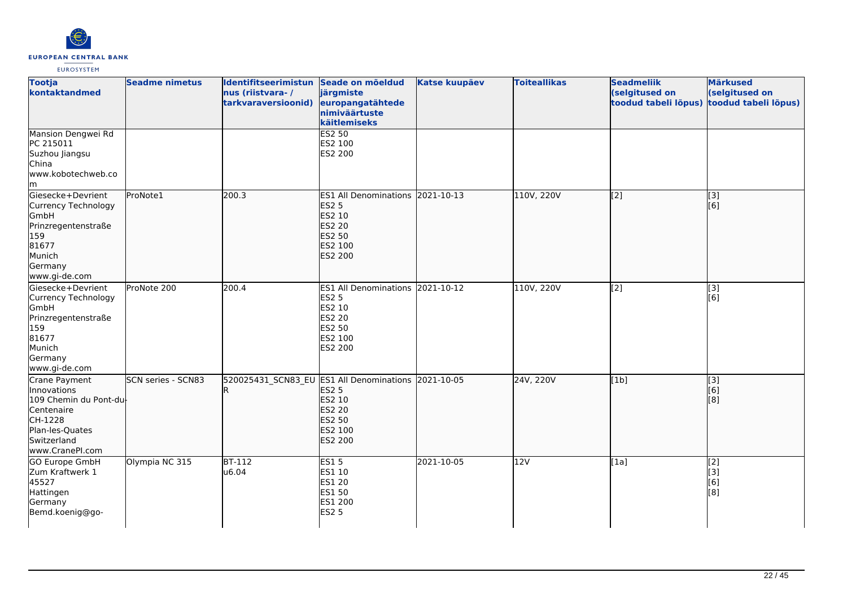

| <b>Tootja</b><br>kontaktandmed                                                                                                      | <b>Seadme nimetus</b> | Identifitseerimistun<br>nus (riistvara-/<br>tarkvaraversioonid) | Seade on mõeldud<br>järgmiste<br>europangatähtede<br>nimiväärtuste<br>käitlemiseks                                      | <b>Katse kuupäev</b> | <b>Toiteallikas</b> | <b>Seadmeliik</b><br>(selgitused on<br>toodud tabeli lõpus) | <b>Märkused</b><br>(selgitused on<br>toodud tabeli lõpus) |
|-------------------------------------------------------------------------------------------------------------------------------------|-----------------------|-----------------------------------------------------------------|-------------------------------------------------------------------------------------------------------------------------|----------------------|---------------------|-------------------------------------------------------------|-----------------------------------------------------------|
| Mansion Dengwei Rd<br>PC 215011<br>Suzhou Jiangsu<br>China<br>www.kobotechweb.co<br>m                                               |                       |                                                                 | <b>ES2 50</b><br>ES2 100<br>ES2 200                                                                                     |                      |                     |                                                             |                                                           |
| Giesecke+Devrient<br>Currency Technology<br>GmbH<br>Prinzregentenstraße<br>159<br>81677<br>Munich<br>Germany<br>www.gi-de.com       | ProNote1              | $\overline{200.3}$                                              | ES1 All Denominations 2021-10-13<br><b>ES2 5</b><br>ES2 10<br><b>ES2 20</b><br>ES2 50<br>ES2 100<br><b>ES2 200</b>      |                      | 110V, 220V          | [2]                                                         | $\overline{[3]}$<br>[6]                                   |
| Giesecke+Devrient<br>Currency Technology<br>GmbH<br>Prinzregentenstraße<br>159<br>81677<br>Munich<br>Germany<br>www.gi-de.com       | ProNote 200           | 200.4                                                           | ES1 All Denominations 2021-10-12<br><b>ES2 5</b><br>ES2 10<br>ES2 20<br>ES2 50<br>ES2 100<br>ES2 200                    |                      | 110V, 220V          | $\overline{[2]}$                                            | $\overline{[3]}$<br>[6]                                   |
| Crane Payment<br>Innovations<br>109 Chemin du Pont-du<br>Centenaire<br>CH-1228<br>Plan-les-Quates<br>Switzerland<br>www.CranePI.com | SCN series - SCN83    |                                                                 | 520025431_SCN83_EU ES1 All Denominations 2021-10-05<br><b>ES2 5</b><br>ES2 10<br>ES2 20<br>ES2 50<br>ES2 100<br>ES2 200 |                      | 24V, 220V           | [1b]                                                        | $\overline{[3]}$<br>[6]<br>[8]                            |
| <b>GO Europe GmbH</b><br>Zum Kraftwerk 1<br>45527<br>Hattingen<br>Germany<br>Bemd.koenig@go-                                        | Olympia NC 315        | $BT-112$<br>u6.04                                               | <b>ES15</b><br>ES1 10<br>ES1 20<br>ES1 50<br>ES1 200<br><b>ES2 5</b>                                                    | 2021-10-05           | 12V                 | [1a]                                                        | $\overline{[2]}$<br>[3]<br>[6]<br>[8]                     |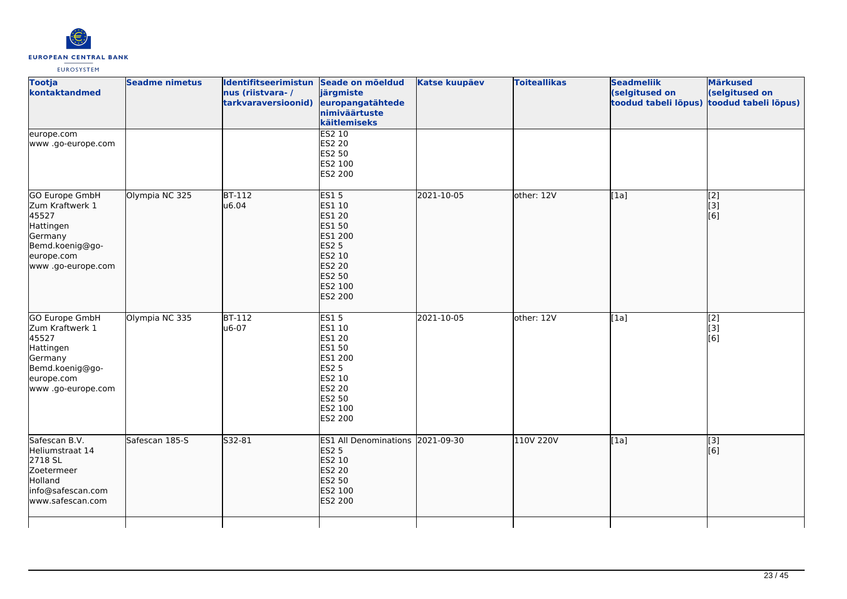

| <b>Tootja</b><br>kontaktandmed                                                                                                  | <b>Seadme nimetus</b> | Identifitseerimistun Seade on mõeldud<br>nus (riistvara-/<br>tarkvaraversioonid) | järgmiste<br>europangatähtede<br>nimiväärtuste<br>käitlemiseks                                                                         | <b>Katse kuupäev</b> | <b>Toiteallikas</b> | <b>Seadmeliik</b><br>(selgitused on<br>toodud tabeli lõpus) | <b>Märkused</b><br>(selgitused on<br>toodud tabeli lõpus) |
|---------------------------------------------------------------------------------------------------------------------------------|-----------------------|----------------------------------------------------------------------------------|----------------------------------------------------------------------------------------------------------------------------------------|----------------------|---------------------|-------------------------------------------------------------|-----------------------------------------------------------|
| europe.com<br>www .go-europe.com                                                                                                |                       |                                                                                  | <b>ES2 10</b><br>ES2 20<br>ES2 50<br>ES2 100<br>ES2 200                                                                                |                      |                     |                                                             |                                                           |
| GO Europe GmbH<br>Zum Kraftwerk 1<br>45527<br>Hattingen<br>Germany<br>Bemd.koenig@go-<br>europe.com<br>www .go-europe.com       | Olympia NC 325        | <b>BT-112</b><br>u6.04                                                           | <b>ES15</b><br>ES1 10<br><b>ES1 20</b><br><b>ES1 50</b><br>ES1 200<br><b>ES2 5</b><br>ES2 10<br>ES2 20<br>ES2 50<br>ES2 100<br>ES2 200 | 2021-10-05           | other: 12V          | [1a]                                                        | $\begin{bmatrix} 2 \\ 3 \end{bmatrix}$<br>[6]             |
| <b>GO Europe GmbH</b><br>Zum Kraftwerk 1<br>45527<br>Hattingen<br>Germany<br>Bemd.koenig@go-<br>europe.com<br>www.go-europe.com | Olympia NC 335        | $BT-112$<br>u6-07                                                                | ES15<br>ES1 10<br>ES1 20<br>ES1 50<br>ES1 200<br><b>ES2 5</b><br>ES2 10<br>ES2 20<br>ES2 50<br>ES2 100<br>ES2 200                      | 2021-10-05           | other: 12V          | [1a]                                                        | $\overline{[2]}$<br>$\overline{[}3]$<br>[6]               |
| Safescan B.V.<br>Heliumstraat 14<br>2718 SL<br>Zoetermeer<br>Holland<br>info@safescan.com<br>www.safescan.com                   | Safescan 185-S        | S32-81                                                                           | ES1 All Denominations 2021-09-30<br><b>ES2 5</b><br>ES2 10<br>ES2 20<br><b>ES2 50</b><br>ES2 100<br>ES2 200                            |                      | 110V 220V           | [1a]                                                        | [3]<br>[6]                                                |
|                                                                                                                                 |                       |                                                                                  |                                                                                                                                        |                      |                     |                                                             |                                                           |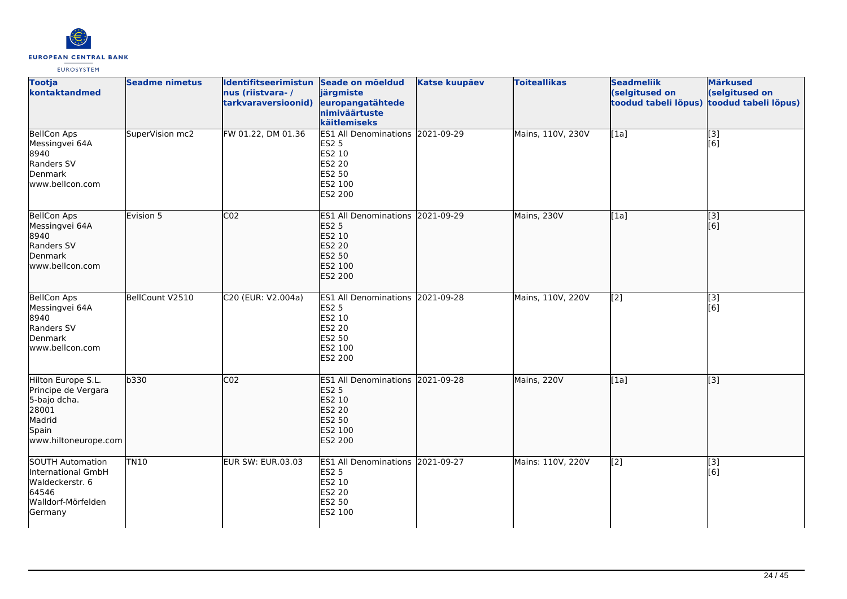

| <b>Tootja</b><br>kontaktandmed                                                                                | <b>Seadme nimetus</b> | Identifitseerimistun Seade on mõeldud<br>nus (riistvara-/<br>tarkvaraversioonid) | järgmiste<br>europangatähtede<br>nimiväärtuste<br>käitlemiseks                                                     | <b>Katse kuupäev</b> | <b>Toiteallikas</b> | <b>Seadmeliik</b><br>(selgitused on<br>toodud tabeli lõpus) | <b>Märkused</b><br>(selgitused on<br>toodud tabeli lõpus) |
|---------------------------------------------------------------------------------------------------------------|-----------------------|----------------------------------------------------------------------------------|--------------------------------------------------------------------------------------------------------------------|----------------------|---------------------|-------------------------------------------------------------|-----------------------------------------------------------|
| <b>BellCon Aps</b><br>Messingvei 64A<br>8940<br>Randers SV<br>Denmark<br>www.bellcon.com                      | SuperVision mc2       | FW 01.22, DM 01.36                                                               | ES1 All Denominations 2021-09-29<br><b>ES2 5</b><br>ES2 10<br><b>ES2 20</b><br>ES2 50<br>ES2 100<br>ES2 200        |                      | Mains, 110V, 230V   | [1a]                                                        | $\overline{[}3]$<br>[6]                                   |
| <b>BellCon Aps</b><br>Messingvei 64A<br>8940<br>Randers SV<br>Denmark<br>www.bellcon.com                      | Evision 5             | CO <sub>2</sub>                                                                  | ES1 All Denominations 2021-09-29<br><b>ES2 5</b><br>ES2 10<br><b>ES2 20</b><br>ES2 50<br>ES2 100<br>ES2 200        |                      | Mains, 230V         | $\overline{[1a]}$                                           | $\overline{[}3]$<br>[6]                                   |
| <b>BellCon Aps</b><br>Messingvei 64A<br>8940<br>Randers SV<br>Denmark<br>www.bellcon.com                      | BellCount V2510       | C20 (EUR: V2.004a)                                                               | ES1 All Denominations 2021-09-28<br><b>ES2 5</b><br>ES2 10<br>ES2 20<br>ES2 50<br>ES2 100<br>ES2 200               |                      | Mains, 110V, 220V   | [2]                                                         | $\left[ \begin{matrix} 3 \end{matrix} \right]$<br>[6]     |
| Hilton Europe S.L.<br>Principe de Vergara<br>5-bajo dcha.<br>28001<br>Madrid<br>Spain<br>www.hiltoneurope.com | b330                  | CO <sub>2</sub>                                                                  | ES1 All Denominations 2021-09-28<br><b>ES2 5</b><br>ES2 10<br><b>ES2 20</b><br><b>ES2 50</b><br>ES2 100<br>ES2 200 |                      | Mains, 220V         | [1a]                                                        | $\left[ \begin{matrix} 3 \end{matrix} \right]$            |
| <b>SOUTH Automation</b><br>International GmbH<br>Waldeckerstr. 6<br>64546<br>Walldorf-Mörfelden<br>Germany    | <b>TN10</b>           | <b>EUR SW: EUR.03.03</b>                                                         | ES1 All Denominations 2021-09-27<br><b>ES2 5</b><br>ES2 10<br>ES2 20<br>ES2 50<br>ES2 100                          |                      | Mains: 110V, 220V   | $\overline{[2]}$                                            | [3]<br>[6]                                                |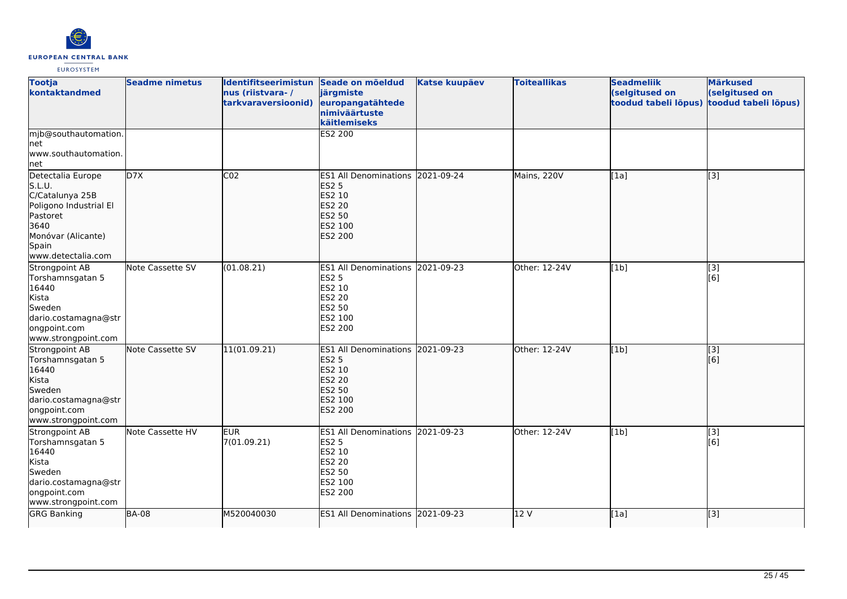

| <b>Tootja</b><br>kontaktandmed                                                                                                                    | <b>Seadme nimetus</b> | Identifitseerimistun Seade on mõeldud<br>nus (riistvara-/<br>tarkvaraversioonid) | järgmiste<br>europangatähtede<br>nimiväärtuste<br>käitlemiseks                                                            | <b>Katse kuupäev</b> | <b>Toiteallikas</b> | <b>Seadmeliik</b><br>(selgitused on<br>toodud tabeli lõpus) | <b>Märkused</b><br>(selgitused on<br>toodud tabeli lõpus) |
|---------------------------------------------------------------------------------------------------------------------------------------------------|-----------------------|----------------------------------------------------------------------------------|---------------------------------------------------------------------------------------------------------------------------|----------------------|---------------------|-------------------------------------------------------------|-----------------------------------------------------------|
| mjb@southautomation.<br>Inet<br>www.southautomation.<br>net                                                                                       |                       |                                                                                  | <b>ES2 200</b>                                                                                                            |                      |                     |                                                             |                                                           |
| Detectalia Europe<br>S.L.U.<br>C/Catalunya 25B<br>Poligono Industrial El<br>Pastoret<br>3640<br>Monóvar (Alicante)<br>Spain<br>www.detectalia.com | D7X                   | CO <sub>2</sub>                                                                  | <b>ES1 All Denominations</b><br><b>ES2 5</b><br>ES2 10<br><b>ES2 20</b><br><b>ES2 50</b><br>ES2 100<br><b>ES2 200</b>     | 2021-09-24           | Mains, 220V         | [1a]                                                        | [3]                                                       |
| Strongpoint AB<br>Torshamnsgatan 5<br>16440<br>Kista<br>Sweden<br>dario.costamagna@str<br>ongpoint.com<br>www.strongpoint.com                     | Note Cassette SV      | (01.08.21)                                                                       | ES1 All Denominations 2021-09-23<br><b>ES2 5</b><br>ES2 10<br>ES2 20<br><b>ES2 50</b><br>ES2 100<br>ES2 200               |                      | Other: 12-24V       | [1b]                                                        | $[3]$<br>[6]                                              |
| Strongpoint AB<br>Torshamnsgatan 5<br>16440<br>Kista<br>Sweden<br>dario.costamagna@str<br>ongpoint.com<br>www.strongpoint.com                     | Note Cassette SV      | 11(01.09.21)                                                                     | ES1 All Denominations 2021-09-23<br><b>ES2 5</b><br>ES2 10<br><b>ES2 20</b><br>ES2 50<br><b>ES2 100</b><br><b>ES2 200</b> |                      | Other: 12-24V       | [1b]                                                        | [3]<br>[6]                                                |
| Strongpoint AB<br>Torshamnsgatan 5<br>16440<br>Kista<br>Sweden<br>dario.costamagna@str<br>ongpoint.com<br>www.strongpoint.com                     | Note Cassette HV      | <b>EUR</b><br>7(01.09.21)                                                        | ES1 All Denominations 2021-09-23<br>ES2 5<br>ES2 10<br><b>ES2 20</b><br>ES2 50<br>ES2 100<br>ES2 200                      |                      | Other: 12-24V       | [1b]                                                        | $\overline{[3]}$<br>[6]                                   |
| <b>GRG Banking</b>                                                                                                                                | <b>BA-08</b>          | M520040030                                                                       | ES1 All Denominations 2021-09-23                                                                                          |                      | 12V                 | [1a]                                                        | [3]                                                       |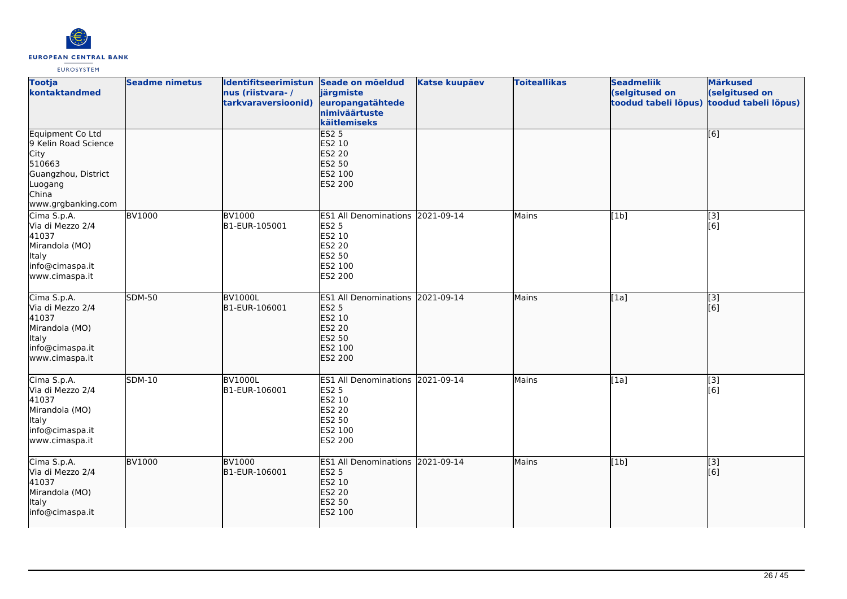

| <b>Tootja</b><br>kontaktandmed                                                                                                     | <b>Seadme nimetus</b> | Identifitseerimistun Seade on mõeldud<br>nus (riistvara-/<br>tarkvaraversioonid) | järgmiste<br>europangatähtede<br>nimiväärtuste<br>käitlemiseks                                                     | <b>Katse kuupäev</b> | <b>Toiteallikas</b> | <b>Seadmeliik</b><br>(selgitused on<br>toodud tabeli lõpus) | <b>Märkused</b><br>(selgitused on<br>toodud tabeli lõpus) |
|------------------------------------------------------------------------------------------------------------------------------------|-----------------------|----------------------------------------------------------------------------------|--------------------------------------------------------------------------------------------------------------------|----------------------|---------------------|-------------------------------------------------------------|-----------------------------------------------------------|
| Equipment Co Ltd<br>9 Kelin Road Science<br><b>City</b><br>510663<br>Guangzhou, District<br>Luogang<br>China<br>www.grgbanking.com |                       |                                                                                  | <b>ES2 5</b><br>ES2 10<br><b>ES2 20</b><br>ES2 50<br>ES2 100<br>ES2 200                                            |                      |                     |                                                             | [6]                                                       |
| Cima S.p.A.<br>Via di Mezzo 2/4<br>41037<br>Mirandola (MO)<br>Italy<br>info@cimaspa.it<br>www.cimaspa.it                           | <b>BV1000</b>         | <b>BV1000</b><br>B1-EUR-105001                                                   | ES1 All Denominations 2021-09-14<br><b>ES2 5</b><br>ES2 10<br><b>ES2 20</b><br>ES2 50<br>ES2 100<br>ES2 200        |                      | Mains               | $\overline{[1b]}$                                           | $\overline{[3]}$<br>[6]                                   |
| Cima S.p.A.<br>Via di Mezzo 2/4<br>41037<br>Mirandola (MO)<br>Italy<br>info@cimaspa.it<br>www.cimaspa.it                           | <b>SDM-50</b>         | <b>BV1000L</b><br>B1-EUR-106001                                                  | ES1 All Denominations 2021-09-14<br><b>ES2 5</b><br>ES2 10<br><b>ES2 20</b><br>ES2 50<br>ES2 100<br><b>ES2 200</b> |                      | Mains               | [1a]                                                        | [3]<br>[6]                                                |
| Cima S.p.A.<br>Via di Mezzo 2/4<br>41037<br>Mirandola (MO)<br>Italy<br>info@cimaspa.it<br>www.cimaspa.it                           | SDM-10                | <b>BV1000L</b><br>B1-EUR-106001                                                  | ES1 All Denominations 2021-09-14<br><b>ES2 5</b><br>ES2 10<br>ES2 20<br>ES2 50<br>ES2 100<br>ES2 200               |                      | Mains               | [1a]                                                        | [3]<br>[6]                                                |
| Cima S.p.A.<br>Via di Mezzo 2/4<br>41037<br>Mirandola (MO)<br>Italy<br>info@cimaspa.it                                             | <b>BV1000</b>         | <b>BV1000</b><br>B1-EUR-106001                                                   | ES1 All Denominations 2021-09-14<br><b>ES2 5</b><br>ES2 10<br><b>ES2 20</b><br>ES2 50<br>ES2 100                   |                      | Mains               | [1b]                                                        | $\overline{[3]}$<br>[6]                                   |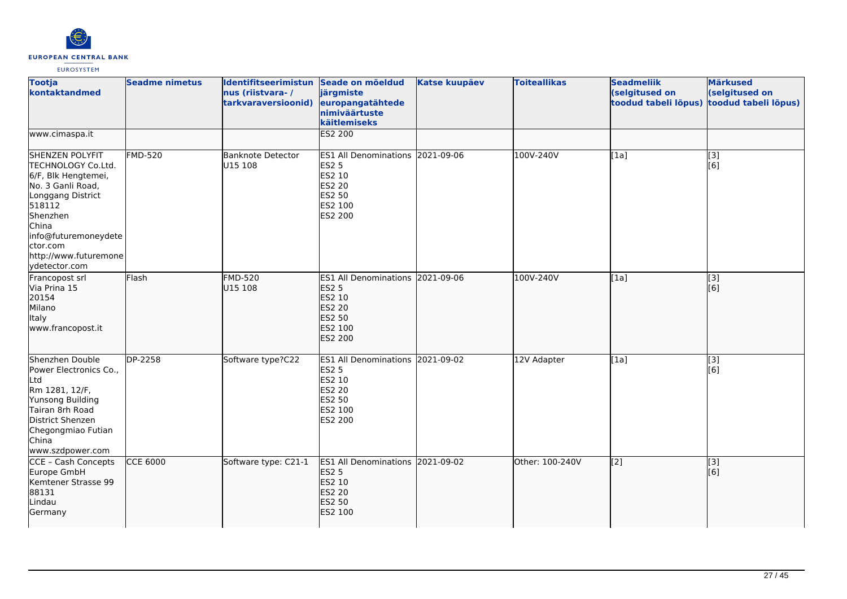

| <b>Tootja</b><br>kontaktandmed                                                                                                                                                                                             | <b>Seadme nimetus</b> | Identifitseerimistun Seade on mõeldud<br>nus (riistvara-/<br>tarkvaraversioonid) | järgmiste<br>europangatähtede<br>nimiväärtuste<br>käitlemiseks                                                            | <b>Katse kuupäev</b> | <b>Toiteallikas</b> | <b>Seadmeliik</b><br>(selgitused on<br>toodud tabeli lõpus) | <b>Märkused</b><br>(selgitused on<br>toodud tabeli lõpus) |
|----------------------------------------------------------------------------------------------------------------------------------------------------------------------------------------------------------------------------|-----------------------|----------------------------------------------------------------------------------|---------------------------------------------------------------------------------------------------------------------------|----------------------|---------------------|-------------------------------------------------------------|-----------------------------------------------------------|
| www.cimaspa.it                                                                                                                                                                                                             |                       |                                                                                  | <b>ES2 200</b>                                                                                                            |                      |                     |                                                             |                                                           |
| <b>SHENZEN POLYFIT</b><br>TECHNOLOGY Co.Ltd.<br>6/F, Blk Hengtemei,<br>No. 3 Ganli Road,<br>Longgang District<br>518112<br>Shenzhen<br>China<br>info@futuremoneydete<br>ctor.com<br>http://www.futuremone<br>ydetector.com | <b>FMD-520</b>        | <b>Banknote Detector</b><br>U15 108                                              | ES1 All Denominations 2021-09-06<br><b>ES2 5</b><br>ES2 10<br><b>ES2 20</b><br>ES2 50<br>ES2 100<br>ES2 200               |                      | 100V-240V           | [1a]                                                        | [3]<br>[6]                                                |
| Francopost srl<br>Via Prina 15<br>20154<br>Milano<br>Italy<br>www.francopost.it                                                                                                                                            | Flash                 | <b>FMD-520</b><br>U15 108                                                        | ES1 All Denominations 2021-09-06<br><b>ES2 5</b><br>ES2 10<br><b>ES2 20</b><br><b>ES2 50</b><br>ES2 100<br><b>ES2 200</b> |                      | 100V-240V           | [1a]                                                        | $\begin{bmatrix} 3 \\ 6 \end{bmatrix}$                    |
| Shenzhen Double<br>Power Electronics Co.,<br>Ltd<br>Rm 1281, 12/F,<br>Yunsong Building<br>Tairan 8rh Road<br>District Shenzen<br>Chegongmiao Futian<br>China<br>www.szdpower.com                                           | DP-2258               | Software type?C22                                                                | ES1 All Denominations 2021-09-02<br><b>ES2 5</b><br>ES2 10<br><b>ES2 20</b><br>ES2 50<br>ES2 100<br>ES2 200               |                      | 12V Adapter         | [1a]                                                        | [3]<br>[6]                                                |
| CCE - Cash Concepts<br>Europe GmbH<br>Kemtener Strasse 99<br>88131<br>Lindau<br>Germany                                                                                                                                    | <b>CCE 6000</b>       | Software type: C21-1                                                             | ES1 All Denominations 2021-09-02<br><b>ES2 5</b><br>ES2 10<br><b>ES2 20</b><br>ES2 50<br>ES2 100                          |                      | Other: 100-240V     | $\overline{[2]}$                                            | [3]<br>[6]                                                |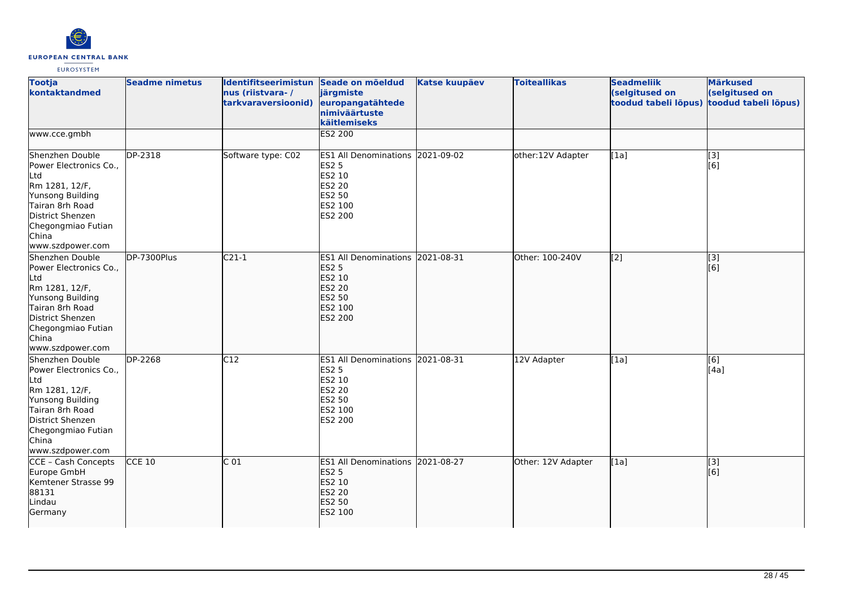

| <b>Tootja</b><br>kontaktandmed                                                                                                                                                   | <b>Seadme nimetus</b> | Identifitseerimistun Seade on mõeldud<br>nus (riistvara-/<br>tarkvaraversioonid) | järgmiste<br>europangatähtede<br>nimiväärtuste<br>käitlemiseks                                                     | <b>Katse kuupäev</b> | <b>Toiteallikas</b> | <b>Seadmeliik</b><br>(selgitused on<br>toodud tabeli lõpus) | <b>Märkused</b><br>(selgitused on<br>toodud tabeli lõpus) |
|----------------------------------------------------------------------------------------------------------------------------------------------------------------------------------|-----------------------|----------------------------------------------------------------------------------|--------------------------------------------------------------------------------------------------------------------|----------------------|---------------------|-------------------------------------------------------------|-----------------------------------------------------------|
| www.cce.gmbh                                                                                                                                                                     |                       |                                                                                  | <b>ES2 200</b>                                                                                                     |                      |                     |                                                             |                                                           |
| Shenzhen Double<br>Power Electronics Co.,<br>Ltd<br>Rm 1281, 12/F,<br>Yunsong Building<br>Tairan 8rh Road<br>District Shenzen<br>Chegongmiao Futian<br>China<br>www.szdpower.com | DP-2318               | Software type: C02                                                               | ES1 All Denominations 2021-09-02<br><b>ES2 5</b><br>ES2 10<br>ES2 20<br>ES2 50<br>ES2 100<br>ES2 200               |                      | other:12V Adapter   | [1a]                                                        | [3]<br>[6]                                                |
| Shenzhen Double<br>Power Electronics Co.,<br>Ltd<br>Rm 1281, 12/F,<br>Yunsong Building<br>Tairan 8rh Road<br>District Shenzen<br>Chegongmiao Futian<br>China<br>www.szdpower.com | DP-7300Plus           | $C21-1$                                                                          | ES1 All Denominations 2021-08-31<br><b>ES2 5</b><br>ES2 10<br><b>ES2 20</b><br>ES2 50<br>ES2 100<br><b>ES2 200</b> |                      | Other: 100-240V     | $\left[2\right]$                                            | [3]<br>[6]                                                |
| Shenzhen Double<br>Power Electronics Co.,<br>Ltd<br>Rm 1281, 12/F,<br>Yunsong Building<br>Tairan 8rh Road<br>District Shenzen<br>Chegongmiao Futian<br>China<br>www.szdpower.com | DP-2268               | C12                                                                              | ES1 All Denominations 2021-08-31<br><b>ES2 5</b><br>ES2 10<br>ES2 20<br>ES2 50<br>ES2 100<br>ES2 200               |                      | 12V Adapter         | [1a]                                                        | [6]<br>[4a]                                               |
| CCE - Cash Concepts<br>Europe GmbH<br>Kemtener Strasse 99<br>88131<br>Lindau<br>Germany                                                                                          | $CCE$ 10              | C <sub>01</sub>                                                                  | ES1 All Denominations 2021-08-27<br><b>ES2 5</b><br>ES2 10<br><b>ES2 20</b><br>ES2 50<br>ES2 100                   |                      | Other: 12V Adapter  | [1a]                                                        | [3]<br>[6]                                                |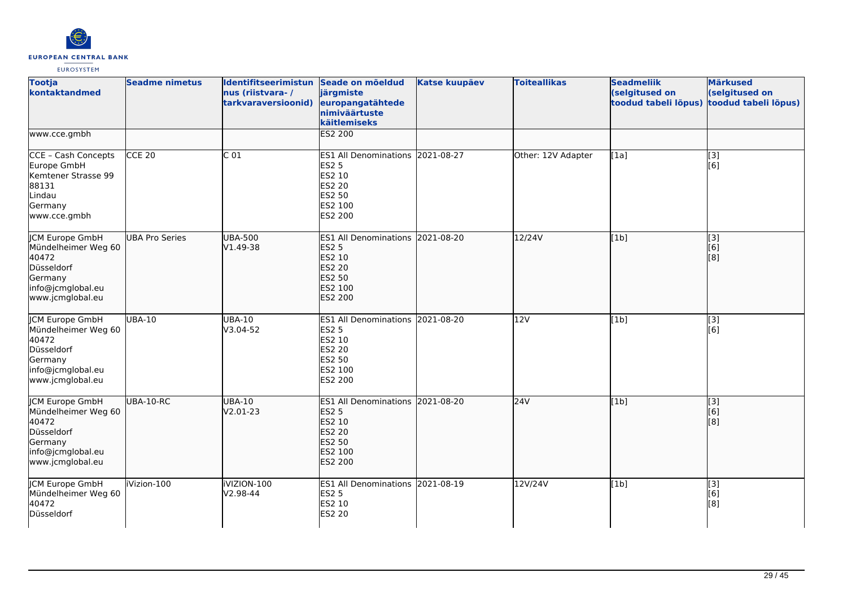

| <b>Tootja</b><br>kontaktandmed                                                                                           | <b>Seadme nimetus</b> | Identifitseerimistun Seade on mõeldud<br>nus (riistvara-/<br>tarkvaraversioonid) | järgmiste<br>europangatähtede<br>nimiväärtuste<br>käitlemiseks                                                     | <b>Katse kuupäev</b> | <b>Toiteallikas</b> | <b>Seadmeliik</b><br>(selgitused on<br>toodud tabeli lõpus) | <b>Märkused</b><br>(selgitused on<br>toodud tabeli lõpus) |
|--------------------------------------------------------------------------------------------------------------------------|-----------------------|----------------------------------------------------------------------------------|--------------------------------------------------------------------------------------------------------------------|----------------------|---------------------|-------------------------------------------------------------|-----------------------------------------------------------|
| www.cce.gmbh                                                                                                             |                       |                                                                                  | <b>ES2 200</b>                                                                                                     |                      |                     |                                                             |                                                           |
| CCE - Cash Concepts<br>Europe GmbH<br>Kemtener Strasse 99<br>88131<br>Lindau<br>Germany<br>www.cce.gmbh                  | CCE 20                | C <sub>01</sub>                                                                  | ES1 All Denominations 2021-08-27<br><b>ES2 5</b><br>ES2 10<br>ES2 20<br>ES2 50<br>ES2 100<br>ES2 200               |                      | Other: 12V Adapter  | [1a]                                                        | $\left[ \begin{matrix} 3 \end{matrix} \right]$<br>[6]     |
| JCM Europe GmbH<br>Mündelheimer Weg 60<br>40472<br>Düsseldorf<br>Germany<br>info@jcmglobal.eu<br>www.jcmglobal.eu        | <b>UBA Pro Series</b> | <b>UBA-500</b><br>V1.49-38                                                       | ES1 All Denominations 2021-08-20<br><b>ES2 5</b><br>ES2 10<br><b>ES2 20</b><br>ES2 50<br>ES2 100<br><b>ES2 200</b> |                      | 12/24V              | [1b]                                                        | [3]<br>[6]<br>[8]                                         |
| JCM Europe GmbH<br>Mündelheimer Weg 60<br>40472<br>Düsseldorf<br>Germany<br>info@jcmglobal.eu<br>www.jcmglobal.eu        | UBA-10                | UBA-10<br>V3.04-52                                                               | <b>ES1 All Denominations</b><br><b>ES2 5</b><br>ES2 10<br>ES2 20<br>ES2 50<br>ES2 100<br>ES2 200                   | 2021-08-20           | 12V                 | [1b]                                                        | $\left[ \begin{matrix} 3 \end{matrix} \right]$<br>[6]     |
| <b>JCM Europe GmbH</b><br>Mündelheimer Weg 60<br>40472<br>Düsseldorf<br>Germany<br>info@jcmglobal.eu<br>www.jcmglobal.eu | UBA-10-RC             | <b>UBA-10</b><br>V2.01-23                                                        | ES1 All Denominations 2021-08-20<br><b>ES2 5</b><br>ES2 10<br>ES2 20<br>ES2 50<br>ES2 100<br>ES2 200               |                      | 24V                 | [1b]                                                        | [3]<br>[6]<br>[8]                                         |
| <b>JCM Europe GmbH</b><br>Mündelheimer Weg 60<br>40472<br>Düsseldorf                                                     | iVizion-100           | iVIZION-100<br>V2.98-44                                                          | ES1 All Denominations 2021-08-19<br><b>ES2 5</b><br>ES2 10<br>ES2 20                                               |                      | 12V/24V             | [1b]                                                        | [3]<br>[6]<br>[8]                                         |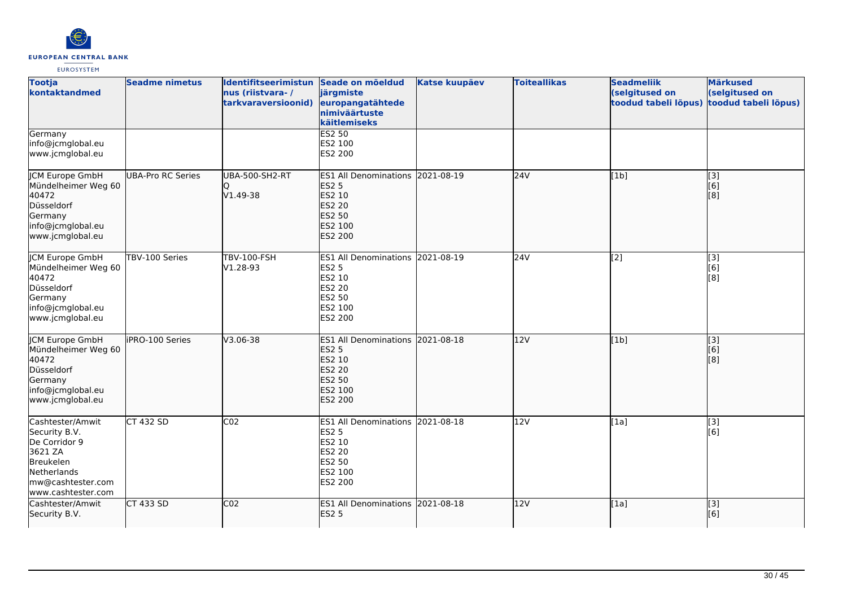

| <b>Tootja</b><br>kontaktandmed                                                                                                       | <b>Seadme nimetus</b>    | Identifitseerimistun Seade on mõeldud<br>nus (riistvara-/<br>tarkvaraversioonid) | järgmiste<br>europangatähtede<br>nimiväärtuste<br>käitlemiseks                                                     | <b>Katse kuupäev</b> | <b>Toiteallikas</b> | <b>Seadmeliik</b><br>(selgitused on<br>toodud tabeli lõpus) | <b>Märkused</b><br>(selgitused on<br>toodud tabeli lõpus)              |
|--------------------------------------------------------------------------------------------------------------------------------------|--------------------------|----------------------------------------------------------------------------------|--------------------------------------------------------------------------------------------------------------------|----------------------|---------------------|-------------------------------------------------------------|------------------------------------------------------------------------|
| Germany<br>info@jcmglobal.eu<br>www.jcmglobal.eu                                                                                     |                          |                                                                                  | <b>ES2 50</b><br>ES2 100<br>ES2 200                                                                                |                      |                     |                                                             |                                                                        |
| JCM Europe GmbH<br>Mündelheimer Weg 60<br>40472<br>Düsseldorf<br>Germany<br>info@jcmglobal.eu<br>www.jcmglobal.eu                    | <b>UBA-Pro RC Series</b> | <b>UBA-500-SH2-RT</b><br>Ю<br>V1.49-38                                           | ES1 All Denominations 2021-08-19<br><b>ES2 5</b><br>ES2 10<br><b>ES2 20</b><br>ES2 50<br>ES2 100<br><b>ES2 200</b> |                      | 24V                 | [1b]                                                        | [3]<br>[6]<br>$\left[ \begin{smallmatrix} 8 \end{smallmatrix} \right]$ |
| <b>JCM Europe GmbH</b><br>Mündelheimer Weg 60<br>40472<br>Düsseldorf<br>Germany<br>info@jcmglobal.eu<br>www.jcmglobal.eu             | TBV-100 Series           | <b>TBV-100-FSH</b><br>V1.28-93                                                   | ES1 All Denominations 2021-08-19<br><b>ES2 5</b><br>ES2 10<br>ES2 20<br>ES2 50<br>ES2 100<br>ES2 200               |                      | 24V                 | $\overline{[2]}$                                            | $\overline{[}3]$<br>[6]<br>[8]                                         |
| JCM Europe GmbH<br>Mündelheimer Weg 60<br>40472<br>Düsseldorf<br>Germany<br>info@jcmglobal.eu<br>www.jcmglobal.eu                    | liPRO-100 Series         | V3.06-38                                                                         | ES1 All Denominations 2021-08-18<br><b>ES2 5</b><br>ES2 10<br><b>ES2 20</b><br>ES2 50<br>ES2 100<br><b>ES2 200</b> |                      | 12V                 | [1b]                                                        | [3]<br>[6]<br>[8]                                                      |
| Cashtester/Amwit<br>Security B.V.<br>De Corridor 9<br>3621 ZA<br>Breukelen<br>Netherlands<br>mw@cashtester.com<br>www.cashtester.com | <b>CT 432 SD</b>         | CO <sub>2</sub>                                                                  | ES1 All Denominations 2021-08-18<br><b>ES2 5</b><br>ES2 10<br>ES2 20<br>ES2 50<br>ES2 100<br>ES2 200               |                      | 12V                 | [1a]                                                        | $\begin{bmatrix} 13 \\ 6 \end{bmatrix}$                                |
| Cashtester/Amwit<br>Security B.V.                                                                                                    | <b>CT 433 SD</b>         | CO <sub>2</sub>                                                                  | ES1 All Denominations 2021-08-18<br><b>ES2 5</b>                                                                   |                      | 12V                 | [1a]                                                        | $\overline{[3]}$<br>[6]                                                |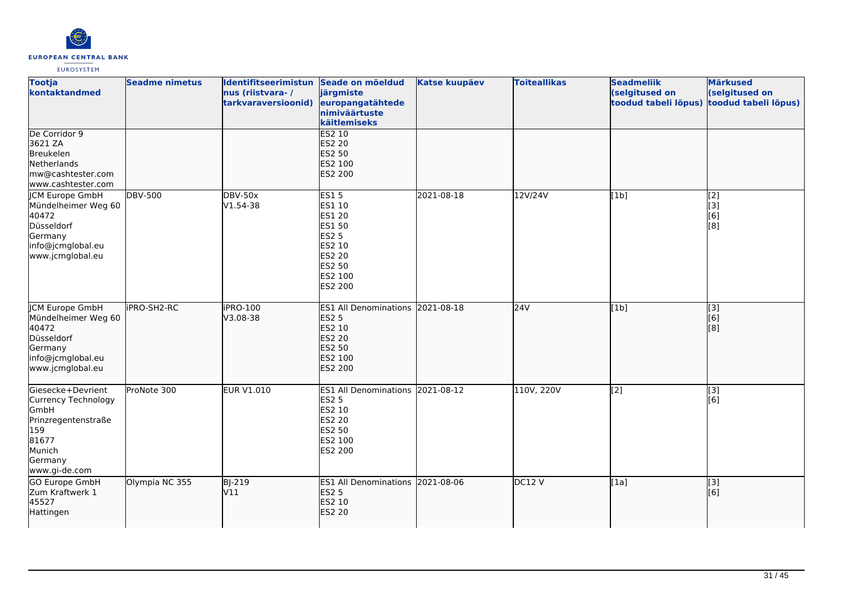

| <b>Tootja</b><br>kontaktandmed                                                                                                | <b>Seadme nimetus</b> | Identifitseerimistun Seade on mõeldud<br>nus (riistvara-/<br>tarkvaraversioonid) | järgmiste<br>europangatähtede<br>nimiväärtuste<br>käitlemiseks                                                | <b>Katse kuupäev</b> | <b>Toiteallikas</b> | <b>Seadmeliik</b><br>(selgitused on<br>toodud tabeli lõpus) | <b>Märkused</b><br>(selgitused on<br>toodud tabeli lõpus)           |
|-------------------------------------------------------------------------------------------------------------------------------|-----------------------|----------------------------------------------------------------------------------|---------------------------------------------------------------------------------------------------------------|----------------------|---------------------|-------------------------------------------------------------|---------------------------------------------------------------------|
| De Corridor 9<br>3621 ZA<br>Breukelen<br>Netherlands<br>mw@cashtester.com<br>www.cashtester.com                               |                       |                                                                                  | <b>ES2 10</b><br>ES2 20<br>ES2 50<br>ES2 100<br>ES2 200                                                       |                      |                     |                                                             |                                                                     |
| <b>JCM Europe GmbH</b><br>Mündelheimer Weg 60<br>40472<br>Düsseldorf<br>Germany<br>info@jcmglobal.eu<br>www.jcmglobal.eu      | <b>DBV-500</b>        | <b>DBV-50x</b><br>V1.54-38                                                       | <b>ES15</b><br>ES1 10<br>ES1 20<br>ES1 50<br><b>ES2 5</b><br>ES2 10<br>ES2 20<br>ES2 50<br>ES2 100<br>ES2 200 | 2021-08-18           | 12V/24V             | [1b]                                                        | [2]<br>$\left[ \begin{matrix} 3 \end{matrix} \right]$<br>[6]<br>[8] |
| JCM Europe GmbH<br>Mündelheimer Weg 60<br>40472<br>Düsseldorf<br>Germany<br>info@jcmglobal.eu<br>www.jcmglobal.eu             | iPRO-SH2-RC           | iPRO-100<br>V3.08-38                                                             | ES1 All Denominations 2021-08-18<br><b>ES2 5</b><br>ES2 10<br><b>ES2 20</b><br>ES2 50<br>ES2 100<br>ES2 200   |                      | 24V                 | [1b]                                                        | $\left[ \begin{matrix} 1 & 3 \end{matrix} \right]$<br>[6]<br>[8]    |
| Giesecke+Devrient<br>Currency Technology<br>GmbH<br>Prinzregentenstraße<br>159<br>81677<br>Munich<br>Germany<br>www.gi-de.com | ProNote 300           | <b>EUR V1.010</b>                                                                | ES1 All Denominations 2021-08-12<br><b>ES2 5</b><br>ES2 10<br><b>ES2 20</b><br>ES2 50<br>ES2 100<br>ES2 200   |                      | 110V, 220V          | $\overline{[2]}$                                            | $\overline{[3]}$<br>[6]                                             |
| GO Europe GmbH<br>Zum Kraftwerk 1<br>45527<br>Hattingen                                                                       | Olympia NC 355        | <b>BJ-219</b><br>V11                                                             | ES1 All Denominations 2021-08-06<br><b>ES2 5</b><br>ES2 10<br><b>ES2 20</b>                                   |                      | DC12 V              | [1a]                                                        | $\vert$ [3]<br>[6]                                                  |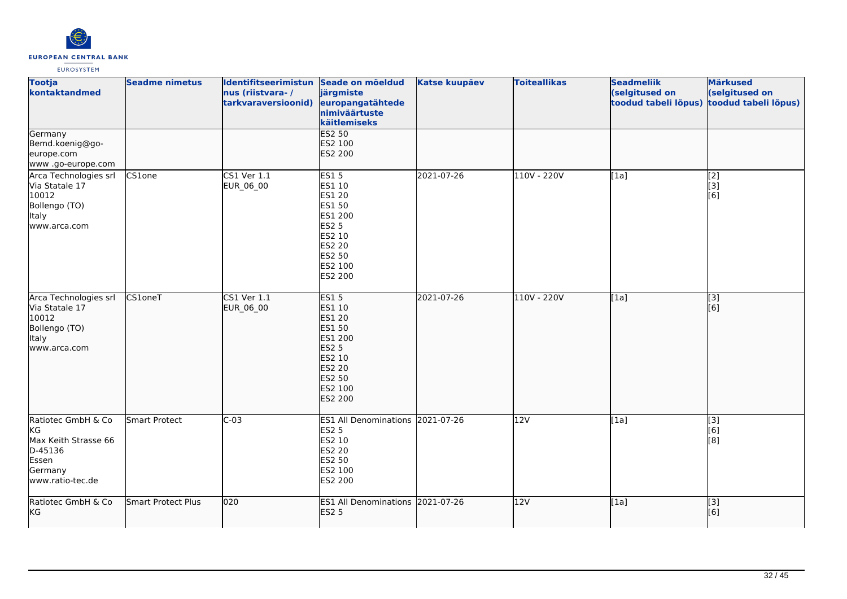

| <b>Tootja</b><br>kontaktandmed                                                                      | <b>Seadme nimetus</b> | Identifitseerimistun Seade on mõeldud<br>nus (riistvara-/<br>tarkvaraversioonid) | järgmiste<br>europangatähtede<br>nimiväärtuste<br>käitlemiseks                                                           | <b>Katse kuupäev</b> | <b>Toiteallikas</b> | <b>Seadmeliik</b><br>(selgitused on<br>toodud tabeli lõpus) | <b>Märkused</b><br>(selgitused on<br>toodud tabeli lõpus) |
|-----------------------------------------------------------------------------------------------------|-----------------------|----------------------------------------------------------------------------------|--------------------------------------------------------------------------------------------------------------------------|----------------------|---------------------|-------------------------------------------------------------|-----------------------------------------------------------|
| Germany<br>Bemd.koenig@go-<br>europe.com<br>www.go-europe.com                                       |                       |                                                                                  | <b>ES2 50</b><br>ES2 100<br><b>ES2 200</b>                                                                               |                      |                     |                                                             |                                                           |
| Arca Technologies srl<br>Via Statale 17<br>10012<br>Bollengo (TO)<br>Italy<br>www.arca.com          | CS1one                | CS1 Ver 1.1<br>EUR_06_00                                                         | <b>ES15</b><br>ES1 10<br>ES1 20<br>ES1 50<br>ES1 200<br><b>ES2 5</b><br>ES2 10<br>ES2 20<br>ES2 50<br>ES2 100<br>ES2 200 | 2021-07-26           | 110V - 220V         | [1a]                                                        | $\begin{bmatrix} 2 \\ 3 \end{bmatrix}$<br>[6]             |
| Arca Technologies srl<br>Via Statale 17<br>10012<br>Bollengo (TO)<br>Italy<br>www.arca.com          | CS1oneT               | CS1 Ver 1.1<br>EUR_06_00                                                         | <b>ES15</b><br>ES1 10<br>ES1 20<br>ES1 50<br>ES1 200<br><b>ES2 5</b><br>ES2 10<br>ES2 20<br>ES2 50<br>ES2 100<br>ES2 200 | 2021-07-26           | 110V - 220V         | [1a]                                                        | [3]<br>[6]                                                |
| Ratiotec GmbH & Co<br>KG<br>Max Keith Strasse 66<br>D-45136<br>Essen<br>Germany<br>www.ratio-tec.de | Smart Protect         | $C-03$                                                                           | ES1 All Denominations 2021-07-26<br><b>ES2 5</b><br>ES2 10<br>ES2 20<br>ES2 50<br>ES2 100<br>ES2 200                     |                      | 12V                 | $\overline{[1a]}$                                           | $\overline{[3]}$<br>[6]<br>[8]                            |
| Ratiotec GmbH & Co<br>KG                                                                            | Smart Protect Plus    | 020                                                                              | ES1 All Denominations 2021-07-26<br><b>ES2 5</b>                                                                         |                      | 12V                 | [1a]                                                        | $\overline{[}$ [3]<br>[6]                                 |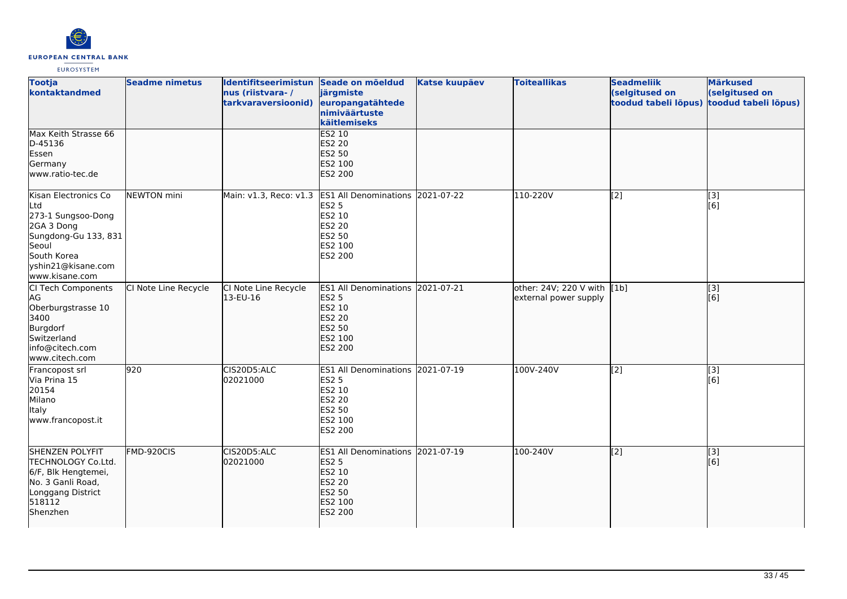

| <b>Tootja</b><br>kontaktandmed                                                                                                                          | <b>Seadme nimetus</b> | Identifitseerimistun Seade on mõeldud<br>nus (riistvara-/<br>tarkvaraversioonid) | järgmiste<br>europangatähtede<br>nimiväärtuste<br>käitlemiseks                                                              | <b>Katse kuupäev</b> | <b>Toiteallikas</b>                                  | <b>Seadmeliik</b><br>(selgitused on<br>toodud tabeli lõpus) | <b>Märkused</b><br>(selgitused on<br>toodud tabeli lõpus) |
|---------------------------------------------------------------------------------------------------------------------------------------------------------|-----------------------|----------------------------------------------------------------------------------|-----------------------------------------------------------------------------------------------------------------------------|----------------------|------------------------------------------------------|-------------------------------------------------------------|-----------------------------------------------------------|
| Max Keith Strasse 66<br>D-45136<br>Essen<br>Germany<br>www.ratio-tec.de                                                                                 |                       |                                                                                  | <b>ES2 10</b><br><b>ES2 20</b><br>ES2 50<br>ES2 100<br>ES2 200                                                              |                      |                                                      |                                                             |                                                           |
| Kisan Electronics Co<br>Ltd<br>273-1 Sungsoo-Dong<br>2GA 3 Dong<br>Sungdong-Gu 133, 831<br>Seoul<br>South Korea<br>yshin21@kisane.com<br>www.kisane.com | NEWTON mini           |                                                                                  | Main: v1.3, Reco: v1.3 ES1 All Denominations 2021-07-22<br><b>ES2 5</b><br>ES2 10<br>ES2 20<br>ES2 50<br>ES2 100<br>ES2 200 |                      | 110-220V                                             | [2]                                                         | [3]<br>[6]                                                |
| CI Tech Components<br>AG<br>Oberburgstrasse 10<br>3400<br>Burgdorf<br>Switzerland<br>info@citech.com<br>www.citech.com                                  | CI Note Line Recycle  | CI Note Line Recycle<br>13-EU-16                                                 | ES1 All Denominations 2021-07-21<br><b>ES2 5</b><br>ES2 10<br>ES2 20<br>ES2 50<br>ES2 100<br>ES2 200                        |                      | other: 24V; 220 V with [1b]<br>external power supply |                                                             | [3]<br>[6]                                                |
| Francopost srl<br>Via Prina 15<br>20154<br>Milano<br><b>Italy</b><br>www.francopost.it                                                                  | 920                   | CIS20D5:ALC<br>02021000                                                          | ES1 All Denominations 2021-07-19<br><b>ES2 5</b><br>ES2 10<br>ES2 20<br>ES2 50<br>ES2 100<br>ES2 200                        |                      | 100V-240V                                            | [2]                                                         | [3]<br>[6]                                                |
| <b>SHENZEN POLYFIT</b><br>TECHNOLOGY Co.Ltd.<br>6/F, Blk Hengtemei,<br>No. 3 Ganli Road,<br>Longgang District<br>518112<br>Shenzhen                     | FMD-920CIS            | CIS20D5:ALC<br>02021000                                                          | <b>ES1 All Denominations 2021-07-19</b><br><b>ES2 5</b><br>ES2 10<br>ES2 20<br><b>ES2 50</b><br>ES2 100<br><b>ES2 200</b>   |                      | 100-240V                                             | [[2]                                                        | [3]<br>[6]                                                |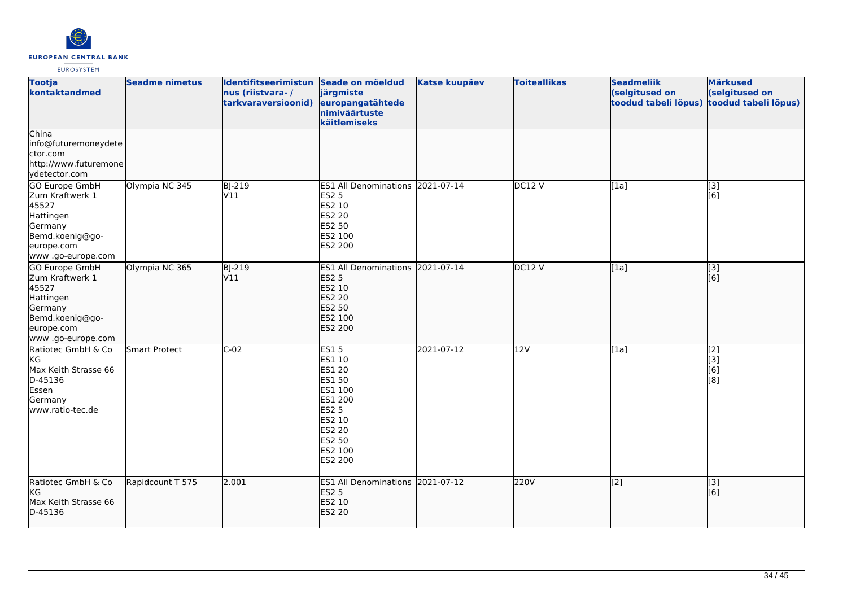

| <b>Tootja</b><br>kontaktandmed                                                                                           | <b>Seadme nimetus</b> | Identifitseerimistun Seade on mõeldud<br>nus (riistvara-/<br>tarkvaraversioonid) | järgmiste<br>europangatähtede<br>nimiväärtuste<br>käitlemiseks                                                                      | <b>Katse kuupäev</b> | <b>Toiteallikas</b> | <b>Seadmeliik</b><br>(selgitused on<br>toodud tabeli lõpus) | Märkused<br>(selgitused on<br>toodud tabeli lõpus) |
|--------------------------------------------------------------------------------------------------------------------------|-----------------------|----------------------------------------------------------------------------------|-------------------------------------------------------------------------------------------------------------------------------------|----------------------|---------------------|-------------------------------------------------------------|----------------------------------------------------|
| China<br>info@futuremoneydete<br>ctor.com<br>http://www.futuremone<br>ydetector.com                                      |                       |                                                                                  |                                                                                                                                     |                      |                     |                                                             |                                                    |
| GO Europe GmbH<br>Zum Kraftwerk 1<br>45527<br>Hattingen<br>Germany<br>Bemd.koenig@go-<br>europe.com<br>www.go-europe.com | Olympia NC 345        | <b>BJ-219</b><br>V11                                                             | ES1 All Denominations 2021-07-14<br><b>ES2 5</b><br>ES2 10<br>ES2 20<br>ES2 50<br>ES2 100<br>ES2 200                                |                      | DC12V               | $\overline{[1a]}$                                           | $\overline{[3]}$<br>[6]                            |
| GO Europe GmbH<br>Zum Kraftwerk 1<br>45527<br>Hattingen<br>Germany<br>Bemd.koenig@go-<br>europe.com<br>www.go-europe.com | Olympia NC 365        | <b>BJ-219</b><br>V11                                                             | ES1 All Denominations 2021-07-14<br><b>ES2 5</b><br>ES2 10<br>ES2 20<br><b>ES2 50</b><br>ES2 100<br><b>ES2 200</b>                  |                      | DC12 V              | [1a]                                                        | $\vert$ [3]<br>[6]                                 |
| Ratiotec GmbH & Co<br>KG<br>Max Keith Strasse 66<br>D-45136<br>Essen<br>Germany<br>www.ratio-tec.de                      | <b>Smart Protect</b>  | $C-02$                                                                           | <b>ES15</b><br>ES1 10<br>ES1 20<br>ES1 50<br>ES1 100<br>ES1 200<br><b>ES2 5</b><br>ES2 10<br>ES2 20<br>ES2 50<br>ES2 100<br>ES2 200 | 2021-07-12           | 12V                 | [1a]                                                        | [2]<br>$\overline{[}3\overline{]}$<br>[6]<br>[8]   |
| Ratiotec GmbH & Co<br>KG<br>Max Keith Strasse 66<br>D-45136                                                              | Rapidcount T 575      | 2.001                                                                            | ES1 All Denominations 2021-07-12<br><b>ES2 5</b><br>ES2 10<br><b>ES2 20</b>                                                         |                      | 220V                | [2]                                                         | [3]<br>[6]                                         |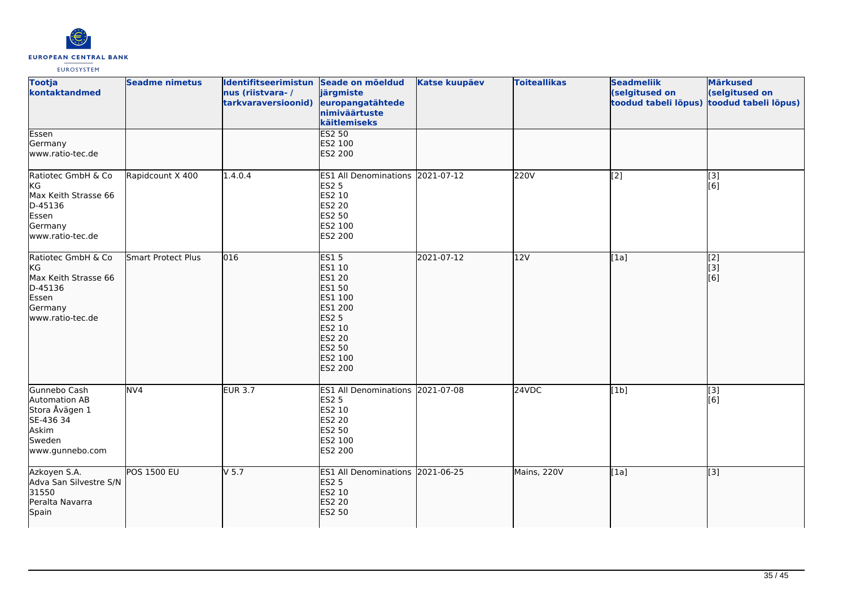

| <b>Tootja</b><br>kontaktandmed                                                                             | <b>Seadme nimetus</b> | Identifitseerimistun Seade on mõeldud<br>nus (riistvara-/<br>tarkvaraversioonid) | järgmiste<br>europangatähtede<br>nimiväärtuste<br>käitlemiseks                                                                             | <b>Katse kuupäev</b> | <b>Toiteallikas</b> | <b>Seadmeliik</b><br>(selgitused on<br>toodud tabeli lõpus) | <b>Märkused</b><br>(selgitused on<br>toodud tabeli lõpus) |
|------------------------------------------------------------------------------------------------------------|-----------------------|----------------------------------------------------------------------------------|--------------------------------------------------------------------------------------------------------------------------------------------|----------------------|---------------------|-------------------------------------------------------------|-----------------------------------------------------------|
| Essen<br>Germany<br>www.ratio-tec.de                                                                       |                       |                                                                                  | <b>ES2 50</b><br>ES2 100<br>ES2 200                                                                                                        |                      |                     |                                                             |                                                           |
| Ratiotec GmbH & Co<br>KG<br>Max Keith Strasse 66<br>D-45136<br>Essen<br>Germany<br>www.ratio-tec.de        | Rapidcount X 400      | 1.4.0.4                                                                          | ES1 All Denominations 2021-07-12<br><b>ES2 5</b><br>ES2 10<br>ES2 20<br>ES2 50<br>ES2 100<br>ES2 200                                       |                      | 220V                | [2]                                                         | [3]<br>[6]                                                |
| Ratiotec GmbH & Co<br><b>KG</b><br>Max Keith Strasse 66<br>D-45136<br>Essen<br>Germany<br>www.ratio-tec.de | Smart Protect Plus    | $\overline{016}$                                                                 | <b>ES15</b><br>ES1 10<br>ES1 20<br>ES1 50<br>ES1 100<br>ES1 200<br><b>ES2 5</b><br>ES2 10<br>ES2 20<br>ES2 50<br>ES2 100<br><b>ES2 200</b> | 2021-07-12           | 12V                 | [1a]                                                        | $\overline{[2]}$<br><u>[iз</u><br>[6]                     |
| Gunnebo Cash<br><b>Automation AB</b><br>Stora Åvägen 1<br>SE-436 34<br>Askim<br>Sweden<br>www.gunnebo.com  | NV4                   | <b>EUR 3.7</b>                                                                   | ES1 All Denominations 2021-07-08<br><b>ES2 5</b><br>ES2 10<br>ES2 20<br>ES2 50<br>ES2 100<br>ES2 200                                       |                      | 24VDC               | [1b]                                                        | [3]<br>[6]                                                |
| Azkoyen S.A.<br>Adva San Silvestre S/N<br>31550<br>Peralta Navarra<br>Spain                                | <b>POS 1500 EU</b>    | $V$ 5.7                                                                          | ES1 All Denominations 2021-06-25<br><b>ES2 5</b><br>ES2 10<br>ES2 20<br><b>ES2 50</b>                                                      |                      | Mains, 220V         | [1a]                                                        | $\overline{[3]}$                                          |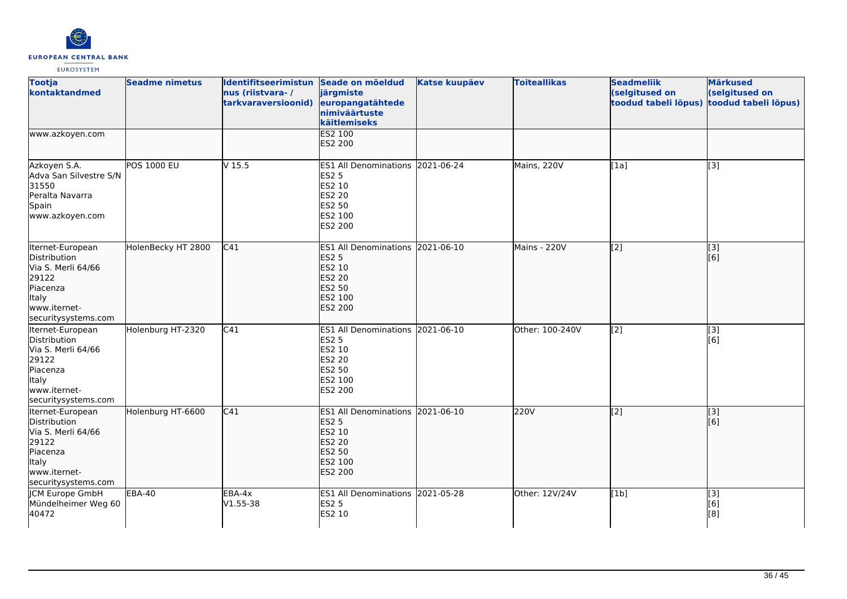

| <b>Tootja</b><br>kontaktandmed                                                                                                     | <b>Seadme nimetus</b> | Identifitseerimistun Seade on mõeldud<br>nus (riistvara-/<br>tarkvaraversioonid) | järgmiste<br>europangatähtede<br>nimiväärtuste<br>käitlemiseks                                              | <b>Katse kuupäev</b> | <b>Toiteallikas</b> | <b>Seadmeliik</b><br>(selgitused on<br>toodud tabeli lõpus) | <b>Märkused</b><br>(selgitused on<br>toodud tabeli lõpus) |
|------------------------------------------------------------------------------------------------------------------------------------|-----------------------|----------------------------------------------------------------------------------|-------------------------------------------------------------------------------------------------------------|----------------------|---------------------|-------------------------------------------------------------|-----------------------------------------------------------|
| www.azkoyen.com                                                                                                                    |                       |                                                                                  | <b>ES2 100</b><br>ES2 200                                                                                   |                      |                     |                                                             |                                                           |
| Azkoyen S.A.<br>Adva San Silvestre S/N<br>31550<br>Peralta Navarra<br>Spain<br>www.azkoyen.com                                     | <b>POS 1000 EU</b>    | V <sub>15.5</sub>                                                                | ES1 All Denominations 2021-06-24<br><b>ES2 5</b><br>ES2 10<br><b>ES2 20</b><br>ES2 50<br>ES2 100<br>ES2 200 |                      | Mains, 220V         | [1a]                                                        | [3]                                                       |
| Iternet-European<br>Distribution<br>Via S. Merli 64/66<br>29122<br>Piacenza<br>Italy<br>www.iternet-<br>securitysystems.com        | HolenBecky HT 2800    | C <sub>41</sub>                                                                  | <b>ES1 All Denominations</b><br><b>ES2 5</b><br>ES2 10<br>ES2 20<br>ES2 50<br>ES2 100<br>ES2 200            | 2021-06-10           | Mains - 220V        | [[2]                                                        | [3]<br>[6]                                                |
| Iternet-European<br>Distribution<br>Via S. Merli 64/66<br>29122<br>Piacenza<br><b>Italy</b><br>www.iternet-<br>securitysystems.com | Holenburg HT-2320     | C41                                                                              | ES1 All Denominations 2021-06-10<br><b>ES2 5</b><br>ES2 10<br>ES2 20<br>ES2 50<br>ES2 100<br>ES2 200        |                      | Other: 100-240V     | [2]                                                         | [3]<br>[6]                                                |
| Iternet-European<br>Distribution<br>Via S. Merli 64/66<br>29122<br>Piacenza<br>Italy<br>www.iternet-<br>securitysystems.com        | Holenburg HT-6600     | C41                                                                              | ES1 All Denominations 2021-06-10<br><b>ES2 5</b><br>ES2 10<br>ES2 20<br>ES2 50<br>ES2 100<br><b>ES2 200</b> |                      | 220V                | $\sqrt{2}$                                                  | [3]<br>[6]                                                |
| JCM Europe GmbH<br>Mündelheimer Weg 60<br>40472                                                                                    | <b>EBA-40</b>         | EBA-4x<br>V1.55-38                                                               | ES1 All Denominations 2021-05-28<br><b>ES2 5</b><br>ES2 10                                                  |                      | Other: 12V/24V      | [1b]                                                        | [3]<br>[6]<br>[8]                                         |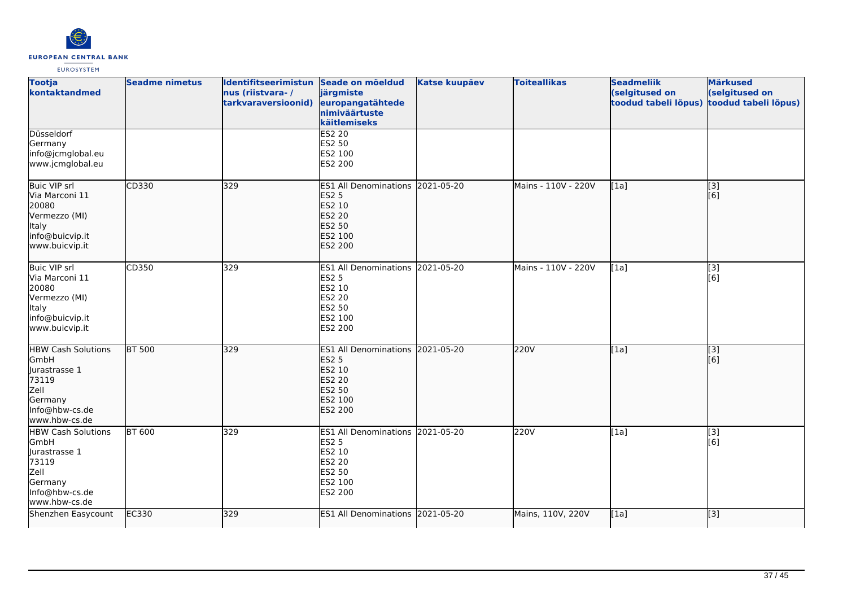

| <b>Tootja</b><br>kontaktandmed                                                                                    | <b>Seadme nimetus</b> | Identifitseerimistun Seade on mõeldud<br>nus (riistvara-/<br>tarkvaraversioonid) | järgmiste<br>europangatähtede<br>nimiväärtuste<br>käitlemiseks                                                            | <b>Katse kuupäev</b> | <b>Toiteallikas</b> | <b>Seadmeliik</b><br>(selgitused on<br>toodud tabeli lõpus) | <b>Märkused</b><br>(selgitused on<br>toodud tabeli lõpus) |
|-------------------------------------------------------------------------------------------------------------------|-----------------------|----------------------------------------------------------------------------------|---------------------------------------------------------------------------------------------------------------------------|----------------------|---------------------|-------------------------------------------------------------|-----------------------------------------------------------|
| Düsseldorf<br>Germany<br>info@jcmglobal.eu<br>www.jcmglobal.eu                                                    |                       |                                                                                  | <b>ES2 20</b><br>ES2 50<br>ES2 100<br>ES2 200                                                                             |                      |                     |                                                             |                                                           |
| <b>Buic VIP srl</b><br>Via Marconi 11<br>20080<br>Vermezzo (MI)<br>Italy<br>info@buicvip.it<br>www.buicvip.it     | CD330                 | 329                                                                              | ES1 All Denominations 2021-05-20<br><b>ES2 5</b><br>ES2 10<br>ES2 20<br><b>ES2 50</b><br>ES2 100<br><b>ES2 200</b>        |                      | Mains - 110V - 220V | [1a]                                                        | [3]<br>[6]                                                |
| Buic VIP srl<br>Via Marconi 11<br>20080<br>Vermezzo (MI)<br>Italy<br>info@buicvip.it<br>www.buicvip.it            | CD350                 | 329                                                                              | ES1 All Denominations 2021-05-20<br><b>ES2 5</b><br>ES2 10<br><b>ES2 20</b><br>ES2 50<br>ES2 100<br>ES2 200               |                      | Mains - 110V - 220V | [1a]                                                        | [3]<br>[6]                                                |
| <b>HBW Cash Solutions</b><br>GmbH<br>lurastrasse 1<br>73119<br>Zell<br>Germany<br>Info@hbw-cs.de<br>www.hbw-cs.de | <b>BT 500</b>         | 329                                                                              | ES1 All Denominations 2021-05-20<br><b>ES2 5</b><br>ES2 10<br><b>ES2 20</b><br><b>ES2 50</b><br>ES2 100<br><b>ES2 200</b> |                      | 220V                | [1a]                                                        | $\left[ \begin{matrix} 1 & 3 \end{matrix} \right]$<br>[6] |
| <b>HBW Cash Solutions</b><br>GmbH<br>Jurastrasse 1<br>73119<br>Zell<br>Germany<br>Info@hbw-cs.de<br>www.hbw-cs.de | <b>BT 600</b>         | 329                                                                              | ES1 All Denominations 2021-05-20<br><b>ES2 5</b><br>ES2 10<br><b>ES2 20</b><br>ES2 50<br>ES2 100<br>ES2 200               |                      | 220V                | [1a]                                                        | [3]<br>[6]                                                |
| Shenzhen Easycount                                                                                                | EC330                 | 329                                                                              | ES1 All Denominations 2021-05-20                                                                                          |                      | Mains, 110V, 220V   | [1a]                                                        | [3]                                                       |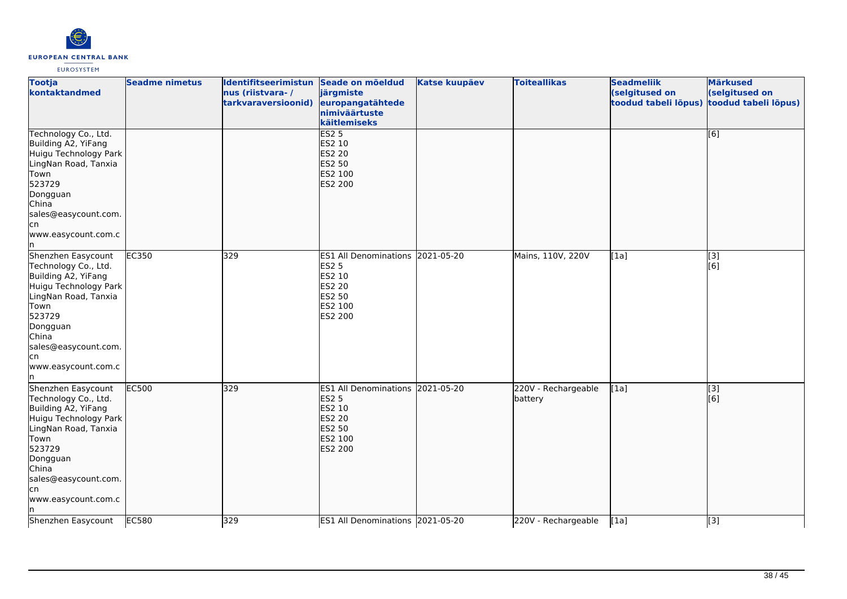

| <b>Tootja</b><br>kontaktandmed                                                                                                                                                                                  | <b>Seadme nimetus</b> | Identifitseerimistun Seade on mõeldud<br>nus (riistvara-/<br>tarkvaraversioonid) | järgmiste<br>europangatähtede<br>nimiväärtuste<br>käitlemiseks                                                     | <b>Katse kuupäev</b> | <b>Toiteallikas</b>            | <b>Seadmeliik</b><br>(selgitused on<br>toodud tabeli lõpus) | <b>Märkused</b><br>(selgitused on<br>toodud tabeli lõpus) |
|-----------------------------------------------------------------------------------------------------------------------------------------------------------------------------------------------------------------|-----------------------|----------------------------------------------------------------------------------|--------------------------------------------------------------------------------------------------------------------|----------------------|--------------------------------|-------------------------------------------------------------|-----------------------------------------------------------|
| Technology Co., Ltd.<br>Building A2, YiFang<br>Huigu Technology Park<br>LingNan Road, Tanxia<br>Town<br>523729<br>Dongguan<br>China<br>sales@easycount.com.<br>lcn<br>www.easycount.com.c                       |                       |                                                                                  | ES2 <sub>5</sub><br>ES2 10<br><b>ES2 20</b><br><b>ES2 50</b><br>ES2 100<br><b>ES2 200</b>                          |                      |                                |                                                             | [6]                                                       |
| Shenzhen Easycount<br>Technology Co., Ltd.<br>Building A2, YiFang<br>Huigu Technology Park<br>LingNan Road, Tanxia<br>Town<br>523729<br>Dongguan<br>China<br>sales@easycount.com.<br>cn<br>www.easycount.com.c  | <b>EC350</b>          | 329                                                                              | ES1 All Denominations 2021-05-20<br><b>ES2 5</b><br>ES2 10<br>ES2 20<br>ES2 50<br>ES2 100<br>ES2 200               |                      | Mains, 110V, 220V              | [1a]                                                        | $[3]$<br>[6]                                              |
| Shenzhen Easycount<br>Technology Co., Ltd.<br>Building A2, YiFang<br>Huigu Technology Park<br>LingNan Road, Tanxia<br>Town<br>523729<br>Dongguan<br>China<br>sales@easycount.com.<br>lcn<br>www.easycount.com.c | <b>EC500</b>          | 329                                                                              | ES1 All Denominations 2021-05-20<br><b>ES2 5</b><br>ES2 10<br><b>ES2 20</b><br>ES2 50<br>ES2 100<br><b>ES2 200</b> |                      | 220V - Rechargeable<br>battery | [1a]                                                        | $\overline{[}3]$<br>[6]                                   |
| Shenzhen Easycount                                                                                                                                                                                              | EC580                 | 329                                                                              | ES1 All Denominations 2021-05-20                                                                                   |                      | 220V - Rechargeable            | [1a]                                                        | [3]                                                       |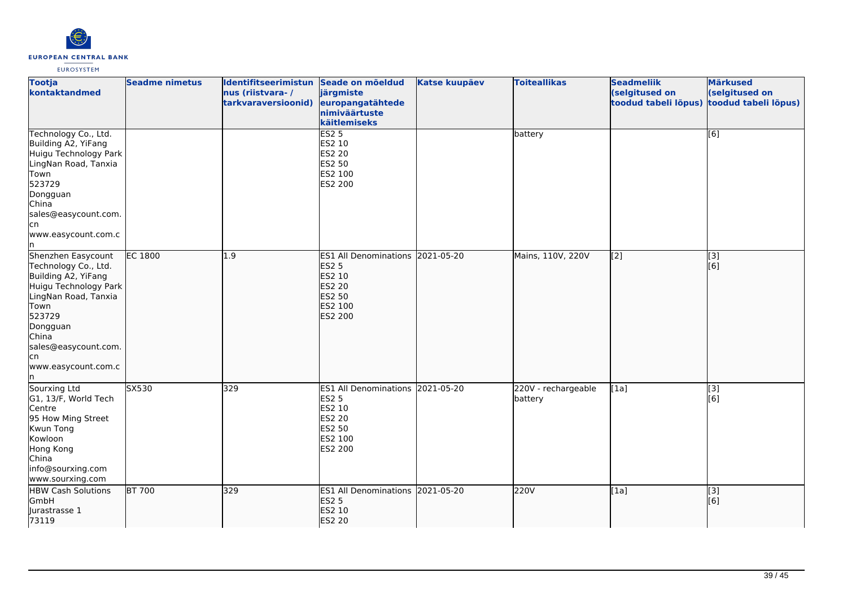

| <b>Tootja</b><br>kontaktandmed                                                                                                                                                                                         | <b>Seadme nimetus</b> | Identifitseerimistun Seade on mõeldud<br>nus (riistvara-/<br>tarkvaraversioonid) | järgmiste<br>europangatähtede<br>nimiväärtuste<br>käitlemiseks                                       | <b>Katse kuupäev</b> | <b>Toiteallikas</b>            | <b>Seadmeliik</b><br>(selgitused on<br>toodud tabeli lõpus) | <b>Märkused</b><br>(selgitused on<br>toodud tabeli lõpus) |
|------------------------------------------------------------------------------------------------------------------------------------------------------------------------------------------------------------------------|-----------------------|----------------------------------------------------------------------------------|------------------------------------------------------------------------------------------------------|----------------------|--------------------------------|-------------------------------------------------------------|-----------------------------------------------------------|
| Technology Co., Ltd.<br>Building A2, YiFang<br>Huigu Technology Park<br>LingNan Road, Tanxia<br>Town<br>523729<br>Dongguan<br>China<br>sales@easycount.com.<br>lcn<br>www.easycount.com.c<br>In.                       |                       |                                                                                  | ES2 <sub>5</sub><br>ES2 10<br>ES2 20<br>ES2 50<br>ES2 100<br>ES2 200                                 |                      | battery                        |                                                             | [6]                                                       |
| Shenzhen Easycount<br>Technology Co., Ltd.<br>Building A2, YiFang<br>Huigu Technology Park<br>LingNan Road, Tanxia<br>Town<br>523729<br>Dongguan<br>China<br>sales@easycount.com.<br>lcn<br>www.easycount.com.c<br>In. | <b>EC 1800</b>        | $\overline{1.9}$                                                                 | ES1 All Denominations 2021-05-20<br><b>ES2 5</b><br>ES2 10<br>ES2 20<br>ES2 50<br>ES2 100<br>ES2 200 |                      | Mains, 110V, 220V              | $\overline{[2]}$                                            | $\overline{[}3]$<br>[6]                                   |
| Sourxing Ltd<br>G1, 13/F, World Tech<br>Centre<br>95 How Ming Street<br>Kwun Tong<br>Kowloon<br>Hong Kong<br>China<br>info@sourxing.com<br>www.sourxing.com                                                            | SX530                 | 329                                                                              | ES1 All Denominations 2021-05-20<br><b>ES2 5</b><br>ES2 10<br>ES2 20<br>ES2 50<br>ES2 100<br>ES2 200 |                      | 220V - rechargeable<br>battery | [1a]                                                        | $\overline{[}3]$<br>[6]                                   |
| <b>HBW Cash Solutions</b><br>GmbH<br>Jurastrasse 1<br>73119                                                                                                                                                            | <b>BT 700</b>         | 329                                                                              | ES1 All Denominations 2021-05-20<br><b>ES2 5</b><br>ES2 10<br>ES2 20                                 |                      | 220V                           | [1a]                                                        | [3]<br>[6]                                                |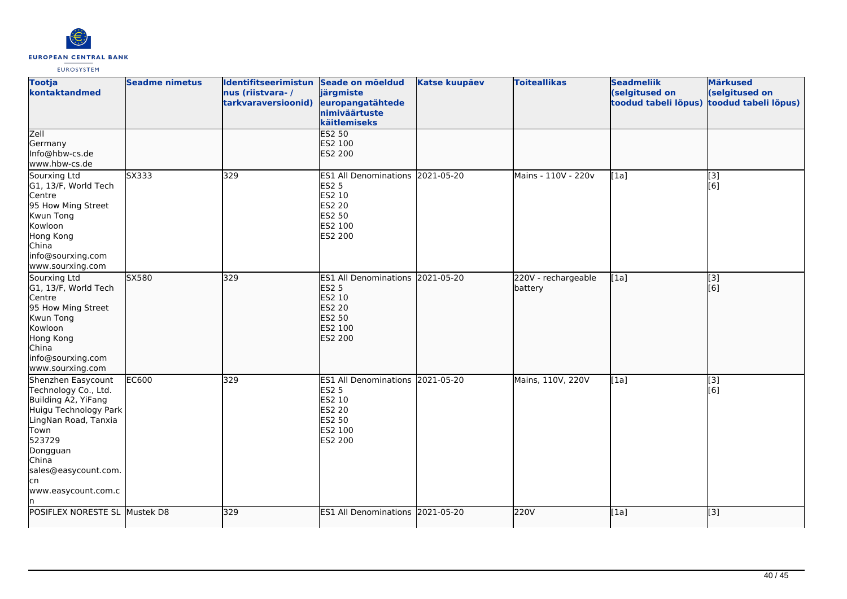

| <b>Tootja</b><br>kontaktandmed                                                                                                                                                                                         | <b>Seadme nimetus</b> | Identifitseerimistun Seade on mõeldud<br>nus (riistvara-/<br>tarkvaraversioonid) | järgmiste<br>europangatähtede<br>nimiväärtuste<br>käitlemiseks                                                 | <b>Katse kuupäev</b> | <b>Toiteallikas</b>            | <b>Seadmeliik</b><br>(selgitused on<br>toodud tabeli lõpus) | <b>Märkused</b><br>(selgitused on<br>toodud tabeli lõpus) |
|------------------------------------------------------------------------------------------------------------------------------------------------------------------------------------------------------------------------|-----------------------|----------------------------------------------------------------------------------|----------------------------------------------------------------------------------------------------------------|----------------------|--------------------------------|-------------------------------------------------------------|-----------------------------------------------------------|
| Zell<br>Germany<br>Info@hbw-cs.de<br>www.hbw-cs.de                                                                                                                                                                     |                       |                                                                                  | <b>ES2 50</b><br>ES2 100<br><b>ES2 200</b>                                                                     |                      |                                |                                                             |                                                           |
| Sourxing Ltd<br>G1, 13/F, World Tech<br>Centre<br>95 How Ming Street<br>Kwun Tong<br>Kowloon<br>Hong Kong<br>China<br>info@sourxing.com<br>www.sourxing.com                                                            | SX333                 | 329                                                                              | <b>ES1 All Denominations</b><br><b>ES2 5</b><br>ES2 10<br><b>ES2 20</b><br><b>ES2 50</b><br>ES2 100<br>ES2 200 | 2021-05-20           | Mains - 110V - 220v            | [1a]                                                        | [3]<br>[6]                                                |
| Sourxing Ltd<br>G1, 13/F, World Tech<br>Centre<br>95 How Ming Street<br>Kwun Tong<br>Kowloon<br>Hong Kong<br>China<br>info@sourxing.com<br>www.sourxing.com                                                            | SX580                 | 329                                                                              | <b>ES1 All Denominations</b><br><b>ES2 5</b><br>ES2 10<br><b>ES2 20</b><br>ES2 50<br>ES2 100<br><b>ES2 200</b> | 2021-05-20           | 220V - rechargeable<br>battery | [[1a]                                                       | $\overline{[3]}$<br>[6]                                   |
| Shenzhen Easycount<br>Technology Co., Ltd.<br>Building A2, YiFang<br>Huigu Technology Park<br>LingNan Road, Tanxia<br>Town<br>523729<br>Dongguan<br>China<br>sales@easycount.com.<br>lcn<br>www.easycount.com.c<br>ln. | <b>EC600</b>          | 329                                                                              | <b>ES1 All Denominations</b><br><b>ES2 5</b><br>ES2 10<br>ES2 20<br>ES2 50<br>ES2 100<br>ES2 200               | 2021-05-20           | Mains, 110V, 220V              | [1a]                                                        | [3]<br>[6]                                                |
| POSIFLEX NORESTE SL                                                                                                                                                                                                    | Mustek D8             | 329                                                                              | <b>ES1 All Denominations</b>                                                                                   | 2021-05-20           | 220V                           | [1a]                                                        | [3]                                                       |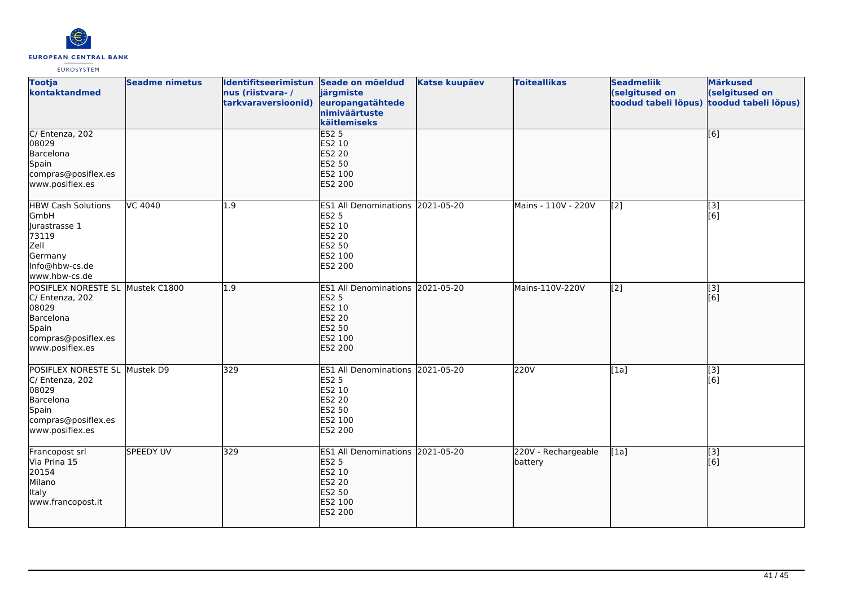

| <b>Tootja</b><br>kontaktandmed                                                                                            | <b>Seadme nimetus</b> | Identifitseerimistun Seade on mõeldud<br>nus (riistvara-/<br>tarkvaraversioonid) | järgmiste<br>europangatähtede<br>nimiväärtuste<br>käitlemiseks                                                            | <b>Katse kuupäev</b> | <b>Toiteallikas</b>            | <b>Seadmeliik</b><br>(selgitused on<br>toodud tabeli lõpus) | <b>Märkused</b><br>(selgitused on<br>toodud tabeli lõpus) |
|---------------------------------------------------------------------------------------------------------------------------|-----------------------|----------------------------------------------------------------------------------|---------------------------------------------------------------------------------------------------------------------------|----------------------|--------------------------------|-------------------------------------------------------------|-----------------------------------------------------------|
| C/ Entenza, 202<br>08029<br>Barcelona<br>Spain<br>compras@posiflex.es<br>www.posiflex.es                                  |                       |                                                                                  | ES2 <sub>5</sub><br>ES2 10<br>ES2 20<br>ES2 50<br>ES2 100<br>ES2 200                                                      |                      |                                |                                                             | [6]                                                       |
| <b>HBW Cash Solutions</b><br>GmbH<br>Jurastrasse 1<br>73119<br>Zell<br>Germany<br>Info@hbw-cs.de<br>www.hbw-cs.de         | VC 4040               | 1.9                                                                              | ES1 All Denominations 2021-05-20<br><b>ES2 5</b><br>ES2 10<br><b>ES2 20</b><br>ES2 50<br>ES2 100<br>ES2 200               |                      | Mains - 110V - 220V            | [2]                                                         | [3]<br>[6]                                                |
| POSIFLEX NORESTE SL<br>C/ Entenza, 202<br>08029<br>Barcelona<br>Spain<br>compras@posiflex.es<br>www.posiflex.es           | Mustek C1800          | 1.9                                                                              | ES1 All Denominations 2021-05-20<br><b>ES2 5</b><br>ES2 10<br><b>ES2 20</b><br><b>ES2 50</b><br>ES2 100<br><b>ES2 200</b> |                      | Mains-110V-220V                | $\overline{[2]}$                                            | [3]<br>[6]                                                |
| POSIFLEX NORESTE SL Mustek D9<br>C/ Entenza, 202<br>08029<br>Barcelona<br>Spain<br>compras@posiflex.es<br>www.posiflex.es |                       | 329                                                                              | ES1 All Denominations 2021-05-20<br><b>ES2 5</b><br>ES2 10<br>ES2 20<br>ES2 50<br>ES2 100<br>ES2 200                      |                      | 220V                           | [1a]                                                        | [3]<br>[6]                                                |
| Francopost srl<br>Via Prina 15<br>20154<br>Milano<br>Italy<br>www.francopost.it                                           | <b>SPEEDY UV</b>      | 329                                                                              | ES1 All Denominations 2021-05-20<br><b>ES2 5</b><br>ES2 10<br><b>ES2 20</b><br><b>ES2 50</b><br>ES2 100<br><b>ES2 200</b> |                      | 220V - Rechargeable<br>battery | [1a]                                                        | [3]<br>[6]                                                |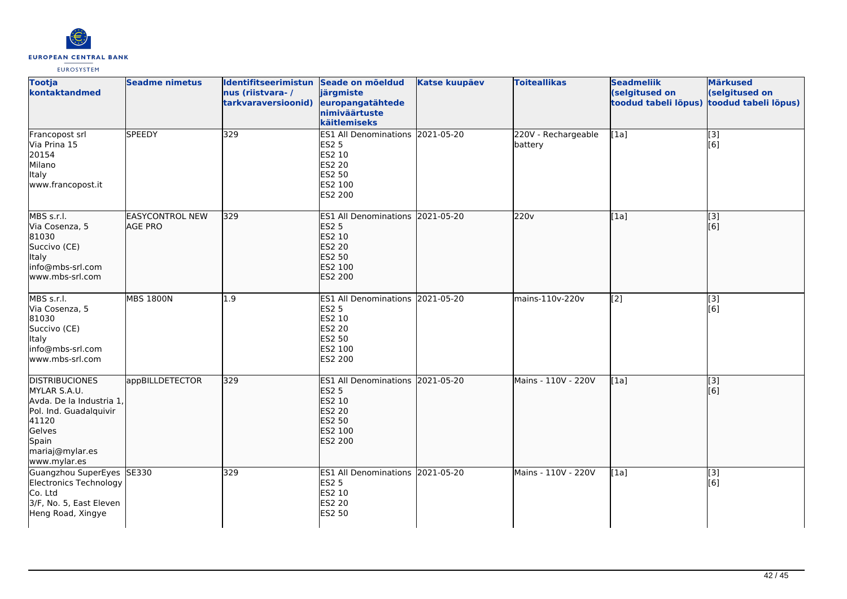

| <b>Tootja</b><br>kontaktandmed                                                                                                                             | <b>Seadme nimetus</b>             | Identifitseerimistun Seade on mõeldud<br>nus (riistvara-/<br>tarkvaraversioonid) | järgmiste<br>europangatähtede<br>nimiväärtuste<br>käitlemiseks                                                            | <b>Katse kuupäev</b> | <b>Toiteallikas</b>            | <b>Seadmeliik</b><br>(selgitused on<br>toodud tabeli lõpus) | <b>Märkused</b><br>(selgitused on<br>toodud tabeli lõpus) |
|------------------------------------------------------------------------------------------------------------------------------------------------------------|-----------------------------------|----------------------------------------------------------------------------------|---------------------------------------------------------------------------------------------------------------------------|----------------------|--------------------------------|-------------------------------------------------------------|-----------------------------------------------------------|
| Francopost srl<br>Via Prina 15<br>20154<br>Milano<br><b>Italy</b><br>www.francopost.it                                                                     | <b>SPEEDY</b>                     | 329                                                                              | ES1 All Denominations 2021-05-20<br><b>ES2 5</b><br>ES2 10<br><b>ES2 20</b><br><b>ES2 50</b><br>ES2 100<br>ES2 200        |                      | 220V - Rechargeable<br>battery | [1a]                                                        | [3]<br>[6]                                                |
| MBS s.r.l.<br>Via Cosenza, 5<br>81030<br>Succivo (CE)<br>Italy<br>info@mbs-srl.com<br>www.mbs-srl.com                                                      | <b>EASYCONTROL NEW</b><br>AGE PRO | 329                                                                              | ES1 All Denominations 2021-05-20<br><b>ES2 5</b><br>ES2 10<br><b>ES2 20</b><br><b>ES2 50</b><br>ES2 100<br>ES2 200        |                      | 220v                           | $\overline{[1a]}$                                           | $\overline{[3]}$<br>[6]                                   |
| MBS s.r.l.<br>Via Cosenza, 5<br>81030<br>Succivo (CE)<br><b>Italy</b><br>info@mbs-srl.com<br>www.mbs-srl.com                                               | <b>MBS 1800N</b>                  | 1.9                                                                              | ES1 All Denominations 2021-05-20<br><b>ES2 5</b><br>ES2 10<br><b>ES2 20</b><br><b>ES2 50</b><br>ES2 100<br>ES2 200        |                      | mains-110v-220v                | $\overline{[2]}$                                            | $\overline{[}3]$<br>[6]                                   |
| <b>DISTRIBUCIONES</b><br>MYLAR S.A.U.<br>Avda. De la Industria 1,<br>Pol. Ind. Guadalquivir<br>41120<br>Gelves<br>Spain<br>mariaj@mylar.es<br>www.mylar.es | appBILLDETECTOR                   | 329                                                                              | ES1 All Denominations 2021-05-20<br><b>ES2 5</b><br>ES2 10<br><b>ES2 20</b><br><b>ES2 50</b><br>ES2 100<br><b>ES2 200</b> |                      | Mains - 110V - 220V            | [1a]                                                        | [3]<br>[6]                                                |
| Guangzhou SuperEyes SE330<br>Electronics Technology<br>Co. Ltd<br>3/F, No. 5, East Eleven<br>Heng Road, Xingye                                             |                                   | 329                                                                              | ES1 All Denominations 2021-05-20<br><b>ES2 5</b><br>ES2 10<br><b>ES2 20</b><br><b>ES2 50</b>                              |                      | Mains - 110V - 220V            | [1a]                                                        | $\overline{[}3]$<br>[6]                                   |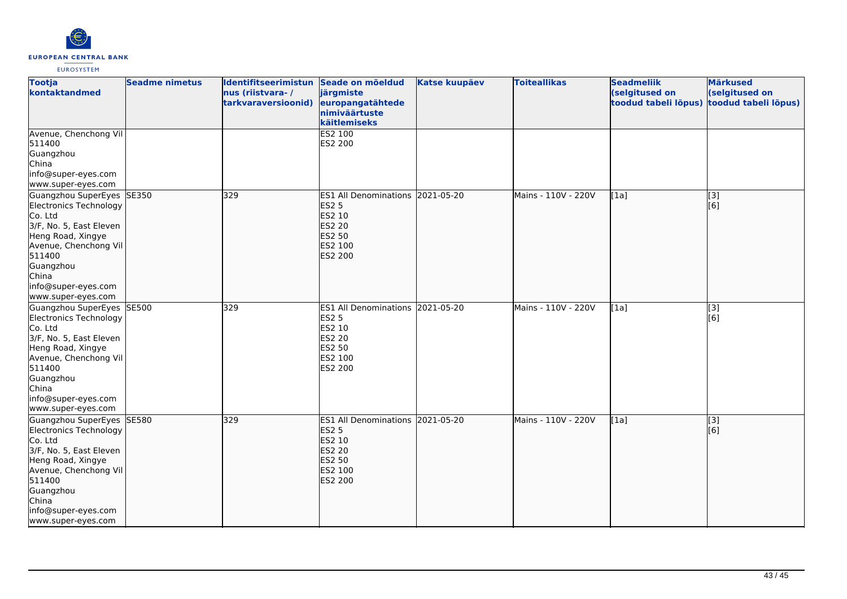

| <b>Tootja</b><br>kontaktandmed                                                                                                                                                                                       | <b>Seadme nimetus</b> | Identifitseerimistun Seade on mõeldud<br>nus (riistvara-/ | järgmiste                                                                                                   | <b>Katse kuupäev</b> | <b>Toiteallikas</b> | <b>Seadmeliik</b><br>(selgitused on | <b>Märkused</b><br>(selgitused on                     |
|----------------------------------------------------------------------------------------------------------------------------------------------------------------------------------------------------------------------|-----------------------|-----------------------------------------------------------|-------------------------------------------------------------------------------------------------------------|----------------------|---------------------|-------------------------------------|-------------------------------------------------------|
|                                                                                                                                                                                                                      |                       | tarkvaraversioonid)                                       | europangatähtede<br>nimiväärtuste<br>käitlemiseks                                                           |                      |                     | toodud tabeli lõpus)                | toodud tabeli lõpus)                                  |
| Avenue, Chenchong Vil<br>511400<br>Guangzhou<br>China<br>info@super-eyes.com<br>www.super-eyes.com                                                                                                                   |                       |                                                           | ES2 100<br>ES2 200                                                                                          |                      |                     |                                     |                                                       |
| Guangzhou SuperEyes SE350<br>Electronics Technology<br>Co. Ltd<br>3/F, No. 5, East Eleven<br>Heng Road, Xingye<br>Avenue, Chenchong Vil<br>511400<br>Guangzhou<br>China<br>info@super-eyes.com<br>www.super-eyes.com |                       | 329                                                       | ES1 All Denominations 2021-05-20<br><b>ES2 5</b><br>ES2 10<br><b>ES2 20</b><br>ES2 50<br>ES2 100<br>ES2 200 |                      | Mains - 110V - 220V | [1a]                                | [3]<br>[6]                                            |
| Guangzhou SuperEyes<br>Electronics Technology<br>Co. Ltd<br>3/F, No. 5, East Eleven<br>Heng Road, Xingye<br>Avenue, Chenchong Vil<br>511400<br>Guangzhou<br>China<br>info@super-eyes.com<br>www.super-eyes.com       | <b>SE500</b>          | 329                                                       | ES1 All Denominations 2021-05-20<br><b>ES2 5</b><br>ES2 10<br>ES2 20<br>ES2 50<br>ES2 100<br>ES2 200        |                      | Mains - 110V - 220V | [1a]                                | $\left[ \begin{matrix} 3 \end{matrix} \right]$<br>[6] |
| Guangzhou SuperEyes SE580<br>Electronics Technology<br>Co. Ltd<br>3/F, No. 5, East Eleven<br>Heng Road, Xingye<br>Avenue, Chenchong Vil<br>511400<br>Guangzhou<br>China<br>info@super-eyes.com<br>www.super-eyes.com |                       | 329                                                       | ES1 All Denominations 2021-05-20<br><b>ES2 5</b><br>ES2 10<br><b>ES2 20</b><br>ES2 50<br>ES2 100<br>ES2 200 |                      | Mains - 110V - 220V | [1a]                                | $\overline{[3]}$<br>[6]                               |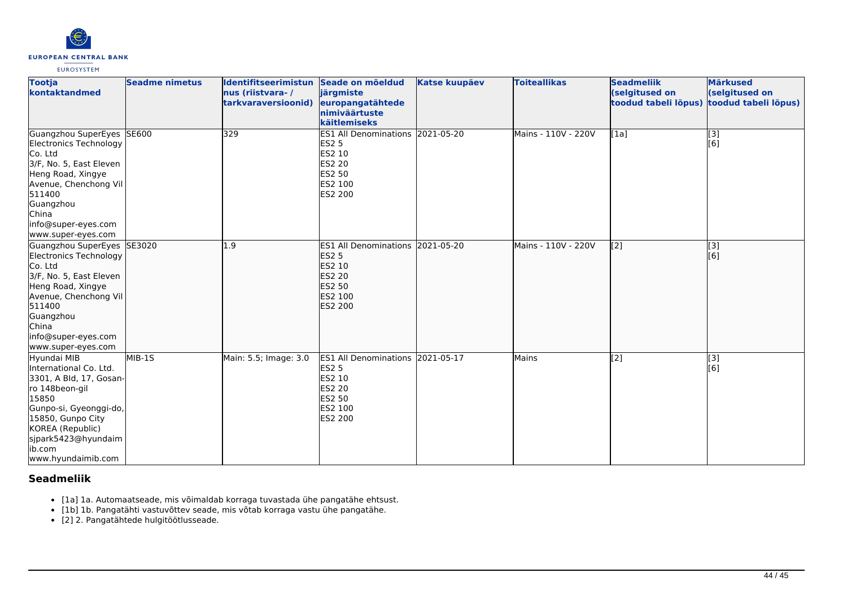

| <b>Tootja</b><br>kontaktandmed                                                                                                                                                                                         | <b>Seadme nimetus</b> | <b>Identifitseerimistun</b><br>nus (riistvara-/<br>tarkvaraversioonid) | Seade on mõeldud<br>järgmiste<br>europangatähtede<br>nimiväärtuste<br>käitlemiseks                                 | <b>Katse kuupäev</b> | <b>Toiteallikas</b> | <b>Seadmeliik</b><br>(selgitused on<br>toodud tabeli lõpus) | <b>Märkused</b><br>(selgitused on<br>toodud tabeli lõpus) |
|------------------------------------------------------------------------------------------------------------------------------------------------------------------------------------------------------------------------|-----------------------|------------------------------------------------------------------------|--------------------------------------------------------------------------------------------------------------------|----------------------|---------------------|-------------------------------------------------------------|-----------------------------------------------------------|
| Guangzhou SuperEyes<br>Electronics Technology<br>Co. Ltd<br>3/F, No. 5, East Eleven<br>Heng Road, Xingye<br>Avenue, Chenchong Vil<br>511400<br>Guangzhou<br>China<br>info@super-eyes.com<br>www.super-eyes.com         | <b>SE600</b>          | 329                                                                    | ES1 All Denominations 2021-05-20<br><b>ES2 5</b><br>ES2 10<br>ES2 20<br>ES2 50<br>ES2 100<br>ES2 200               |                      | Mains - 110V - 220V | $\overline{[1a]}$                                           | $\begin{bmatrix} 3 \\ 6 \end{bmatrix}$                    |
| Guangzhou SuperEyes SE3020<br>Electronics Technology<br>Co. Ltd<br>3/F, No. 5, East Eleven<br>Heng Road, Xingye<br>Avenue, Chenchong Vil<br>511400<br>Guangzhou<br>China<br>info@super-eyes.com<br>www.super-eyes.com  |                       | 1.9                                                                    | ES1 All Denominations 2021-05-20<br><b>ES2 5</b><br>ES2 10<br><b>ES2 20</b><br>ES2 50<br>ES2 100<br>ES2 200        |                      | Mains - 110V - 220V | [2]                                                         | $\overline{[}3]$<br>[6]                                   |
| Hyundai MIB<br>International Co. Ltd.<br>3301, A Bld, 17, Gosan-<br>ro 148beon-gil<br>15850<br>Gunpo-si, Gyeonggi-do,<br>15850, Gunpo City<br>KOREA (Republic)<br>sjpark5423@hyundaim<br>lib.com<br>www.hyundaimib.com | MIB-1S                | Main: 5.5; Image: 3.0                                                  | ES1 All Denominations 2021-05-17<br><b>ES2 5</b><br>ES2 10<br><b>ES2 20</b><br><b>ES2 50</b><br>ES2 100<br>ES2 200 |                      | Mains               | $\overline{[2]}$                                            | [3]<br>[6]                                                |

# **Seadmeliik**

- [1a] 1a. Automaatseade, mis võimaldab korraga tuvastada ühe pangatähe ehtsust.
- [1b] 1b. Pangatähti vastuvõttev seade, mis võtab korraga vastu ühe pangatähe.
- [2] 2. Pangatähtede hulgitöötlusseade.